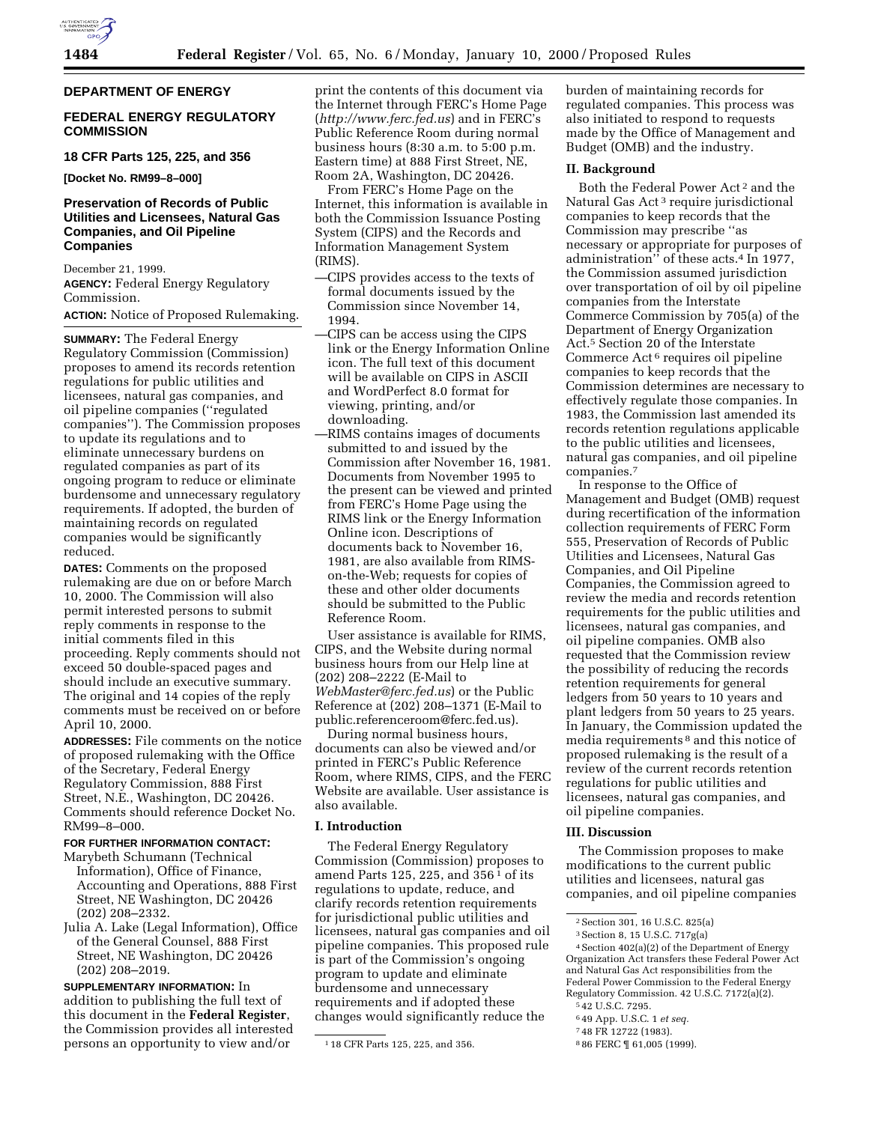

## **DEPARTMENT OF ENERGY**

# **FEDERAL ENERGY REGULATORY COMMISSION**

# **18 CFR Parts 125, 225, and 356**

**[Docket No. RM99–8–000]**

# **Preservation of Records of Public Utilities and Licensees, Natural Gas Companies, and Oil Pipeline Companies**

December 21, 1999. **AGENCY:** Federal Energy Regulatory Commission.

**ACTION:** Notice of Proposed Rulemaking.

**SUMMARY:** The Federal Energy Regulatory Commission (Commission) proposes to amend its records retention regulations for public utilities and licensees, natural gas companies, and oil pipeline companies (''regulated companies''). The Commission proposes to update its regulations and to eliminate unnecessary burdens on regulated companies as part of its ongoing program to reduce or eliminate burdensome and unnecessary regulatory requirements. If adopted, the burden of maintaining records on regulated companies would be significantly reduced.

**DATES:** Comments on the proposed rulemaking are due on or before March 10, 2000. The Commission will also permit interested persons to submit reply comments in response to the initial comments filed in this proceeding. Reply comments should not exceed 50 double-spaced pages and should include an executive summary. The original and 14 copies of the reply comments must be received on or before April 10, 2000.

**ADDRESSES:** File comments on the notice of proposed rulemaking with the Office of the Secretary, Federal Energy Regulatory Commission, 888 First Street, N.E., Washington, DC 20426. Comments should reference Docket No. RM99–8–000.

## **FOR FURTHER INFORMATION CONTACT:**

- Marybeth Schumann (Technical Information), Office of Finance, Accounting and Operations, 888 First Street, NE Washington, DC 20426 (202) 208–2332.
- Julia A. Lake (Legal Information), Office of the General Counsel, 888 First Street, NE Washington, DC 20426 (202) 208–2019.

**SUPPLEMENTARY INFORMATION:** In addition to publishing the full text of this document in the **Federal Register**, the Commission provides all interested persons an opportunity to view and/or

print the contents of this document via the Internet through FERC's Home Page (*http://www.ferc.fed.us*) and in FERC's Public Reference Room during normal business hours (8:30 a.m. to 5:00 p.m. Eastern time) at 888 First Street, NE, Room 2A, Washington, DC 20426.

From FERC's Home Page on the Internet, this information is available in both the Commission Issuance Posting System (CIPS) and the Records and Information Management System (RIMS).

- —CIPS provides access to the texts of formal documents issued by the Commission since November 14, 1994.
- —CIPS can be access using the CIPS link or the Energy Information Online icon. The full text of this document will be available on CIPS in ASCII and WordPerfect 8.0 format for viewing, printing, and/or downloading.
- —RIMS contains images of documents submitted to and issued by the Commission after November 16, 1981. Documents from November 1995 to the present can be viewed and printed from FERC's Home Page using the RIMS link or the Energy Information Online icon. Descriptions of documents back to November 16, 1981, are also available from RIMSon-the-Web; requests for copies of these and other older documents should be submitted to the Public Reference Room.

User assistance is available for RIMS, CIPS, and the Website during normal business hours from our Help line at (202) 208–2222 (E-Mail to *WebMaster@ferc.fed.us*) or the Public Reference at (202) 208–1371 (E-Mail to public.referenceroom@ferc.fed.us).

During normal business hours, documents can also be viewed and/or printed in FERC's Public Reference Room, where RIMS, CIPS, and the FERC Website are available. User assistance is also available.

### **I. Introduction**

The Federal Energy Regulatory Commission (Commission) proposes to amend Parts 125, 225, and 356 1 of its regulations to update, reduce, and clarify records retention requirements for jurisdictional public utilities and licensees, natural gas companies and oil pipeline companies. This proposed rule is part of the Commission's ongoing program to update and eliminate burdensome and unnecessary requirements and if adopted these changes would significantly reduce the

burden of maintaining records for regulated companies. This process was also initiated to respond to requests made by the Office of Management and Budget (OMB) and the industry.

# **II. Background**

Both the Federal Power Act 2 and the Natural Gas Act 3 require jurisdictional companies to keep records that the Commission may prescribe ''as necessary or appropriate for purposes of administration'' of these acts.4 In 1977, the Commission assumed jurisdiction over transportation of oil by oil pipeline companies from the Interstate Commerce Commission by 705(a) of the Department of Energy Organization Act.5 Section 20 of the Interstate Commerce Act 6 requires oil pipeline companies to keep records that the Commission determines are necessary to effectively regulate those companies. In 1983, the Commission last amended its records retention regulations applicable to the public utilities and licensees, natural gas companies, and oil pipeline companies.7

In response to the Office of Management and Budget (OMB) request during recertification of the information collection requirements of FERC Form 555, Preservation of Records of Public Utilities and Licensees, Natural Gas Companies, and Oil Pipeline Companies, the Commission agreed to review the media and records retention requirements for the public utilities and licensees, natural gas companies, and oil pipeline companies. OMB also requested that the Commission review the possibility of reducing the records retention requirements for general ledgers from 50 years to 10 years and plant ledgers from 50 years to 25 years. In January, the Commission updated the media requirements 8 and this notice of proposed rulemaking is the result of a review of the current records retention regulations for public utilities and licensees, natural gas companies, and oil pipeline companies.

# **III. Discussion**

The Commission proposes to make modifications to the current public utilities and licensees, natural gas companies, and oil pipeline companies

5 42 U.S.C. 7295.

<sup>1</sup> 18 CFR Parts 125, 225, and 356.

<sup>2</sup>Section 301, 16 U.S.C. 825(a)

<sup>3</sup>Section 8, 15 U.S.C. 717g(a)

<sup>4</sup>Section 402(a)(2) of the Department of Energy Organization Act transfers these Federal Power Act and Natural Gas Act responsibilities from the Federal Power Commission to the Federal Energy Regulatory Commission. 42 U.S.C. 7172(a)(2).

<sup>6</sup> 49 App. U.S.C. 1 *et seq.*

<sup>7</sup> 48 FR 12722 (1983).

<sup>8</sup> 86 FERC ¶ 61,005 (1999).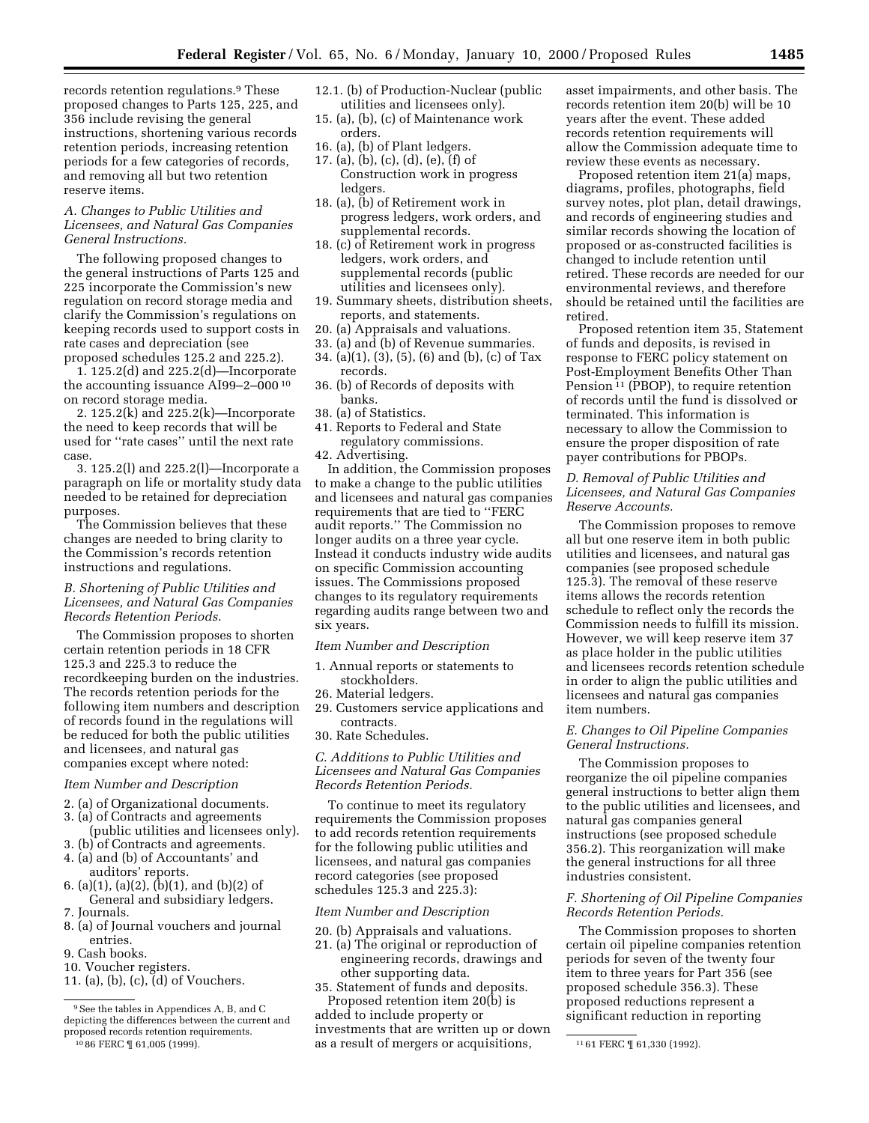records retention regulations.<sup>9</sup> These proposed changes to Parts 125, 225, and 356 include revising the general instructions, shortening various records retention periods, increasing retention periods for a few categories of records, and removing all but two retention reserve items.

### *A. Changes to Public Utilities and Licensees, and Natural Gas Companies General Instructions.*

The following proposed changes to the general instructions of Parts 125 and 225 incorporate the Commission's new regulation on record storage media and clarify the Commission's regulations on keeping records used to support costs in rate cases and depreciation (see proposed schedules 125.2 and 225.2).

1. 125.2(d) and 225.2(d)—Incorporate the accounting issuance AI99–2–000 10 on record storage media.

2. 125.2(k) and 225.2(k)—Incorporate the need to keep records that will be used for ''rate cases'' until the next rate case.

3. 125.2(l) and 225.2(l)—Incorporate a paragraph on life or mortality study data needed to be retained for depreciation purposes.

The Commission believes that these changes are needed to bring clarity to the Commission's records retention instructions and regulations.

# *B. Shortening of Public Utilities and Licensees, and Natural Gas Companies Records Retention Periods.*

The Commission proposes to shorten certain retention periods in 18 CFR 125.3 and 225.3 to reduce the recordkeeping burden on the industries. The records retention periods for the following item numbers and description of records found in the regulations will be reduced for both the public utilities and licensees, and natural gas companies except where noted:

# *Item Number and Description*

- 2. (a) of Organizational documents.
- 3. (a) of Contracts and agreements (public utilities and licensees only).
- 3. (b) of Contracts and agreements.
- 4. (a) and (b) of Accountants' and auditors' reports.
- 6. (a)(1), (a)(2), (b)(1), and (b)(2) of General and subsidiary ledgers.
- 7. Journals.
- 8. (a) of Journal vouchers and journal entries.
- 9. Cash books.
- 10. Voucher registers.
- 11. (a), (b), (c), (d) of Vouchers.
- 12.1. (b) of Production-Nuclear (public utilities and licensees only).
- 15. (a), (b), (c) of Maintenance work orders.
- 16. (a), (b) of Plant ledgers.
- 17. (a), (b), (c), (d), (e), (f) of Construction work in progress ledgers.
- 18. (a), (b) of Retirement work in progress ledgers, work orders, and supplemental records.
- 18. (c) of Retirement work in progress ledgers, work orders, and supplemental records (public utilities and licensees only).
- 19. Summary sheets, distribution sheets, reports, and statements.
- 20. (a) Appraisals and valuations.
- 33. (a) and (b) of Revenue summaries.
- 34. (a)(1), (3), (5), (6) and (b), (c) of Tax records.
- 36. (b) of Records of deposits with banks.
- 38. (a) of Statistics.
- 41. Reports to Federal and State regulatory commissions.
- 42. Advertising.

In addition, the Commission proposes to make a change to the public utilities and licensees and natural gas companies requirements that are tied to ''FERC audit reports.'' The Commission no longer audits on a three year cycle. Instead it conducts industry wide audits on specific Commission accounting issues. The Commissions proposed changes to its regulatory requirements regarding audits range between two and six years.

### *Item Number and Description*

- 1. Annual reports or statements to stockholders.
- 26. Material ledgers.
- 29. Customers service applications and contracts.
- 30. Rate Schedules.

# *C. Additions to Public Utilities and Licensees and Natural Gas Companies Records Retention Periods.*

To continue to meet its regulatory requirements the Commission proposes to add records retention requirements for the following public utilities and licensees, and natural gas companies record categories (see proposed schedules 125.3 and 225.3):

# *Item Number and Description*

- 20. (b) Appraisals and valuations.
- 21. (a) The original or reproduction of engineering records, drawings and other supporting data.
- 35. Statement of funds and deposits. Proposed retention item 20(b) is

10 86 FERC ¶ 61,005 (1999). 11 61 FERC ¶ 61,330 (1992). as a result of mergers or acquisitions, added to include property or investments that are written up or down

asset impairments, and other basis. The records retention item 20(b) will be 10 years after the event. These added records retention requirements will allow the Commission adequate time to review these events as necessary.

Proposed retention item 21(a) maps, diagrams, profiles, photographs, field survey notes, plot plan, detail drawings, and records of engineering studies and similar records showing the location of proposed or as-constructed facilities is changed to include retention until retired. These records are needed for our environmental reviews, and therefore should be retained until the facilities are retired.

Proposed retention item 35, Statement of funds and deposits, is revised in response to FERC policy statement on Post-Employment Benefits Other Than Pension 11 (PBOP), to require retention of records until the fund is dissolved or terminated. This information is necessary to allow the Commission to ensure the proper disposition of rate payer contributions for PBOPs.

# *D. Removal of Public Utilities and Licensees, and Natural Gas Companies Reserve Accounts.*

The Commission proposes to remove all but one reserve item in both public utilities and licensees, and natural gas companies (see proposed schedule 125.3). The removal of these reserve items allows the records retention schedule to reflect only the records the Commission needs to fulfill its mission. However, we will keep reserve item 37 as place holder in the public utilities and licensees records retention schedule in order to align the public utilities and licensees and natural gas companies item numbers.

# *E. Changes to Oil Pipeline Companies General Instructions.*

The Commission proposes to reorganize the oil pipeline companies general instructions to better align them to the public utilities and licensees, and natural gas companies general instructions (see proposed schedule 356.2). This reorganization will make the general instructions for all three industries consistent.

# *F. Shortening of Oil Pipeline Companies Records Retention Periods.*

The Commission proposes to shorten certain oil pipeline companies retention periods for seven of the twenty four item to three years for Part 356 (see proposed schedule 356.3). These proposed reductions represent a significant reduction in reporting

<sup>9</sup>See the tables in Appendices A, B, and C depicting the differences between the current and proposed records retention requirements.<br> $^{10}86$  FERC  $^{6}$  61,005 (1999).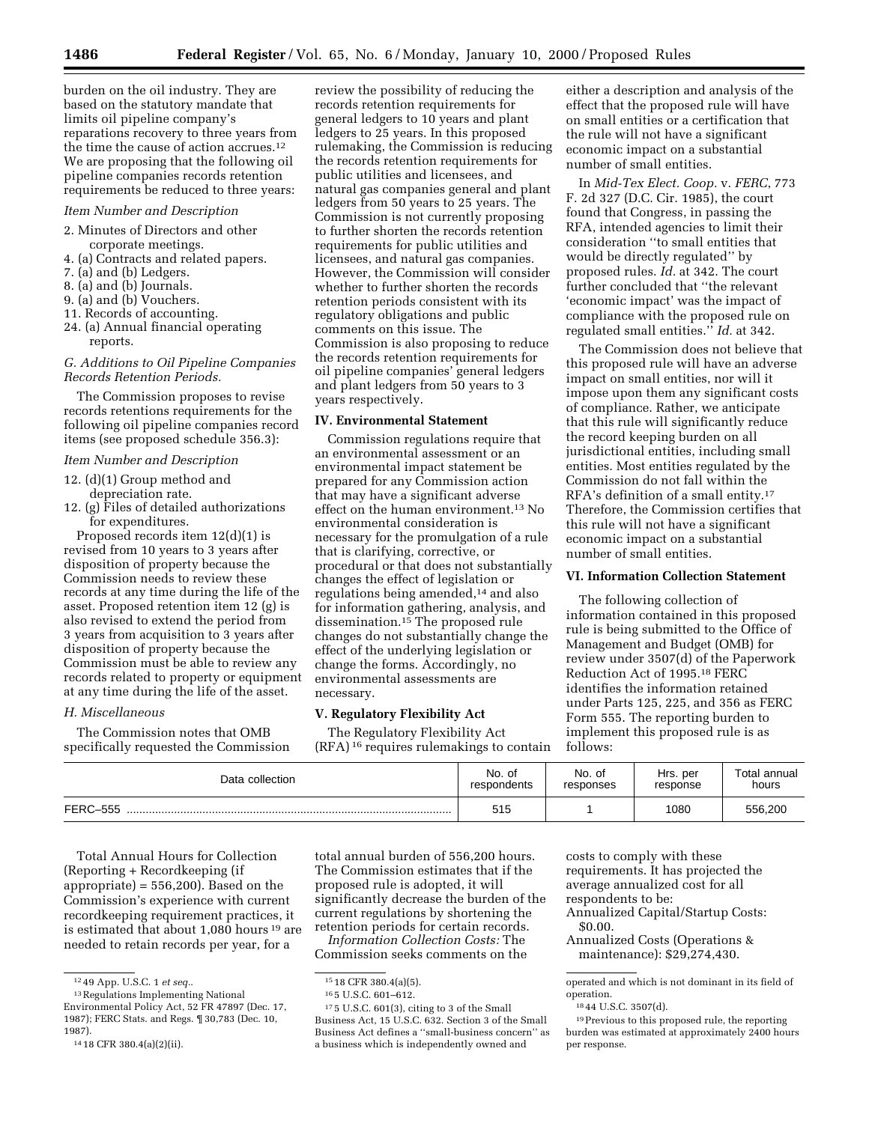burden on the oil industry. They are based on the statutory mandate that limits oil pipeline company's reparations recovery to three years from the time the cause of action accrues.12

We are proposing that the following oil pipeline companies records retention requirements be reduced to three years:

# *Item Number and Description*

- 2. Minutes of Directors and other corporate meetings.
- 4. (a) Contracts and related papers.
- 7. (a) and (b) Ledgers.
- 8. (a) and (b) Journals.
- 9. (a) and (b) Vouchers.
- 11. Records of accounting.
- 24. (a) Annual financial operating reports.

# *G. Additions to Oil Pipeline Companies Records Retention Periods.*

The Commission proposes to revise records retentions requirements for the following oil pipeline companies record items (see proposed schedule 356.3):

# *Item Number and Description*

- 12. (d)(1) Group method and depreciation rate.
- 12. (g) Files of detailed authorizations for expenditures.

Proposed records item 12(d)(1) is revised from 10 years to 3 years after disposition of property because the Commission needs to review these records at any time during the life of the asset. Proposed retention item 12 (g) is also revised to extend the period from 3 years from acquisition to 3 years after disposition of property because the Commission must be able to review any records related to property or equipment at any time during the life of the asset.

### *H. Miscellaneous*

The Commission notes that OMB specifically requested the Commission

review the possibility of reducing the records retention requirements for general ledgers to 10 years and plant ledgers to 25 years. In this proposed rulemaking, the Commission is reducing the records retention requirements for public utilities and licensees, and natural gas companies general and plant ledgers from 50 years to 25 years. The Commission is not currently proposing to further shorten the records retention requirements for public utilities and licensees, and natural gas companies. However, the Commission will consider whether to further shorten the records retention periods consistent with its regulatory obligations and public comments on this issue. The Commission is also proposing to reduce the records retention requirements for oil pipeline companies' general ledgers and plant ledgers from 50 years to 3 years respectively.

## **IV. Environmental Statement**

Commission regulations require that an environmental assessment or an environmental impact statement be prepared for any Commission action that may have a significant adverse effect on the human environment.13 No environmental consideration is necessary for the promulgation of a rule that is clarifying, corrective, or procedural or that does not substantially changes the effect of legislation or regulations being amended,14 and also for information gathering, analysis, and dissemination.15 The proposed rule changes do not substantially change the effect of the underlying legislation or change the forms. Accordingly, no environmental assessments are necessary.

# **V. Regulatory Flexibility Act**

The Regulatory Flexibility Act (RFA) 16 requires rulemakings to contain

either a description and analysis of the effect that the proposed rule will have on small entities or a certification that the rule will not have a significant economic impact on a substantial number of small entities.

In *Mid-Tex Elect. Coop.* v. *FERC*, 773 F. 2d 327 (D.C. Cir. 1985), the court found that Congress, in passing the RFA, intended agencies to limit their consideration ''to small entities that would be directly regulated'' by proposed rules. *Id.* at 342. The court further concluded that ''the relevant 'economic impact' was the impact of compliance with the proposed rule on regulated small entities.'' *Id.* at 342.

The Commission does not believe that this proposed rule will have an adverse impact on small entities, nor will it impose upon them any significant costs of compliance. Rather, we anticipate that this rule will significantly reduce the record keeping burden on all jurisdictional entities, including small entities. Most entities regulated by the Commission do not fall within the RFA's definition of a small entity.17 Therefore, the Commission certifies that this rule will not have a significant economic impact on a substantial number of small entities.

# **VI. Information Collection Statement**

The following collection of information contained in this proposed rule is being submitted to the Office of Management and Budget (OMB) for review under 3507(d) of the Paperwork Reduction Act of 1995.18 FERC identifies the information retained under Parts 125, 225, and 356 as FERC Form 555. The reporting burden to implement this proposed rule is as follows:

| Data collection | No. of      | No. of    | Hrs. per | Total annual |
|-----------------|-------------|-----------|----------|--------------|
|                 | respondents | responses | response | hours        |
| <b>FERC-555</b> | 515         |           | 1080     | 556,200      |

Total Annual Hours for Collection (Reporting + Recordkeeping (if appropriate) =  $556,200$ . Based on the Commission's experience with current recordkeeping requirement practices, it is estimated that about 1,080 hours 19 are needed to retain records per year, for a

total annual burden of 556,200 hours. The Commission estimates that if the proposed rule is adopted, it will significantly decrease the burden of the current regulations by shortening the retention periods for certain records.

*Information Collection Costs:* The Commission seeks comments on the

 $15$  18 CFR 380.4(a)(5).

costs to comply with these requirements. It has projected the average annualized cost for all

respondents to be:

Annualized Capital/Startup Costs: \$0.00.

Annualized Costs (Operations & maintenance): \$29,274,430.

<sup>12</sup> 49 App. U.S.C. 1 *et seq.*.

<sup>13</sup>Regulations Implementing National Environmental Policy Act, 52 FR 47897 (Dec. 17, 1987); FERC Stats. and Regs. ¶ 30,783 (Dec. 10, 1987).

<sup>14</sup> 18 CFR 380.4(a)(2)(ii).

<sup>16</sup> 5 U.S.C. 601–612.

 $^{\rm 17\,5}$  U.S.C. 601(3), citing to 3 of the Small Business Act, 15 U.S.C. 632. Section 3 of the Small Business Act defines a ''small-business concern'' as a business which is independently owned and

operated and which is not dominant in its field of operation.

<sup>18</sup> 44 U.S.C. 3507(d).

<sup>19</sup>Previous to this proposed rule, the reporting burden was estimated at approximately 2400 hours per response.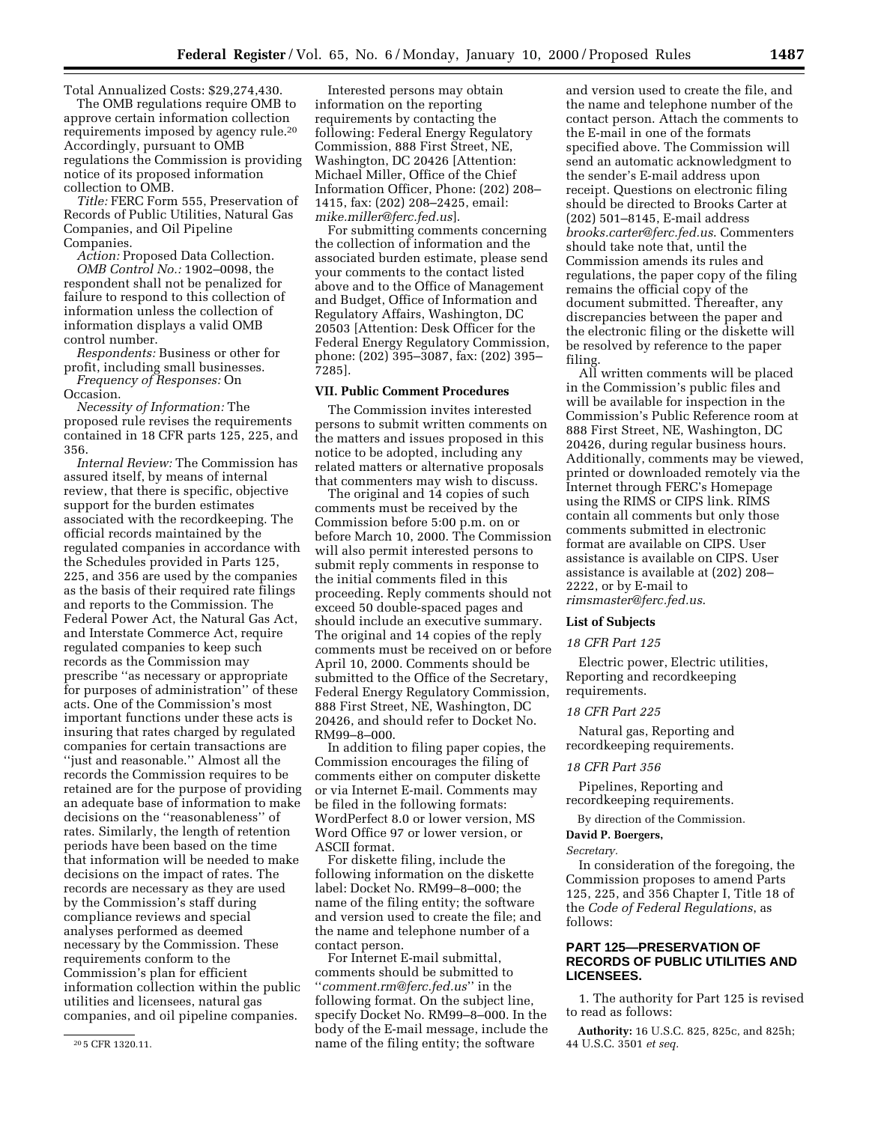Total Annualized Costs: \$29,274,430.

The OMB regulations require OMB to approve certain information collection requirements imposed by agency rule.20 Accordingly, pursuant to OMB regulations the Commission is providing notice of its proposed information collection to OMB.

*Title:* FERC Form 555, Preservation of Records of Public Utilities, Natural Gas Companies, and Oil Pipeline Companies.

*Action:* Proposed Data Collection. *OMB Control No.:* 1902–0098, the respondent shall not be penalized for failure to respond to this collection of information unless the collection of information displays a valid OMB control number.

*Respondents:* Business or other for profit, including small businesses. *Frequency of Responses:* On

Occasion.

*Necessity of Information:* The proposed rule revises the requirements contained in 18 CFR parts 125, 225, and 356.

*Internal Review:* The Commission has assured itself, by means of internal review, that there is specific, objective support for the burden estimates associated with the recordkeeping. The official records maintained by the regulated companies in accordance with the Schedules provided in Parts 125, 225, and 356 are used by the companies as the basis of their required rate filings and reports to the Commission. The Federal Power Act, the Natural Gas Act, and Interstate Commerce Act, require regulated companies to keep such records as the Commission may prescribe ''as necessary or appropriate for purposes of administration'' of these acts. One of the Commission's most important functions under these acts is insuring that rates charged by regulated companies for certain transactions are ''just and reasonable.'' Almost all the records the Commission requires to be retained are for the purpose of providing an adequate base of information to make decisions on the ''reasonableness'' of rates. Similarly, the length of retention periods have been based on the time that information will be needed to make decisions on the impact of rates. The records are necessary as they are used by the Commission's staff during compliance reviews and special analyses performed as deemed necessary by the Commission. These requirements conform to the Commission's plan for efficient information collection within the public utilities and licensees, natural gas companies, and oil pipeline companies.

Interested persons may obtain information on the reporting requirements by contacting the following: Federal Energy Regulatory Commission, 888 First Street, NE, Washington, DC 20426 [Attention: Michael Miller, Office of the Chief Information Officer, Phone: (202) 208– 1415, fax: (202) 208–2425, email: *mike.miller@ferc.fed.us*].

For submitting comments concerning the collection of information and the associated burden estimate, please send your comments to the contact listed above and to the Office of Management and Budget, Office of Information and Regulatory Affairs, Washington, DC 20503 [Attention: Desk Officer for the Federal Energy Regulatory Commission, phone: (202) 395–3087, fax: (202) 395– 7285].

### **VII. Public Comment Procedures**

The Commission invites interested persons to submit written comments on the matters and issues proposed in this notice to be adopted, including any related matters or alternative proposals that commenters may wish to discuss.

The original and 14 copies of such comments must be received by the Commission before 5:00 p.m. on or before March 10, 2000. The Commission will also permit interested persons to submit reply comments in response to the initial comments filed in this proceeding. Reply comments should not exceed 50 double-spaced pages and should include an executive summary. The original and 14 copies of the reply comments must be received on or before April 10, 2000. Comments should be submitted to the Office of the Secretary, Federal Energy Regulatory Commission, 888 First Street, NE, Washington, DC 20426, and should refer to Docket No. RM99–8–000.

In addition to filing paper copies, the Commission encourages the filing of comments either on computer diskette or via Internet E-mail. Comments may be filed in the following formats: WordPerfect 8.0 or lower version, MS Word Office 97 or lower version, or ASCII format.

For diskette filing, include the following information on the diskette label: Docket No. RM99–8–000; the name of the filing entity; the software and version used to create the file; and the name and telephone number of a contact person.

For Internet E-mail submittal, comments should be submitted to ''*comment.rm@ferc.fed.us*'' in the following format. On the subject line, specify Docket No. RM99–8–000. In the body of the E-mail message, include the name of the filing entity; the software

and version used to create the file, and the name and telephone number of the contact person. Attach the comments to the E-mail in one of the formats specified above. The Commission will send an automatic acknowledgment to the sender's E-mail address upon receipt. Questions on electronic filing should be directed to Brooks Carter at (202) 501–8145, E-mail address *brooks.carter@ferc.fed.us*. Commenters should take note that, until the Commission amends its rules and regulations, the paper copy of the filing remains the official copy of the document submitted. Thereafter, any discrepancies between the paper and the electronic filing or the diskette will be resolved by reference to the paper filing.

All written comments will be placed in the Commission's public files and will be available for inspection in the Commission's Public Reference room at 888 First Street, NE, Washington, DC 20426, during regular business hours. Additionally, comments may be viewed, printed or downloaded remotely via the Internet through FERC's Homepage using the RIMS or CIPS link. RIMS contain all comments but only those comments submitted in electronic format are available on CIPS. User assistance is available on CIPS. User assistance is available at (202) 208– 2222, or by E-mail to *rimsmaster@ferc.fed.us*.

#### **List of Subjects**

#### *18 CFR Part 125*

Electric power, Electric utilities, Reporting and recordkeeping requirements.

#### *18 CFR Part 225*

Natural gas, Reporting and recordkeeping requirements.

#### *18 CFR Part 356*

Pipelines, Reporting and recordkeeping requirements.

By direction of the Commission.

### **David P. Boergers,**

*Secretary.*

In consideration of the foregoing, the Commission proposes to amend Parts 125, 225, and 356 Chapter I, Title 18 of the *Code of Federal Regulations*, as follows:

# **PART 125—PRESERVATION OF RECORDS OF PUBLIC UTILITIES AND LICENSEES.**

1. The authority for Part 125 is revised to read as follows:

**Authority:** 16 U.S.C. 825, 825c, and 825h; 44 U.S.C. 3501 *et seq.*

<sup>20</sup> 5 CFR 1320.11.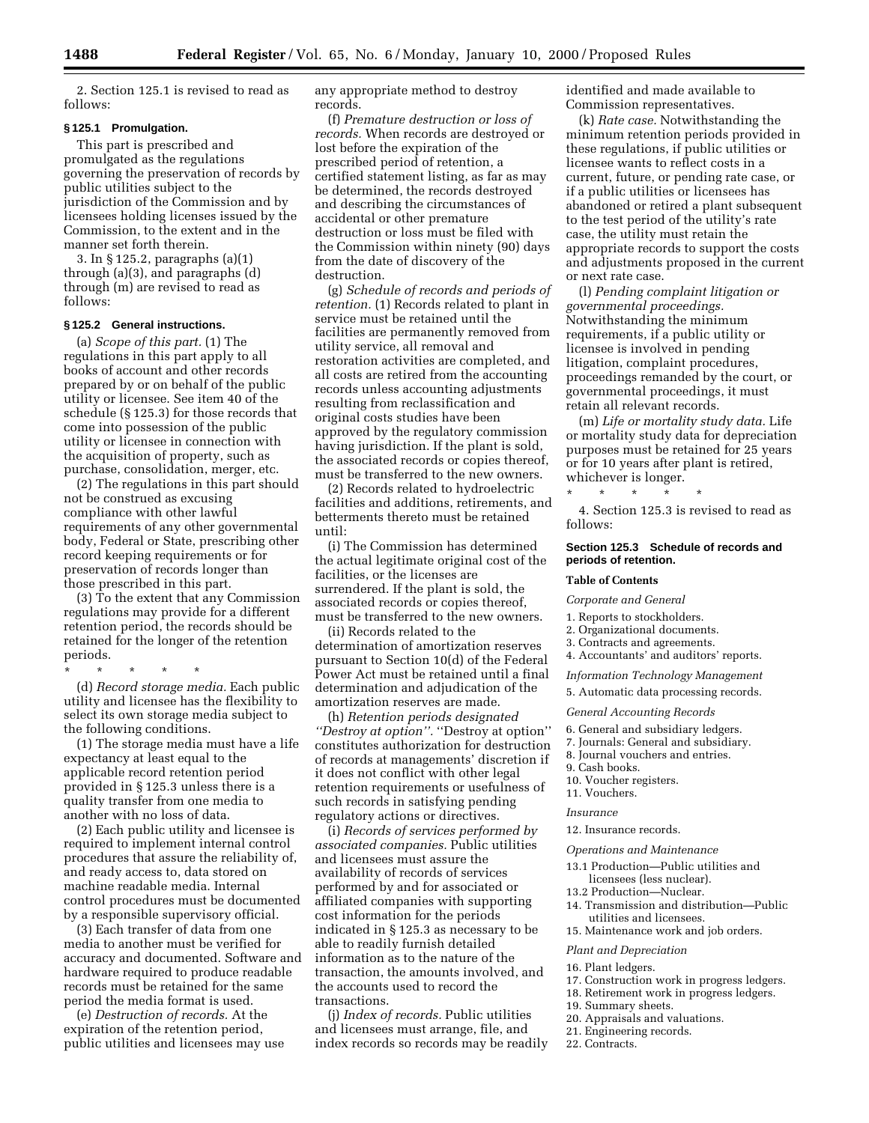2. Section 125.1 is revised to read as follows:

#### **§ 125.1 Promulgation.**

This part is prescribed and promulgated as the regulations governing the preservation of records by public utilities subject to the jurisdiction of the Commission and by licensees holding licenses issued by the Commission, to the extent and in the manner set forth therein.

3. In § 125.2, paragraphs (a)(1) through (a)(3), and paragraphs (d) through (m) are revised to read as follows:

### **§ 125.2 General instructions.**

(a) *Scope of this part.* (1) The regulations in this part apply to all books of account and other records prepared by or on behalf of the public utility or licensee. See item 40 of the schedule (§ 125.3) for those records that come into possession of the public utility or licensee in connection with the acquisition of property, such as purchase, consolidation, merger, etc.

(2) The regulations in this part should not be construed as excusing compliance with other lawful requirements of any other governmental body, Federal or State, prescribing other record keeping requirements or for preservation of records longer than those prescribed in this part.

(3) To the extent that any Commission regulations may provide for a different retention period, the records should be retained for the longer of the retention periods.

\* \* \* \* \*

(d) *Record storage media.* Each public utility and licensee has the flexibility to select its own storage media subject to the following conditions.

(1) The storage media must have a life expectancy at least equal to the applicable record retention period provided in § 125.3 unless there is a quality transfer from one media to another with no loss of data.

(2) Each public utility and licensee is required to implement internal control procedures that assure the reliability of, and ready access to, data stored on machine readable media. Internal control procedures must be documented by a responsible supervisory official.

(3) Each transfer of data from one media to another must be verified for accuracy and documented. Software and hardware required to produce readable records must be retained for the same period the media format is used.

(e) *Destruction of records.* At the expiration of the retention period, public utilities and licensees may use any appropriate method to destroy records.

(f) *Premature destruction or loss of records.* When records are destroyed or lost before the expiration of the prescribed period of retention, a certified statement listing, as far as may be determined, the records destroyed and describing the circumstances of accidental or other premature destruction or loss must be filed with the Commission within ninety (90) days from the date of discovery of the destruction.

(g) *Schedule of records and periods of retention.* (1) Records related to plant in service must be retained until the facilities are permanently removed from utility service, all removal and restoration activities are completed, and all costs are retired from the accounting records unless accounting adjustments resulting from reclassification and original costs studies have been approved by the regulatory commission having jurisdiction. If the plant is sold, the associated records or copies thereof, must be transferred to the new owners.

(2) Records related to hydroelectric facilities and additions, retirements, and betterments thereto must be retained until:

(i) The Commission has determined the actual legitimate original cost of the facilities, or the licenses are surrendered. If the plant is sold, the associated records or copies thereof, must be transferred to the new owners.

(ii) Records related to the determination of amortization reserves pursuant to Section 10(d) of the Federal Power Act must be retained until a final determination and adjudication of the amortization reserves are made.

(h) *Retention periods designated ''Destroy at option''.* ''Destroy at option'' constitutes authorization for destruction of records at managements' discretion if it does not conflict with other legal retention requirements or usefulness of such records in satisfying pending regulatory actions or directives.

(i) *Records of services performed by associated companies.* Public utilities and licensees must assure the availability of records of services performed by and for associated or affiliated companies with supporting cost information for the periods indicated in § 125.3 as necessary to be able to readily furnish detailed information as to the nature of the transaction, the amounts involved, and the accounts used to record the transactions.

(j) *Index of records.* Public utilities and licensees must arrange, file, and index records so records may be readily identified and made available to Commission representatives.

(k) *Rate case.* Notwithstanding the minimum retention periods provided in these regulations, if public utilities or licensee wants to reflect costs in a current, future, or pending rate case, or if a public utilities or licensees has abandoned or retired a plant subsequent to the test period of the utility's rate case, the utility must retain the appropriate records to support the costs and adjustments proposed in the current or next rate case.

(l) *Pending complaint litigation or governmental proceedings.* Notwithstanding the minimum requirements, if a public utility or licensee is involved in pending litigation, complaint procedures, proceedings remanded by the court, or governmental proceedings, it must retain all relevant records.

(m) *Life or mortality study data.* Life or mortality study data for depreciation purposes must be retained for 25 years or for 10 years after plant is retired, whichever is longer.

4. Section 125.3 is revised to read as follows:

# **Section 125.3 Schedule of records and periods of retention.**

# **Table of Contents**

*Corporate and General*

1. Reports to stockholders.

\* \* \* \* \*

- 2. Organizational documents.
- 3. Contracts and agreements.
- 4. Accountants' and auditors' reports.
- *Information Technology Management*
- 5. Automatic data processing records.

#### *General Accounting Records*

- 6. General and subsidiary ledgers.
- 7. Journals: General and subsidiary.
- 8. Journal vouchers and entries.
- 9. Cash books.
- 10. Voucher registers.
- 11. Vouchers.

#### *Insurance*

12. Insurance records.

*Operations and Maintenance*

- 13.1 Production—Public utilities and licensees (less nuclear).
- 13.2 Production—Nuclear.
- 14. Transmission and distribution—Public utilities and licensees.
- 15. Maintenance work and job orders.

# *Plant and Depreciation*

- 16. Plant ledgers.
- 17. Construction work in progress ledgers.
- 18. Retirement work in progress ledgers.
- 19. Summary sheets.
- 20. Appraisals and valuations.
- 21. Engineering records.
- 22. Contracts.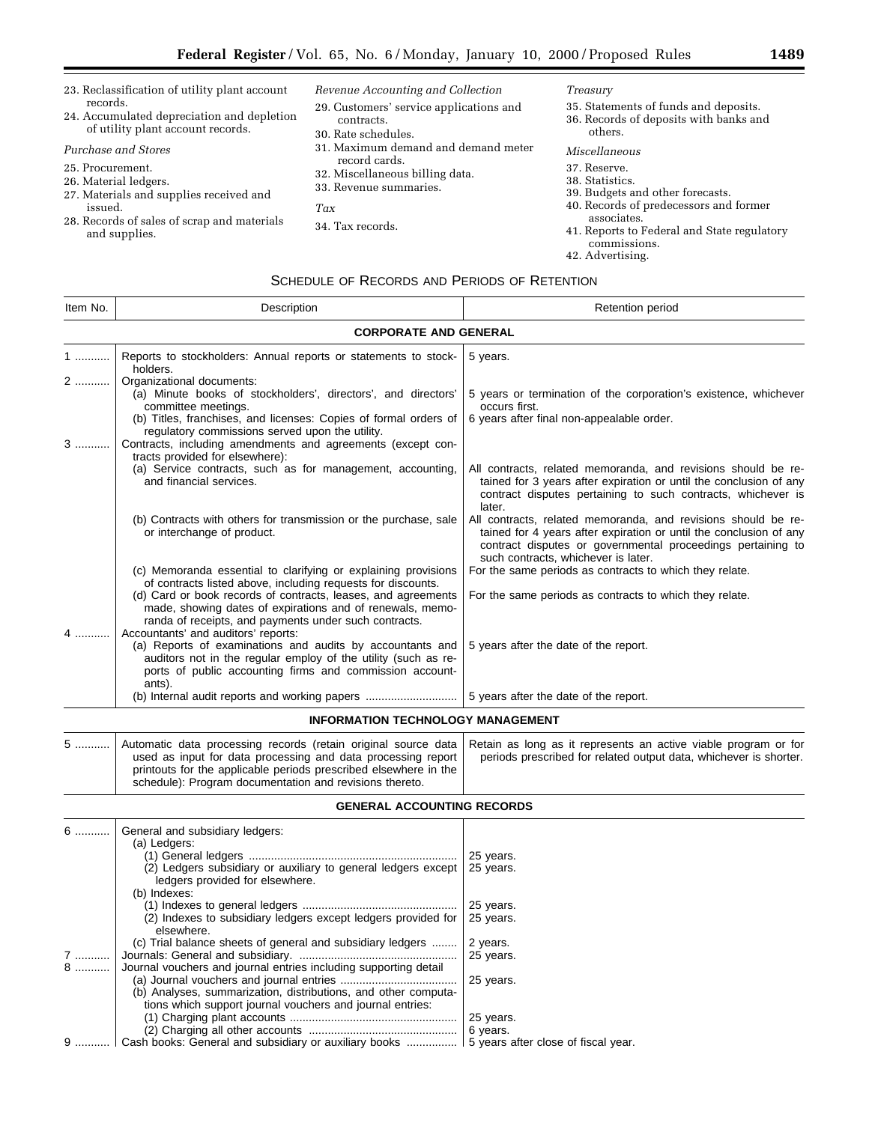- 23. Reclassification of utility plant account records. 24. Accumulated depreciation and depletion of utility plant account records. *Purchase and Stores* 25. Procurement. 26. Material ledgers. 27. Materials and supplies received and issued. 28. Records of sales of scrap and materials and supplies. *Revenue Accounting and Collection* 29. Customers' service applications and contracts. 30. Rate schedules. 31. Maximum demand and demand meter record cards. 32. Miscellaneous billing data. 33. Revenue summaries. *Tax* 34. Tax records. *Treasury* 35. Statements of funds and deposits. 36. Records of deposits with banks and others. *Miscellaneous* 37. Reserve. 38. Statistics. 39. Budgets and other forecasts. 40. Records of predecessors and former associates. 41. Reports to Federal and State regulatory commissions.
	- 42. Advertising.

# SCHEDULE OF RECORDS AND PERIODS OF RETENTION

| Item No. | Description                                                                                                                                                                                                                              | Retention period                                                                                                                                                                                                                                    |  |  |
|----------|------------------------------------------------------------------------------------------------------------------------------------------------------------------------------------------------------------------------------------------|-----------------------------------------------------------------------------------------------------------------------------------------------------------------------------------------------------------------------------------------------------|--|--|
|          | <b>CORPORATE AND GENERAL</b>                                                                                                                                                                                                             |                                                                                                                                                                                                                                                     |  |  |
| 1        | Reports to stockholders: Annual reports or statements to stock-<br>holders.                                                                                                                                                              | 5 years.                                                                                                                                                                                                                                            |  |  |
|          | Organizational documents:<br>(a) Minute books of stockholders', directors', and directors'<br>committee meetings.<br>(b) Titles, franchises, and licenses: Copies of formal orders of<br>regulatory commissions served upon the utility. | 5 years or termination of the corporation's existence, whichever<br>occurs first.<br>6 years after final non-appealable order.                                                                                                                      |  |  |
| $3$      | Contracts, including amendments and agreements (except con-<br>tracts provided for elsewhere):<br>(a) Service contracts, such as for management, accounting,<br>and financial services.                                                  | All contracts, related memoranda, and revisions should be re-<br>tained for 3 years after expiration or until the conclusion of any<br>contract disputes pertaining to such contracts, whichever is                                                 |  |  |
|          | (b) Contracts with others for transmission or the purchase, sale<br>or interchange of product.                                                                                                                                           | later.<br>All contracts, related memoranda, and revisions should be re-<br>tained for 4 years after expiration or until the conclusion of any<br>contract disputes or governmental proceedings pertaining to<br>such contracts, whichever is later. |  |  |
|          | (c) Memoranda essential to clarifying or explaining provisions<br>of contracts listed above, including requests for discounts.                                                                                                           | For the same periods as contracts to which they relate.                                                                                                                                                                                             |  |  |
| 4        | (d) Card or book records of contracts, leases, and agreements<br>made, showing dates of expirations and of renewals, memo-<br>randa of receipts, and payments under such contracts.<br>Accountants' and auditors' reports:               | For the same periods as contracts to which they relate.                                                                                                                                                                                             |  |  |
|          | (a) Reports of examinations and audits by accountants and<br>auditors not in the regular employ of the utility (such as re-<br>ports of public accounting firms and commission account-<br>ants).                                        | 5 years after the date of the report.                                                                                                                                                                                                               |  |  |
|          | (b) Internal audit reports and working papers                                                                                                                                                                                            | 5 years after the date of the report.                                                                                                                                                                                                               |  |  |
|          |                                                                                                                                                                                                                                          |                                                                                                                                                                                                                                                     |  |  |

### **INFORMATION TECHNOLOGY MANAGEMENT**

| Automatic data processing records (retain original source data Retain as long as it represents an active viable program or for<br>used as input for data processing and data processing report<br>printouts for the applicable periods prescribed elsewhere in the | periods prescribed for related output data, whichever is shorter. |
|--------------------------------------------------------------------------------------------------------------------------------------------------------------------------------------------------------------------------------------------------------------------|-------------------------------------------------------------------|
| schedule): Program documentation and revisions thereto.                                                                                                                                                                                                            |                                                                   |

# **GENERAL ACCOUNTING RECORDS**

| $6$    | General and subsidiary ledgers:<br>(a) Ledgers:<br>(2) Ledgers subsidiary or auxiliary to general ledgers except<br>ledgers provided for elsewhere. | 25 years.<br>25 years.              |
|--------|-----------------------------------------------------------------------------------------------------------------------------------------------------|-------------------------------------|
|        | (b) Indexes:<br>(2) Indexes to subsidiary ledgers except ledgers provided for<br>elsewhere.                                                         | 25 years.<br>25 years.              |
| 7<br>8 | (c) Trial balance sheets of general and subsidiary ledgers<br>Journal vouchers and journal entries including supporting detail                      | 2 years.<br>25 years.               |
|        | (b) Analyses, summarization, distributions, and other computa-<br>tions which support journal vouchers and journal entries:                         | 25 years.                           |
|        |                                                                                                                                                     | 25 years.                           |
|        |                                                                                                                                                     | 6 years.                            |
|        | Cash books: General and subsidiary or auxiliary books                                                                                               | 5 years after close of fiscal year. |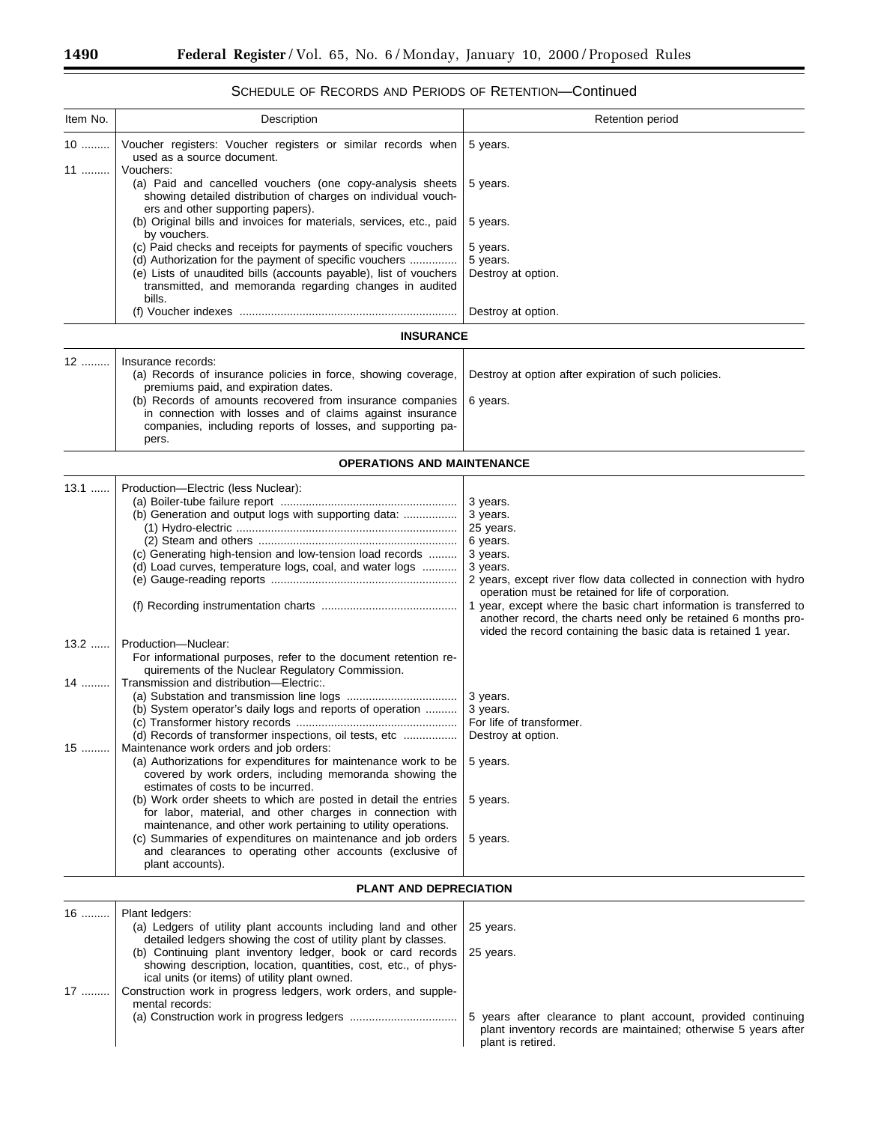| Item No. | Description                                                                                                                                                                          | Retention period                                                                                                                                                                                       |
|----------|--------------------------------------------------------------------------------------------------------------------------------------------------------------------------------------|--------------------------------------------------------------------------------------------------------------------------------------------------------------------------------------------------------|
| 10<br>11 | Voucher registers: Voucher registers or similar records when<br>used as a source document.<br>Vouchers:                                                                              | 5 years.                                                                                                                                                                                               |
|          | (a) Paid and cancelled vouchers (one copy-analysis sheets<br>showing detailed distribution of charges on individual vouch-<br>ers and other supporting papers).                      | 5 years.                                                                                                                                                                                               |
|          | (b) Original bills and invoices for materials, services, etc., paid<br>by vouchers.                                                                                                  | 5 years.                                                                                                                                                                                               |
|          | (c) Paid checks and receipts for payments of specific vouchers<br>(d) Authorization for the payment of specific vouchers                                                             | 5 years.                                                                                                                                                                                               |
|          | (e) Lists of unaudited bills (accounts payable), list of vouchers<br>transmitted, and memoranda regarding changes in audited<br>bills.                                               | 5 years.<br>Destroy at option.                                                                                                                                                                         |
|          |                                                                                                                                                                                      | Destroy at option.                                                                                                                                                                                     |
|          | <b>INSURANCE</b>                                                                                                                                                                     |                                                                                                                                                                                                        |
| 12       | Insurance records:                                                                                                                                                                   |                                                                                                                                                                                                        |
|          | (a) Records of insurance policies in force, showing coverage,<br>premiums paid, and expiration dates.                                                                                | Destroy at option after expiration of such policies.                                                                                                                                                   |
|          | (b) Records of amounts recovered from insurance companies<br>in connection with losses and of claims against insurance<br>companies, including reports of losses, and supporting pa- | 6 years.                                                                                                                                                                                               |
|          | pers.                                                                                                                                                                                |                                                                                                                                                                                                        |
|          | <b>OPERATIONS AND MAINTENANCE</b>                                                                                                                                                    |                                                                                                                                                                                                        |
| $13.1$   | Production-Electric (less Nuclear):                                                                                                                                                  |                                                                                                                                                                                                        |
|          |                                                                                                                                                                                      | 3 years.                                                                                                                                                                                               |
|          |                                                                                                                                                                                      | 3 years.                                                                                                                                                                                               |
|          |                                                                                                                                                                                      | 25 years.                                                                                                                                                                                              |
|          | (c) Generating high-tension and low-tension load records                                                                                                                             | 6 years.<br>3 years.                                                                                                                                                                                   |
|          | (d) Load curves, temperature logs, coal, and water logs                                                                                                                              | 3 years.                                                                                                                                                                                               |
|          |                                                                                                                                                                                      | 2 years, except river flow data collected in connection with hydro                                                                                                                                     |
|          |                                                                                                                                                                                      | operation must be retained for life of corporation.                                                                                                                                                    |
|          |                                                                                                                                                                                      | 1 year, except where the basic chart information is transferred to<br>another record, the charts need only be retained 6 months pro-<br>vided the record containing the basic data is retained 1 year. |
| $13.2$   | Production-Nuclear:                                                                                                                                                                  |                                                                                                                                                                                                        |
| 14       | For informational purposes, refer to the document retention re-<br>quirements of the Nuclear Regulatory Commission.<br>Transmission and distribution-Electric:.                      |                                                                                                                                                                                                        |
|          |                                                                                                                                                                                      | 3 years.                                                                                                                                                                                               |
|          | (b) System operator's daily logs and reports of operation                                                                                                                            | 3 years.                                                                                                                                                                                               |
|          |                                                                                                                                                                                      | For life of transformer.                                                                                                                                                                               |
|          | (d) Records of transformer inspections, oil tests, etc                                                                                                                               | Destroy at option.                                                                                                                                                                                     |
| $15$     | Maintenance work orders and job orders:                                                                                                                                              |                                                                                                                                                                                                        |
|          | (a) Authorizations for expenditures for maintenance work to be<br>covered by work orders, including memoranda showing the<br>estimates of costs to be incurred.                      | 5 years.                                                                                                                                                                                               |
|          | (b) Work order sheets to which are posted in detail the entries<br>for labor, material, and other charges in connection with                                                         | 5 years.                                                                                                                                                                                               |
|          | maintenance, and other work pertaining to utility operations.                                                                                                                        |                                                                                                                                                                                                        |
|          | (c) Summaries of expenditures on maintenance and job orders<br>and clearances to operating other accounts (exclusive of<br>plant accounts).                                          | 5 years.                                                                                                                                                                                               |
|          | PLANT AND DEPRECIATION                                                                                                                                                               |                                                                                                                                                                                                        |
| $16$     | Plant ledgers:                                                                                                                                                                       |                                                                                                                                                                                                        |
|          | (a) Ledgers of utility plant accounts including land and other<br>detailed ledgers showing the cost of utility plant by classes.                                                     | 25 years.                                                                                                                                                                                              |
|          | (b) Continuing plant inventory ledger, book or card records<br>showing description, location, quantities, cost, etc., of phys-                                                       | 25 years.                                                                                                                                                                                              |

ical units (or items) of utility plant owned.

mental records:

17 ......... Construction work in progress ledgers, work orders, and supple-

# SCHEDULE OF RECORDS AND PERIODS OF RETENTION—Continued

(a) Construction work in progress ledgers .................................. 5 years after clearance to plant account, provided continuing plant inventory records are maintained; otherwise 5 years after plant is retired.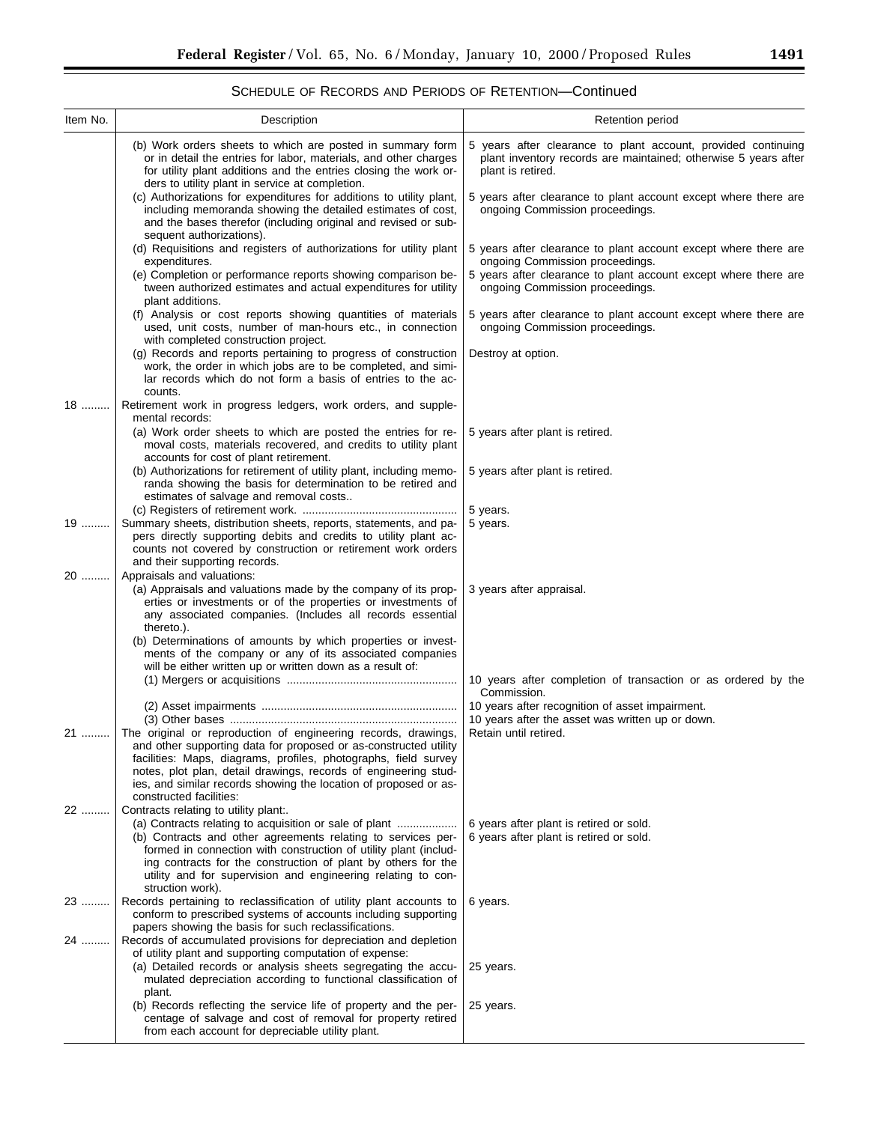$\equiv$ 

# SCHEDULE OF RECORDS AND PERIODS OF RETENTION—Continued

| Item No. | Description                                                                                                                                                                                                                                           | Retention period                                                                                                                                                      |
|----------|-------------------------------------------------------------------------------------------------------------------------------------------------------------------------------------------------------------------------------------------------------|-----------------------------------------------------------------------------------------------------------------------------------------------------------------------|
|          | (b) Work orders sheets to which are posted in summary form<br>or in detail the entries for labor, materials, and other charges<br>for utility plant additions and the entries closing the work or-<br>ders to utility plant in service at completion. | 5 years after clearance to plant account, provided continuing<br>plant inventory records are maintained; otherwise 5 years after<br>plant is retired.                 |
|          | (c) Authorizations for expenditures for additions to utility plant,<br>including memoranda showing the detailed estimates of cost,<br>and the bases therefor (including original and revised or sub-<br>sequent authorizations).                      | 5 years after clearance to plant account except where there are<br>ongoing Commission proceedings.                                                                    |
|          | (d) Requisitions and registers of authorizations for utility plant<br>expenditures.<br>(e) Completion or performance reports showing comparison be-                                                                                                   | 5 years after clearance to plant account except where there are<br>ongoing Commission proceedings.<br>5 years after clearance to plant account except where there are |
|          | tween authorized estimates and actual expenditures for utility<br>plant additions.                                                                                                                                                                    | ongoing Commission proceedings.                                                                                                                                       |
|          | (f) Analysis or cost reports showing quantities of materials<br>used, unit costs, number of man-hours etc., in connection<br>with completed construction project.                                                                                     | 5 years after clearance to plant account except where there are<br>ongoing Commission proceedings.                                                                    |
|          | (g) Records and reports pertaining to progress of construction<br>work, the order in which jobs are to be completed, and simi-<br>lar records which do not form a basis of entries to the ac-<br>counts.                                              | Destroy at option.                                                                                                                                                    |
| 18       | Retirement work in progress ledgers, work orders, and supple-<br>mental records:                                                                                                                                                                      |                                                                                                                                                                       |
|          | (a) Work order sheets to which are posted the entries for re-<br>moval costs, materials recovered, and credits to utility plant<br>accounts for cost of plant retirement.                                                                             | 5 years after plant is retired.                                                                                                                                       |
|          | (b) Authorizations for retirement of utility plant, including memo-<br>randa showing the basis for determination to be retired and<br>estimates of salvage and removal costs                                                                          | 5 years after plant is retired.                                                                                                                                       |
|          |                                                                                                                                                                                                                                                       | 5 years.                                                                                                                                                              |
| 19       | Summary sheets, distribution sheets, reports, statements, and pa-                                                                                                                                                                                     | 5 years.                                                                                                                                                              |
|          | pers directly supporting debits and credits to utility plant ac-<br>counts not covered by construction or retirement work orders                                                                                                                      |                                                                                                                                                                       |
|          | and their supporting records.                                                                                                                                                                                                                         |                                                                                                                                                                       |
| 20       | Appraisals and valuations:                                                                                                                                                                                                                            |                                                                                                                                                                       |
|          | (a) Appraisals and valuations made by the company of its prop-<br>erties or investments or of the properties or investments of<br>any associated companies. (Includes all records essential<br>thereto.).                                             | 3 years after appraisal.                                                                                                                                              |
|          | (b) Determinations of amounts by which properties or invest-<br>ments of the company or any of its associated companies                                                                                                                               |                                                                                                                                                                       |
|          | will be either written up or written down as a result of:                                                                                                                                                                                             | 10 years after completion of transaction or as ordered by the                                                                                                         |
|          |                                                                                                                                                                                                                                                       | Commission.                                                                                                                                                           |
|          |                                                                                                                                                                                                                                                       | 10 years after recognition of asset impairment.<br>10 years after the asset was written up or down.                                                                   |
| 21       | The original or reproduction of engineering records, drawings,                                                                                                                                                                                        | Retain until retired.                                                                                                                                                 |
|          | and other supporting data for proposed or as-constructed utility                                                                                                                                                                                      |                                                                                                                                                                       |
|          | facilities: Maps, diagrams, profiles, photographs, field survey                                                                                                                                                                                       |                                                                                                                                                                       |
|          | notes, plot plan, detail drawings, records of engineering stud-                                                                                                                                                                                       |                                                                                                                                                                       |
|          | ies, and similar records showing the location of proposed or as-<br>constructed facilities:                                                                                                                                                           |                                                                                                                                                                       |
| 22       | Contracts relating to utility plant                                                                                                                                                                                                                   |                                                                                                                                                                       |
|          | (a) Contracts relating to acquisition or sale of plant                                                                                                                                                                                                | 6 years after plant is retired or sold.                                                                                                                               |
|          | (b) Contracts and other agreements relating to services per-                                                                                                                                                                                          | 6 years after plant is retired or sold.                                                                                                                               |
|          | formed in connection with construction of utility plant (includ-                                                                                                                                                                                      |                                                                                                                                                                       |
|          | ing contracts for the construction of plant by others for the<br>utility and for supervision and engineering relating to con-                                                                                                                         |                                                                                                                                                                       |
|          | struction work).                                                                                                                                                                                                                                      |                                                                                                                                                                       |
| $23$     | Records pertaining to reclassification of utility plant accounts to                                                                                                                                                                                   | 6 years.                                                                                                                                                              |
|          | conform to prescribed systems of accounts including supporting<br>papers showing the basis for such reclassifications.                                                                                                                                |                                                                                                                                                                       |
| 24       | Records of accumulated provisions for depreciation and depletion                                                                                                                                                                                      |                                                                                                                                                                       |
|          | of utility plant and supporting computation of expense:                                                                                                                                                                                               |                                                                                                                                                                       |
|          | (a) Detailed records or analysis sheets segregating the accu-                                                                                                                                                                                         | 25 years.                                                                                                                                                             |
|          | mulated depreciation according to functional classification of<br>plant.                                                                                                                                                                              |                                                                                                                                                                       |
|          | (b) Records reflecting the service life of property and the per-                                                                                                                                                                                      | 25 years.                                                                                                                                                             |
|          | centage of salvage and cost of removal for property retired                                                                                                                                                                                           |                                                                                                                                                                       |
|          | from each account for depreciable utility plant.                                                                                                                                                                                                      |                                                                                                                                                                       |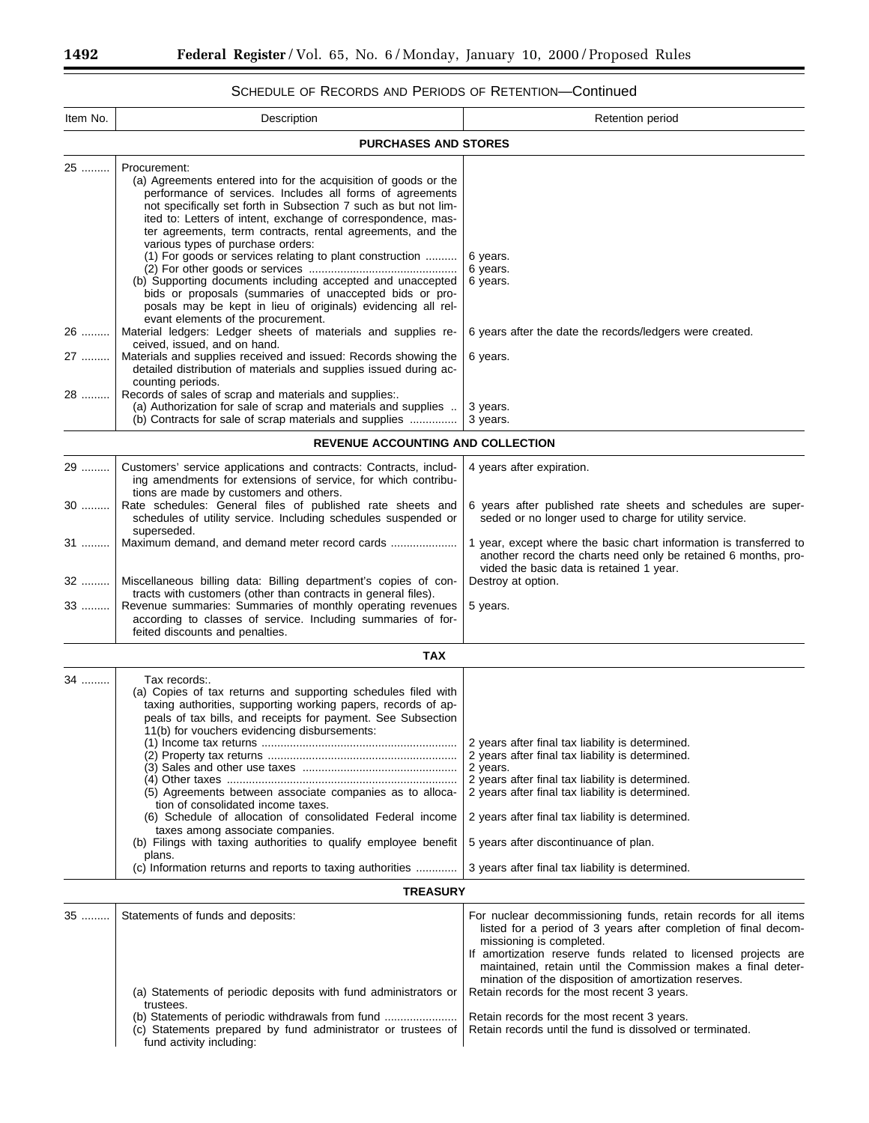# SCHEDULE OF RECORDS AND PERIODS OF RETENTION—Continued

| Item No.             | Description                                                                                                                                                                                                                                                                                                                                                                                                                                                                                                                                                                                                                                                                                                                                                                                                                                                                                                                                                                                                                                                             | Retention period                                                                                                                                                                                                                                                                                                                                                                                                                                                                                                     |  |  |
|----------------------|-------------------------------------------------------------------------------------------------------------------------------------------------------------------------------------------------------------------------------------------------------------------------------------------------------------------------------------------------------------------------------------------------------------------------------------------------------------------------------------------------------------------------------------------------------------------------------------------------------------------------------------------------------------------------------------------------------------------------------------------------------------------------------------------------------------------------------------------------------------------------------------------------------------------------------------------------------------------------------------------------------------------------------------------------------------------------|----------------------------------------------------------------------------------------------------------------------------------------------------------------------------------------------------------------------------------------------------------------------------------------------------------------------------------------------------------------------------------------------------------------------------------------------------------------------------------------------------------------------|--|--|
|                      | <b>PURCHASES AND STORES</b>                                                                                                                                                                                                                                                                                                                                                                                                                                                                                                                                                                                                                                                                                                                                                                                                                                                                                                                                                                                                                                             |                                                                                                                                                                                                                                                                                                                                                                                                                                                                                                                      |  |  |
| 25<br>26<br>27<br>28 | Procurement:<br>(a) Agreements entered into for the acquisition of goods or the<br>performance of services. Includes all forms of agreements<br>not specifically set forth in Subsection 7 such as but not lim-<br>ited to: Letters of intent, exchange of correspondence, mas-<br>ter agreements, term contracts, rental agreements, and the<br>various types of purchase orders:<br>(1) For goods or services relating to plant construction<br>(b) Supporting documents including accepted and unaccepted<br>bids or proposals (summaries of unaccepted bids or pro-<br>posals may be kept in lieu of originals) evidencing all rel-<br>evant elements of the procurement.<br>Material ledgers: Ledger sheets of materials and supplies re-<br>ceived, issued, and on hand.<br>Materials and supplies received and issued: Records showing the<br>detailed distribution of materials and supplies issued during ac-<br>counting periods.<br>Records of sales of scrap and materials and supplies:.<br>(a) Authorization for sale of scrap and materials and supplies | 6 years.<br>6 years.<br>6 years.<br>6 years after the date the records/ledgers were created.<br>6 years.<br>3 years.                                                                                                                                                                                                                                                                                                                                                                                                 |  |  |
|                      | (b) Contracts for sale of scrap materials and supplies                                                                                                                                                                                                                                                                                                                                                                                                                                                                                                                                                                                                                                                                                                                                                                                                                                                                                                                                                                                                                  | 3 years.                                                                                                                                                                                                                                                                                                                                                                                                                                                                                                             |  |  |
|                      | <b>REVENUE ACCOUNTING AND COLLECTION</b>                                                                                                                                                                                                                                                                                                                                                                                                                                                                                                                                                                                                                                                                                                                                                                                                                                                                                                                                                                                                                                |                                                                                                                                                                                                                                                                                                                                                                                                                                                                                                                      |  |  |
| 29<br>30             | Customers' service applications and contracts: Contracts, includ-<br>ing amendments for extensions of service, for which contribu-<br>tions are made by customers and others.<br>Rate schedules: General files of published rate sheets and                                                                                                                                                                                                                                                                                                                                                                                                                                                                                                                                                                                                                                                                                                                                                                                                                             | 4 years after expiration.<br>6 years after published rate sheets and schedules are super-                                                                                                                                                                                                                                                                                                                                                                                                                            |  |  |
|                      | schedules of utility service. Including schedules suspended or<br>superseded.<br>Maximum demand, and demand meter record cards                                                                                                                                                                                                                                                                                                                                                                                                                                                                                                                                                                                                                                                                                                                                                                                                                                                                                                                                          | seded or no longer used to charge for utility service.                                                                                                                                                                                                                                                                                                                                                                                                                                                               |  |  |
| 31<br>32<br>33       | Miscellaneous billing data: Billing department's copies of con-<br>tracts with customers (other than contracts in general files).<br>Revenue summaries: Summaries of monthly operating revenues                                                                                                                                                                                                                                                                                                                                                                                                                                                                                                                                                                                                                                                                                                                                                                                                                                                                         | 1 year, except where the basic chart information is transferred to<br>another record the charts need only be retained 6 months, pro-<br>vided the basic data is retained 1 year.<br>Destroy at option.<br>5 years.                                                                                                                                                                                                                                                                                                   |  |  |
|                      | according to classes of service. Including summaries of for-<br>feited discounts and penalties.                                                                                                                                                                                                                                                                                                                                                                                                                                                                                                                                                                                                                                                                                                                                                                                                                                                                                                                                                                         |                                                                                                                                                                                                                                                                                                                                                                                                                                                                                                                      |  |  |
|                      | <b>TAX</b>                                                                                                                                                                                                                                                                                                                                                                                                                                                                                                                                                                                                                                                                                                                                                                                                                                                                                                                                                                                                                                                              |                                                                                                                                                                                                                                                                                                                                                                                                                                                                                                                      |  |  |
| 34                   | Tax records:.<br>(a) Copies of tax returns and supporting schedules filed with<br>taxing authorities, supporting working papers, records of ap-<br>peals of tax bills, and receipts for payment. See Subsection<br>11(b) for vouchers evidencing disbursements:<br>(5) Agreements between associate companies as to alloca-<br>tion of consolidated income taxes.<br>(6) Schedule of allocation of consolidated Federal income<br>taxes among associate companies.<br>(b) Filings with taxing authorities to qualify employee benefit<br>plans.<br>(c) Information returns and reports to taxing authorities                                                                                                                                                                                                                                                                                                                                                                                                                                                            | 2 years after final tax liability is determined.<br>2 years after final tax liability is determined.<br>2 years.<br>2 years after final tax liability is determined.<br>2 years after final tax liability is determined.<br>2 years after final tax liability is determined.<br>5 years after discontinuance of plan.<br>3 years after final tax liability is determined.                                                                                                                                            |  |  |
|                      | <b>TREASURY</b>                                                                                                                                                                                                                                                                                                                                                                                                                                                                                                                                                                                                                                                                                                                                                                                                                                                                                                                                                                                                                                                         |                                                                                                                                                                                                                                                                                                                                                                                                                                                                                                                      |  |  |
| 35                   | Statements of funds and deposits:<br>(a) Statements of periodic deposits with fund administrators or<br>trustees.<br>(b) Statements of periodic withdrawals from fund<br>(c) Statements prepared by fund administrator or trustees of<br>fund activity including:                                                                                                                                                                                                                                                                                                                                                                                                                                                                                                                                                                                                                                                                                                                                                                                                       | For nuclear decommissioning funds, retain records for all items<br>listed for a period of 3 years after completion of final decom-<br>missioning is completed.<br>If amortization reserve funds related to licensed projects are<br>maintained, retain until the Commission makes a final deter-<br>mination of the disposition of amortization reserves.<br>Retain records for the most recent 3 years.<br>Retain records for the most recent 3 years.<br>Retain records until the fund is dissolved or terminated. |  |  |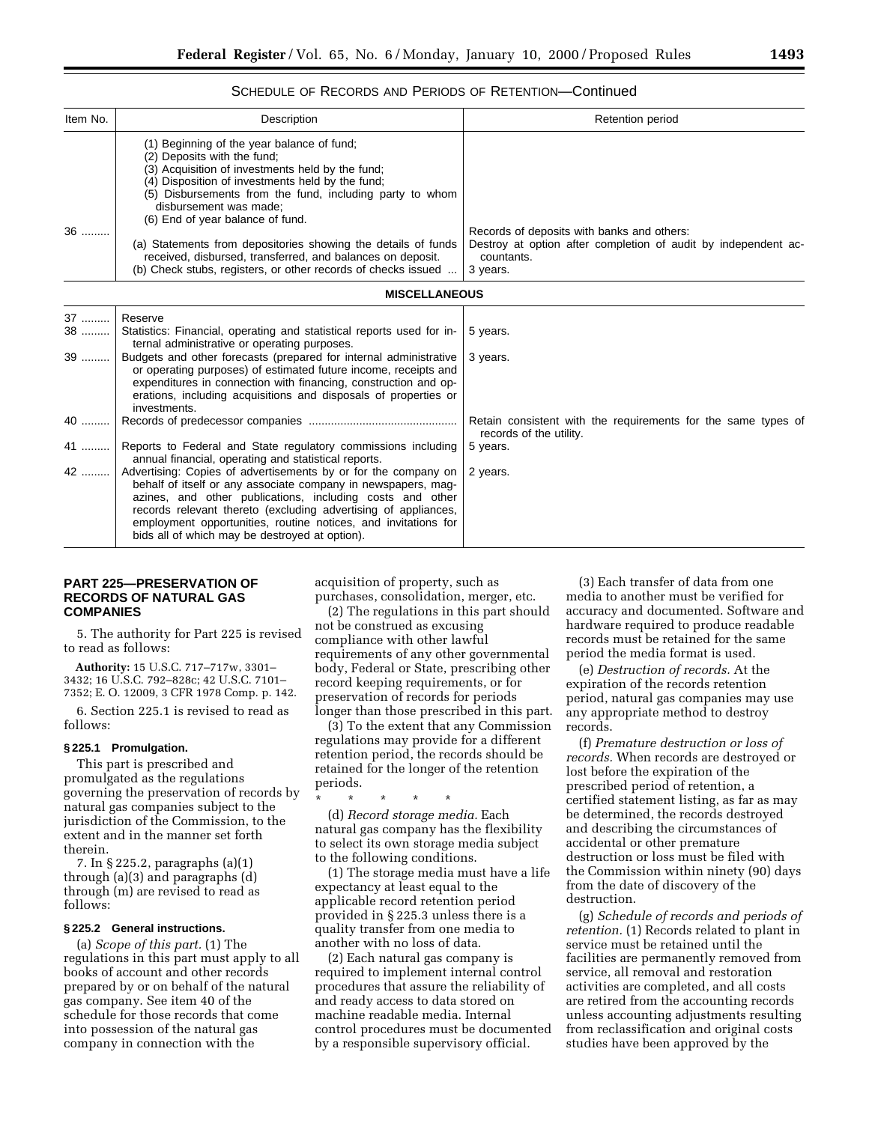### SCHEDULE OF RECORDS AND PERIODS OF RETENTION—Continued

| Item No. | Description                                                                                                                                                                                                                                                                                                 | <b>Retention period</b>                                                                                                                |
|----------|-------------------------------------------------------------------------------------------------------------------------------------------------------------------------------------------------------------------------------------------------------------------------------------------------------------|----------------------------------------------------------------------------------------------------------------------------------------|
|          | (1) Beginning of the year balance of fund;<br>(2) Deposits with the fund;<br>(3) Acquisition of investments held by the fund;<br>(4) Disposition of investments held by the fund;<br>(5) Disbursements from the fund, including party to whom<br>disbursement was made:<br>(6) End of year balance of fund. |                                                                                                                                        |
| 36       | (a) Statements from depositories showing the details of funds<br>received, disbursed, transferred, and balances on deposit.<br>(b) Check stubs, registers, or other records of checks issued                                                                                                                | Records of deposits with banks and others:<br>Destroy at option after completion of audit by independent ac-<br>countants.<br>3 years. |

| 37 | Reserve                                                                                                                                                                                                                                                                                                                                                                            |                                                                                          |
|----|------------------------------------------------------------------------------------------------------------------------------------------------------------------------------------------------------------------------------------------------------------------------------------------------------------------------------------------------------------------------------------|------------------------------------------------------------------------------------------|
| 38 | Statistics: Financial, operating and statistical reports used for in-<br>ternal administrative or operating purposes.                                                                                                                                                                                                                                                              | 5 years.                                                                                 |
| 39 | Budgets and other forecasts (prepared for internal administrative<br>or operating purposes) of estimated future income, receipts and<br>expenditures in connection with financing, construction and op-<br>erations, including acquisitions and disposals of properties or<br>investments.                                                                                         | 3 years.                                                                                 |
| 40 |                                                                                                                                                                                                                                                                                                                                                                                    | Retain consistent with the requirements for the same types of<br>records of the utility. |
| 41 | Reports to Federal and State regulatory commissions including<br>annual financial, operating and statistical reports.                                                                                                                                                                                                                                                              | 5 years.                                                                                 |
| 42 | Advertising: Copies of advertisements by or for the company on<br>behalf of itself or any associate company in newspapers, mag-<br>azines, and other publications, including costs and other<br>records relevant thereto (excluding advertising of appliances,<br>employment opportunities, routine notices, and invitations for<br>bids all of which may be destroyed at option). | 2 years.                                                                                 |

# **PART 225—PRESERVATION OF RECORDS OF NATURAL GAS COMPANIES**

5. The authority for Part 225 is revised to read as follows:

**Authority:** 15 U.S.C. 717–717w, 3301– 3432; 16 U.S.C. 792–828c; 42 U.S.C. 7101– 7352; E. O. 12009, 3 CFR 1978 Comp. p. 142.

6. Section 225.1 is revised to read as follows:

#### **§ 225.1 Promulgation.**

This part is prescribed and promulgated as the regulations governing the preservation of records by natural gas companies subject to the jurisdiction of the Commission, to the extent and in the manner set forth therein.

7. In § 225.2, paragraphs (a)(1) through (a)(3) and paragraphs (d) through (m) are revised to read as follows:

### **§ 225.2 General instructions.**

(a) *Scope of this part.* (1) The regulations in this part must apply to all books of account and other records prepared by or on behalf of the natural gas company. See item 40 of the schedule for those records that come into possession of the natural gas company in connection with the

acquisition of property, such as purchases, consolidation, merger, etc.

(2) The regulations in this part should not be construed as excusing compliance with other lawful requirements of any other governmental body, Federal or State, prescribing other record keeping requirements, or for preservation of records for periods longer than those prescribed in this part.

(3) To the extent that any Commission regulations may provide for a different retention period, the records should be retained for the longer of the retention periods.

\* \* \* \* \* (d) *Record storage media.* Each natural gas company has the flexibility to select its own storage media subject to the following conditions.

(1) The storage media must have a life expectancy at least equal to the applicable record retention period provided in § 225.3 unless there is a quality transfer from one media to another with no loss of data.

(2) Each natural gas company is required to implement internal control procedures that assure the reliability of and ready access to data stored on machine readable media. Internal control procedures must be documented by a responsible supervisory official.

(3) Each transfer of data from one media to another must be verified for accuracy and documented. Software and hardware required to produce readable records must be retained for the same period the media format is used.

(e) *Destruction of records.* At the expiration of the records retention period, natural gas companies may use any appropriate method to destroy records.

(f) *Premature destruction or loss of records.* When records are destroyed or lost before the expiration of the prescribed period of retention, a certified statement listing, as far as may be determined, the records destroyed and describing the circumstances of accidental or other premature destruction or loss must be filed with the Commission within ninety (90) days from the date of discovery of the destruction.

(g) *Schedule of records and periods of retention.* (1) Records related to plant in service must be retained until the facilities are permanently removed from service, all removal and restoration activities are completed, and all costs are retired from the accounting records unless accounting adjustments resulting from reclassification and original costs studies have been approved by the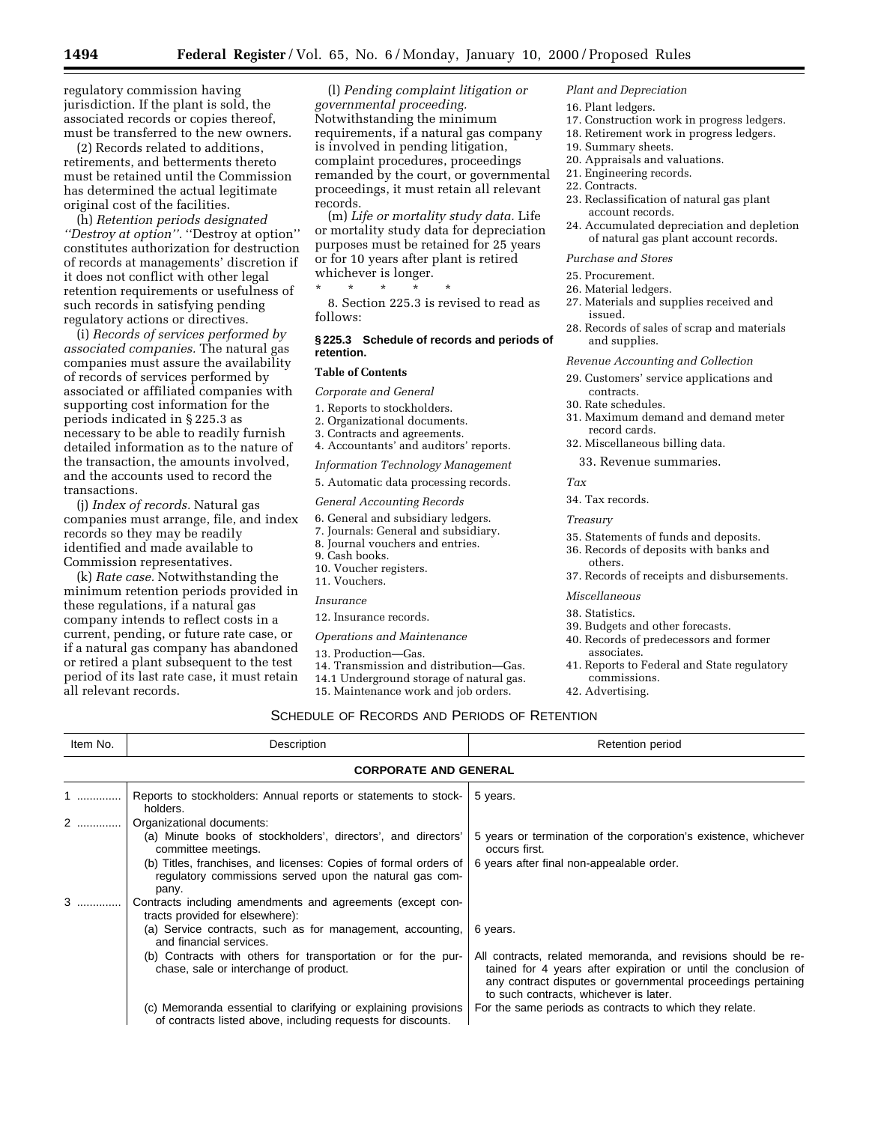regulatory commission having jurisdiction. If the plant is sold, the associated records or copies thereof, must be transferred to the new owners.

(2) Records related to additions, retirements, and betterments thereto must be retained until the Commission has determined the actual legitimate original cost of the facilities.

(h) *Retention periods designated ''Destroy at option''.* ''Destroy at option'' constitutes authorization for destruction of records at managements' discretion if it does not conflict with other legal retention requirements or usefulness of such records in satisfying pending regulatory actions or directives.

(i) *Records of services performed by associated companies.* The natural gas companies must assure the availability of records of services performed by associated or affiliated companies with supporting cost information for the periods indicated in § 225.3 as necessary to be able to readily furnish detailed information as to the nature of the transaction, the amounts involved, and the accounts used to record the transactions.

(j) *Index of records.* Natural gas companies must arrange, file, and index records so they may be readily identified and made available to Commission representatives.

(k) *Rate case.* Notwithstanding the minimum retention periods provided in these regulations, if a natural gas company intends to reflect costs in a current, pending, or future rate case, or if a natural gas company has abandoned or retired a plant subsequent to the test period of its last rate case, it must retain all relevant records.

(l) *Pending complaint litigation or governmental proceeding.* Notwithstanding the minimum requirements, if a natural gas company is involved in pending litigation, complaint procedures, proceedings remanded by the court, or governmental proceedings, it must retain all relevant records.

(m) *Life or mortality study data.* Life or mortality study data for depreciation purposes must be retained for 25 years or for 10 years after plant is retired whichever is longer.

\* \* \* \* \* 8. Section 225.3 is revised to read as follows:

### **§ 225.3 Schedule of records and periods of retention.**

### **Table of Contents**

*Corporate and General*

- 1. Reports to stockholders.
- 2. Organizational documents.
- 3. Contracts and agreements.
- 4. Accountants' and auditors' reports.
- *Information Technology Management*
- 5. Automatic data processing records.

#### *General Accounting Records*

- 6. General and subsidiary ledgers.
- 7. Journals: General and subsidiary.
- 
- 
- 10. Voucher registers.

#### *Insurance*

- 12. Insurance records.
- *Operations and Maintenance*
- 13. Production—Gas.
- 14. Transmission and distribution—Gas.
- 14.1 Underground storage of natural gas.
- 15. Maintenance work and job orders.
	-

#### *Plant and Depreciation*

- 16. Plant ledgers.
- 17. Construction work in progress ledgers.
- 18. Retirement work in progress ledgers.
- 19. Summary sheets.
- 20. Appraisals and valuations.
- 21. Engineering records.
- 22. Contracts.
- 23. Reclassification of natural gas plant account records.
- 24. Accumulated depreciation and depletion of natural gas plant account records.

### *Purchase and Stores*

- 25. Procurement.
- 26. Material ledgers.
- 27. Materials and supplies received and issued.
- 28. Records of sales of scrap and materials and supplies.

#### *Revenue Accounting and Collection*

- 29. Customers' service applications and contracts.
- 30. Rate schedules.
- 31. Maximum demand and demand meter record cards.
- 32. Miscellaneous billing data.
	- 33. Revenue summaries.

### *Tax*

34. Tax records.

### *Treasury*

- 35. Statements of funds and deposits.
- 36. Records of deposits with banks and others.
- 37. Records of receipts and disbursements.

#### *Miscellaneous*

- 38. Statistics.
- 39. Budgets and other forecasts.
- 40. Records of predecessors and former associates.
- 41. Reports to Federal and State regulatory commissions.
- 42. Advertising.

# SCHEDULE OF RECORDS AND PERIODS OF RETENTION

| Item No. | Description                                                                                                                                                                                                                                                                                      | Retention period                                                                                                                                                                                                                                      |
|----------|--------------------------------------------------------------------------------------------------------------------------------------------------------------------------------------------------------------------------------------------------------------------------------------------------|-------------------------------------------------------------------------------------------------------------------------------------------------------------------------------------------------------------------------------------------------------|
|          | <b>CORPORATE AND GENERAL</b>                                                                                                                                                                                                                                                                     |                                                                                                                                                                                                                                                       |
|          | Reports to stockholders: Annual reports or statements to stock-<br>holders.                                                                                                                                                                                                                      | 5 years.                                                                                                                                                                                                                                              |
|          | Organizational documents:<br>(a) Minute books of stockholders', directors', and directors'<br>committee meetings.<br>(b) Titles, franchises, and licenses: Copies of formal orders of<br>regulatory commissions served upon the natural gas com-<br>pany.                                        | 5 years or termination of the corporation's existence, whichever<br>occurs first.<br>6 years after final non-appealable order.                                                                                                                        |
|          | Contracts including amendments and agreements (except con-<br>tracts provided for elsewhere):<br>(a) Service contracts, such as for management, accounting,<br>and financial services.<br>(b) Contracts with others for transportation or for the pur-<br>chase, sale or interchange of product. | 6 years.<br>All contracts, related memoranda, and revisions should be re-<br>tained for 4 years after expiration or until the conclusion of<br>any contract disputes or governmental proceedings pertaining<br>to such contracts, whichever is later. |
|          | (c) Memoranda essential to clarifying or explaining provisions<br>of contracts listed above, including requests for discounts.                                                                                                                                                                   | For the same periods as contracts to which they relate.                                                                                                                                                                                               |

- 
- 
- 8. Journal vouchers and entries.
- 9. Cash books.
- 
- 11. Vouchers.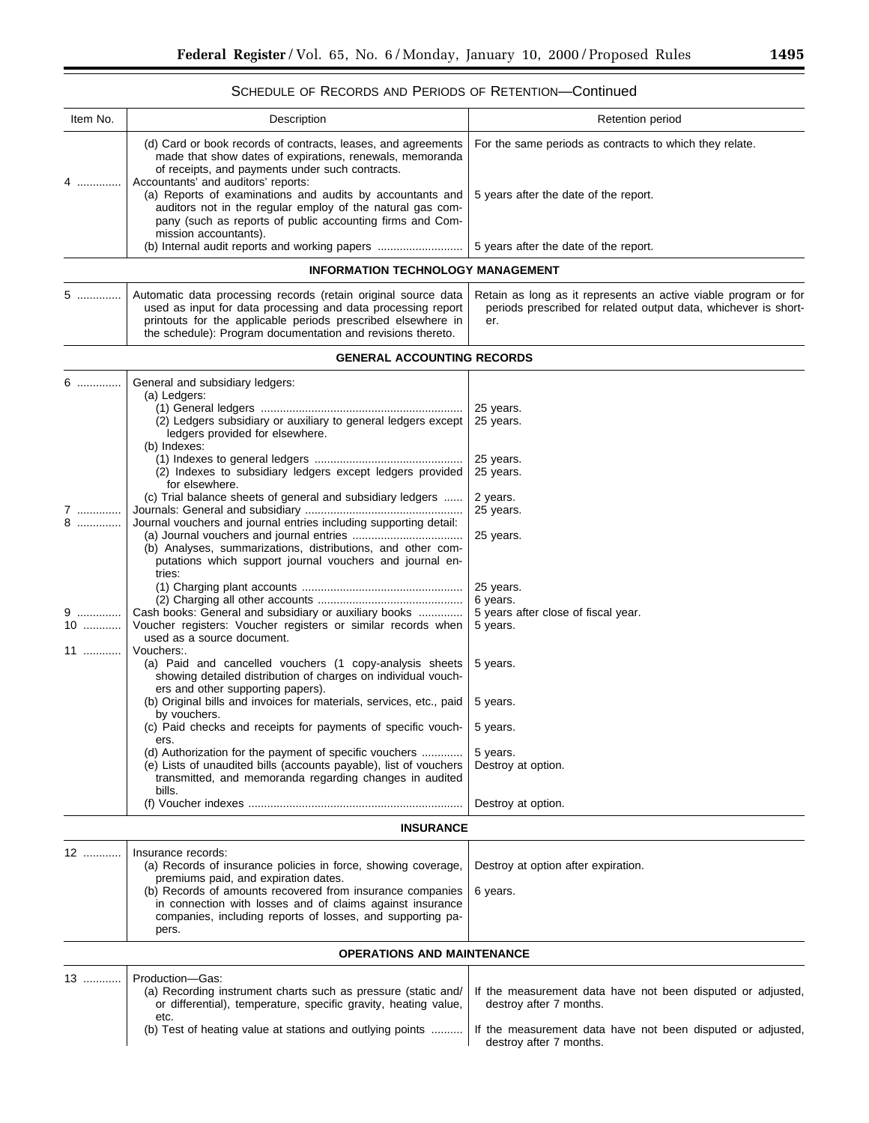$\equiv$ 

# SCHEDULE OF RECORDS AND PERIODS OF RETENTION—Continued

| Item No.      | Description                                                                                                                                                                                                                                                                                                                                                                                                                                                                                                                      | Retention period                                                                                                                          |
|---------------|----------------------------------------------------------------------------------------------------------------------------------------------------------------------------------------------------------------------------------------------------------------------------------------------------------------------------------------------------------------------------------------------------------------------------------------------------------------------------------------------------------------------------------|-------------------------------------------------------------------------------------------------------------------------------------------|
| 4<br>.        | (d) Card or book records of contracts, leases, and agreements<br>made that show dates of expirations, renewals, memoranda<br>of receipts, and payments under such contracts.<br>Accountants' and auditors' reports:<br>(a) Reports of examinations and audits by accountants and<br>auditors not in the regular employ of the natural gas com-<br>pany (such as reports of public accounting firms and Com-<br>mission accountants).                                                                                             | For the same periods as contracts to which they relate.<br>5 years after the date of the report.                                          |
|               | (b) Internal audit reports and working papers                                                                                                                                                                                                                                                                                                                                                                                                                                                                                    | 5 years after the date of the report.                                                                                                     |
|               | <b>INFORMATION TECHNOLOGY MANAGEMENT</b>                                                                                                                                                                                                                                                                                                                                                                                                                                                                                         |                                                                                                                                           |
| 5             | Automatic data processing records (retain original source data<br>used as input for data processing and data processing report<br>printouts for the applicable periods prescribed elsewhere in<br>the schedule): Program documentation and revisions thereto.                                                                                                                                                                                                                                                                    | Retain as long as it represents an active viable program or for<br>periods prescribed for related output data, whichever is short-<br>er. |
|               | <b>GENERAL ACCOUNTING RECORDS</b>                                                                                                                                                                                                                                                                                                                                                                                                                                                                                                |                                                                                                                                           |
| 6             | General and subsidiary ledgers:<br>(a) Ledgers:<br>(2) Ledgers subsidiary or auxiliary to general ledgers except<br>ledgers provided for elsewhere.<br>(b) Indexes:<br>(2) Indexes to subsidiary ledgers except ledgers provided<br>for elsewhere.                                                                                                                                                                                                                                                                               | 25 years.<br>25 years.<br>25 years.<br>25 years.                                                                                          |
| 7<br>$8$      | (c) Trial balance sheets of general and subsidiary ledgers<br>Journal vouchers and journal entries including supporting detail:<br>(b) Analyses, summarizations, distributions, and other com-<br>putations which support journal vouchers and journal en-<br>tries:                                                                                                                                                                                                                                                             | 2 years.<br>25 years.<br>25 years.                                                                                                        |
| 9<br>10<br>11 | Cash books: General and subsidiary or auxiliary books<br>Voucher registers: Voucher registers or similar records when<br>used as a source document.<br>Vouchers:                                                                                                                                                                                                                                                                                                                                                                 | 25 years.<br>6 years.<br>5 years after close of fiscal year.<br>5 years.                                                                  |
|               | (a) Paid and cancelled vouchers (1 copy-analysis sheets<br>showing detailed distribution of charges on individual vouch-<br>ers and other supporting papers).<br>(b) Original bills and invoices for materials, services, etc., paid<br>by vouchers.<br>(c) Paid checks and receipts for payments of specific vouch-<br>ers.<br>(d) Authorization for the payment of specific vouchers<br>(e) Lists of unaudited bills (accounts payable), list of vouchers<br>transmitted, and memoranda regarding changes in audited<br>bills. | 5 years.<br>5 years.<br>5 years.<br>5 years.<br>Destroy at option.                                                                        |
|               |                                                                                                                                                                                                                                                                                                                                                                                                                                                                                                                                  | Destroy at option.                                                                                                                        |
|               | <b>INSURANCE</b>                                                                                                                                                                                                                                                                                                                                                                                                                                                                                                                 |                                                                                                                                           |
| 12            | Insurance records:<br>(a) Records of insurance policies in force, showing coverage,<br>premiums paid, and expiration dates.<br>(b) Records of amounts recovered from insurance companies<br>in connection with losses and of claims against insurance<br>companies, including reports of losses, and supporting pa-<br>pers.                                                                                                                                                                                                     | Destroy at option after expiration.<br>6 years.                                                                                           |
|               | <b>OPERATIONS AND MAINTENANCE</b>                                                                                                                                                                                                                                                                                                                                                                                                                                                                                                |                                                                                                                                           |
| 13            | Production-Gas:<br>(a) Recording instrument charts such as pressure (static and/<br>or differential), temperature, specific gravity, heating value,<br>etc.                                                                                                                                                                                                                                                                                                                                                                      | If the measurement data have not been disputed or adjusted,<br>destroy after 7 months.                                                    |
|               | (b) Test of heating value at stations and outlying points                                                                                                                                                                                                                                                                                                                                                                                                                                                                        | If the measurement data have not been disputed or adjusted,<br>destroy after 7 months.                                                    |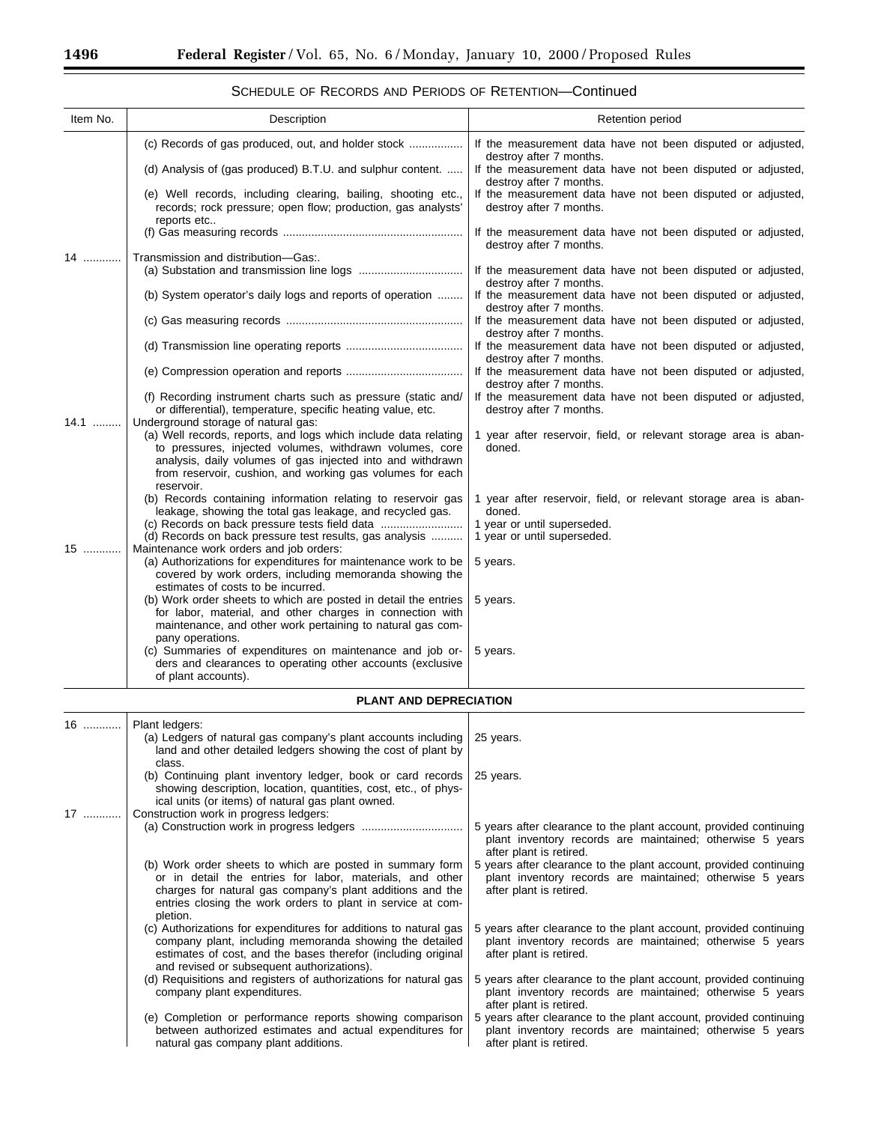| Item No. | Description                                                                                                                                                                                                                                                         | Retention period                                                                                                                                          |
|----------|---------------------------------------------------------------------------------------------------------------------------------------------------------------------------------------------------------------------------------------------------------------------|-----------------------------------------------------------------------------------------------------------------------------------------------------------|
|          |                                                                                                                                                                                                                                                                     | If the measurement data have not been disputed or adjusted,<br>destroy after 7 months.                                                                    |
|          | (d) Analysis of (gas produced) B.T.U. and sulphur content.                                                                                                                                                                                                          | If the measurement data have not been disputed or adjusted,<br>destroy after 7 months.                                                                    |
|          | (e) Well records, including clearing, bailing, shooting etc.,<br>records; rock pressure; open flow; production, gas analysts'<br>reports etc                                                                                                                        | If the measurement data have not been disputed or adjusted,<br>destroy after 7 months.                                                                    |
|          |                                                                                                                                                                                                                                                                     | If the measurement data have not been disputed or adjusted,<br>destroy after 7 months.                                                                    |
| 14       | Transmission and distribution-Gas:.                                                                                                                                                                                                                                 | If the measurement data have not been disputed or adjusted,                                                                                               |
|          | (b) System operator's daily logs and reports of operation                                                                                                                                                                                                           | destroy after 7 months.<br>If the measurement data have not been disputed or adjusted,<br>destroy after 7 months.                                         |
|          |                                                                                                                                                                                                                                                                     | If the measurement data have not been disputed or adjusted,<br>destroy after 7 months.                                                                    |
|          |                                                                                                                                                                                                                                                                     | If the measurement data have not been disputed or adjusted,<br>destroy after 7 months.                                                                    |
|          |                                                                                                                                                                                                                                                                     | If the measurement data have not been disputed or adjusted,<br>destroy after 7 months.                                                                    |
| 14.1     | (f) Recording instrument charts such as pressure (static and/<br>or differential), temperature, specific heating value, etc.<br>Underground storage of natural gas:                                                                                                 | If the measurement data have not been disputed or adjusted,<br>destroy after 7 months.                                                                    |
|          | (a) Well records, reports, and logs which include data relating<br>to pressures, injected volumes, withdrawn volumes, core<br>analysis, daily volumes of gas injected into and withdrawn<br>from reservoir, cushion, and working gas volumes for each<br>reservoir. | 1 year after reservoir, field, or relevant storage area is aban-<br>doned.                                                                                |
|          | (b) Records containing information relating to reservoir gas<br>leakage, showing the total gas leakage, and recycled gas.<br>(d) Records on back pressure test results, gas analysis                                                                                | 1 year after reservoir, field, or relevant storage area is aban-<br>doned.<br>1 year or until superseded.<br>1 year or until superseded.                  |
| 15       | Maintenance work orders and job orders:<br>(a) Authorizations for expenditures for maintenance work to be<br>covered by work orders, including memoranda showing the<br>estimates of costs to be incurred.                                                          | 5 years.                                                                                                                                                  |
|          | (b) Work order sheets to which are posted in detail the entries<br>for labor, material, and other charges in connection with<br>maintenance, and other work pertaining to natural gas com-<br>pany operations.                                                      | 5 years.                                                                                                                                                  |
|          | (c) Summaries of expenditures on maintenance and job or-<br>ders and clearances to operating other accounts (exclusive<br>of plant accounts).                                                                                                                       | 5 years.                                                                                                                                                  |
|          | PLANT AND DEPRECIATION                                                                                                                                                                                                                                              |                                                                                                                                                           |
| 16       | Plant ledgers:<br>(a) Ledgers of natural gas company's plant accounts including<br>land and other detailed ledgers showing the cost of plant by                                                                                                                     | 25 years.                                                                                                                                                 |
| 17       | class.<br>(b) Continuing plant inventory ledger, book or card records<br>showing description, location, quantities, cost, etc., of phys-<br>ical units (or items) of natural gas plant owned.<br>Construction work in progress ledgers:                             | 25 years.                                                                                                                                                 |
|          |                                                                                                                                                                                                                                                                     | 5 years after clearance to the plant account, provided continuing<br>plant inventory records are maintained; otherwise 5 years<br>after plant is retired. |
|          | (b) Work order sheets to which are posted in summary form<br>or in detail the entries for labor, materials, and other<br>charges for natural gas company's plant additions and the<br>entries closing the work orders to plant in service at com-<br>pletion.       | 5 years after clearance to the plant account, provided continuing<br>plant inventory records are maintained; otherwise 5 years<br>after plant is retired. |
|          | (c) Authorizations for expenditures for additions to natural gas<br>company plant, including memoranda showing the detailed<br>estimates of cost, and the bases therefor (including original<br>and revised or subsequent authorizations).                          | 5 years after clearance to the plant account, provided continuing<br>plant inventory records are maintained; otherwise 5 years<br>after plant is retired. |
|          | (d) Requisitions and registers of authorizations for natural gas<br>company plant expenditures.                                                                                                                                                                     | 5 years after clearance to the plant account, provided continuing<br>plant inventory records are maintained; otherwise 5 years<br>after plant is retired. |
|          | (e) Completion or performance reports showing comparison<br>between authorized estimates and actual expenditures for                                                                                                                                                | 5 years after clearance to the plant account, provided continuing<br>plant inventory records are maintained; otherwise 5 years                            |

after plant is retired.

natural gas company plant additions.

SCHEDULE OF RECORDS AND PERIODS OF RETENTION—Continued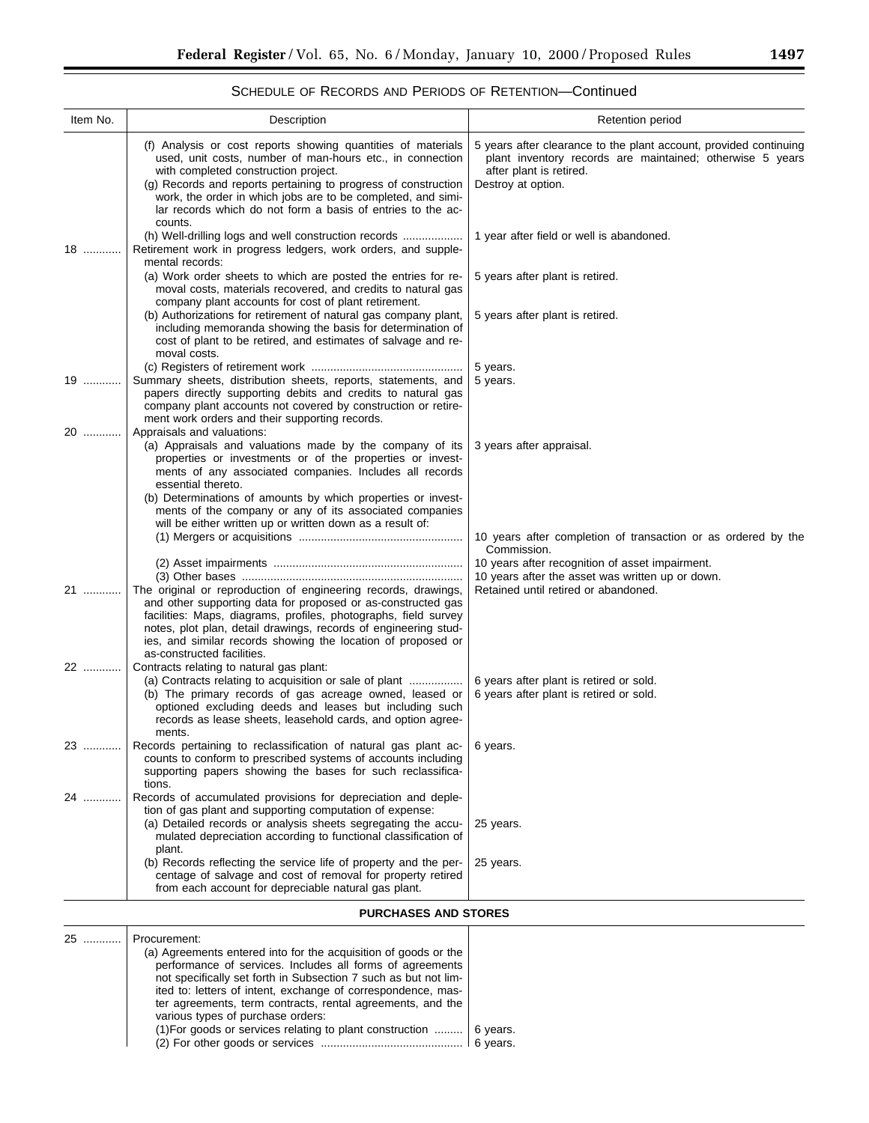|  |  | SCHEDULE OF RECORDS AND PERIODS OF RETENTION-Continued |
|--|--|--------------------------------------------------------|
|--|--|--------------------------------------------------------|

| Item No.                    | Description                                                                                                                                                                                                                                                                                                                                                        | Retention period                                                                                                                                                                |
|-----------------------------|--------------------------------------------------------------------------------------------------------------------------------------------------------------------------------------------------------------------------------------------------------------------------------------------------------------------------------------------------------------------|---------------------------------------------------------------------------------------------------------------------------------------------------------------------------------|
|                             | (f) Analysis or cost reports showing quantities of materials<br>used, unit costs, number of man-hours etc., in connection<br>with completed construction project.<br>(g) Records and reports pertaining to progress of construction<br>work, the order in which jobs are to be completed, and simi-<br>lar records which do not form a basis of entries to the ac- | 5 years after clearance to the plant account, provided continuing<br>plant inventory records are maintained; otherwise 5 years<br>after plant is retired.<br>Destroy at option. |
| 18                          | counts.<br>(h) Well-drilling logs and well construction records<br>Retirement work in progress ledgers, work orders, and supple-                                                                                                                                                                                                                                   | 1 year after field or well is abandoned.                                                                                                                                        |
|                             | mental records:<br>(a) Work order sheets to which are posted the entries for re-<br>moval costs, materials recovered, and credits to natural gas<br>company plant accounts for cost of plant retirement.                                                                                                                                                           | 5 years after plant is retired.                                                                                                                                                 |
|                             | (b) Authorizations for retirement of natural gas company plant,<br>including memoranda showing the basis for determination of<br>cost of plant to be retired, and estimates of salvage and re-<br>moval costs.                                                                                                                                                     | 5 years after plant is retired.                                                                                                                                                 |
| 19                          | Summary sheets, distribution sheets, reports, statements, and<br>papers directly supporting debits and credits to natural gas<br>company plant accounts not covered by construction or retire-<br>ment work orders and their supporting records.                                                                                                                   | 5 years.<br>5 years.                                                                                                                                                            |
| 20                          | Appraisals and valuations:<br>(a) Appraisals and valuations made by the company of its<br>properties or investments or of the properties or invest-<br>ments of any associated companies. Includes all records<br>essential thereto.<br>(b) Determinations of amounts by which properties or invest-<br>ments of the company or any of its associated companies    | 3 years after appraisal.                                                                                                                                                        |
|                             | will be either written up or written down as a result of:                                                                                                                                                                                                                                                                                                          | 10 years after completion of transaction or as ordered by the<br>Commission.<br>10 years after recognition of asset impairment.                                                 |
| 21                          | The original or reproduction of engineering records, drawings,<br>and other supporting data for proposed or as-constructed gas<br>facilities: Maps, diagrams, profiles, photographs, field survey<br>notes, plot plan, detail drawings, records of engineering stud-<br>ies, and similar records showing the location of proposed or<br>as-constructed facilities. | 10 years after the asset was written up or down.<br>Retained until retired or abandoned.                                                                                        |
| 22                          | Contracts relating to natural gas plant:<br>(a) Contracts relating to acquisition or sale of plant<br>(b) The primary records of gas acreage owned, leased or<br>optioned excluding deeds and leases but including such<br>records as lease sheets, leasehold cards, and option agree-                                                                             | 6 years after plant is retired or sold.<br>6 years after plant is retired or sold.                                                                                              |
| 23                          | ments.<br>Records pertaining to reclassification of natural gas plant ac-<br>counts to conform to prescribed systems of accounts including<br>supporting papers showing the bases for such reclassifica-                                                                                                                                                           | 6 years.                                                                                                                                                                        |
| 24                          | tions.<br>Records of accumulated provisions for depreciation and deple-<br>tion of gas plant and supporting computation of expense:<br>(a) Detailed records or analysis sheets segregating the accu-<br>mulated depreciation according to functional classification of<br>plant.                                                                                   | 25 years.                                                                                                                                                                       |
|                             | (b) Records reflecting the service life of property and the per-<br>centage of salvage and cost of removal for property retired<br>from each account for depreciable natural gas plant.                                                                                                                                                                            | 25 years.                                                                                                                                                                       |
| <b>PURCHASES AND STORES</b> |                                                                                                                                                                                                                                                                                                                                                                    |                                                                                                                                                                                 |
| 25                          | Procurement:<br>(a) Agreements entered into for the acquisition of goods or the                                                                                                                                                                                                                                                                                    |                                                                                                                                                                                 |

| . | Procurement.                                                                                                                                                                                                                            |          |
|---|-----------------------------------------------------------------------------------------------------------------------------------------------------------------------------------------------------------------------------------------|----------|
|   | (a) Agreements entered into for the acquisition of goods or the<br>performance of services. Includes all forms of agreements<br>not specifically set forth in Subsection 7 such as but not lim-                                         |          |
|   | ited to: letters of intent, exchange of correspondence, mas-<br>ter agreements, term contracts, rental agreements, and the<br>various types of purchase orders:<br>(1) For goods or services relating to plant construction    6 years. | 6 vears. |
|   |                                                                                                                                                                                                                                         |          |
|   |                                                                                                                                                                                                                                         |          |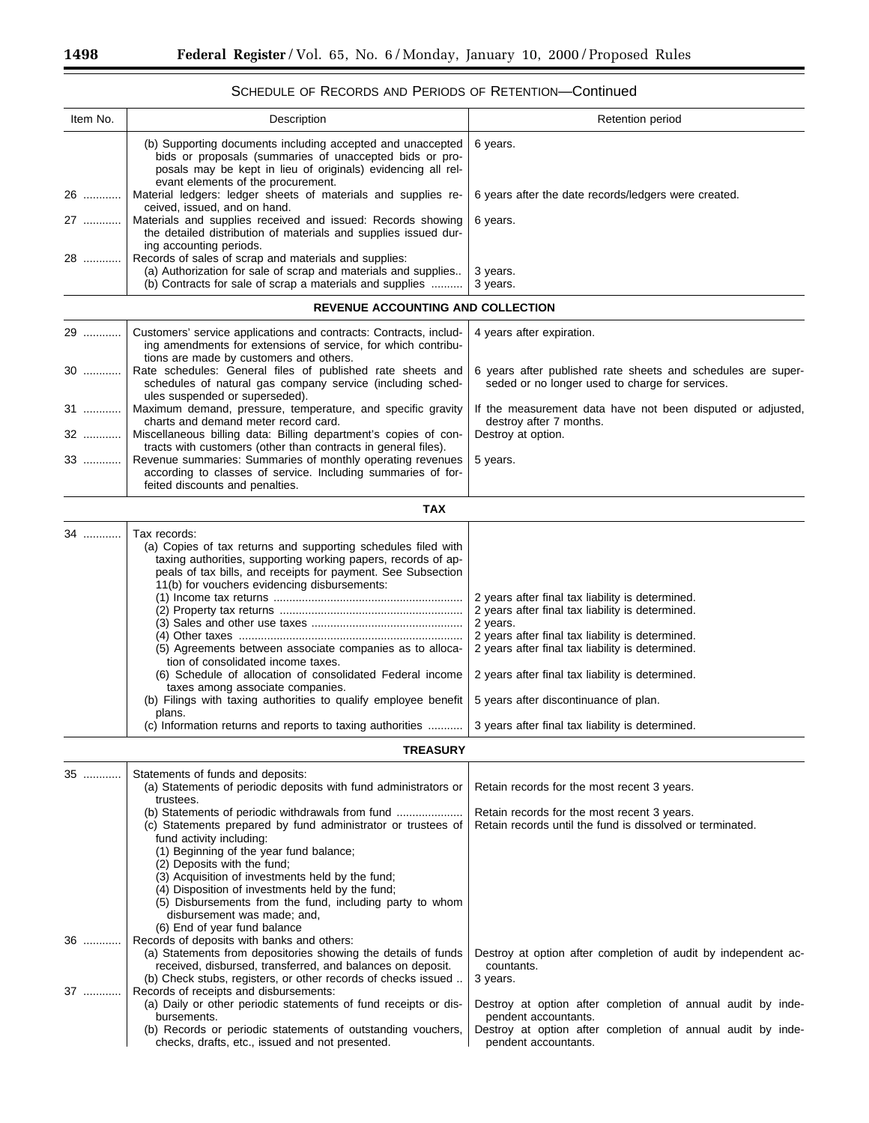| Item No. | Description                                                                                                                                                                                                                                                                                                                                                                                                                                                                                                                                                                                                                    | Retention period                                                                                                                                                                                                                                                                                                                                                          |
|----------|--------------------------------------------------------------------------------------------------------------------------------------------------------------------------------------------------------------------------------------------------------------------------------------------------------------------------------------------------------------------------------------------------------------------------------------------------------------------------------------------------------------------------------------------------------------------------------------------------------------------------------|---------------------------------------------------------------------------------------------------------------------------------------------------------------------------------------------------------------------------------------------------------------------------------------------------------------------------------------------------------------------------|
|          | (b) Supporting documents including accepted and unaccepted<br>bids or proposals (summaries of unaccepted bids or pro-<br>posals may be kept in lieu of originals) evidencing all rel-                                                                                                                                                                                                                                                                                                                                                                                                                                          | 6 years.                                                                                                                                                                                                                                                                                                                                                                  |
| 26       | evant elements of the procurement.<br>Material ledgers: ledger sheets of materials and supplies re-                                                                                                                                                                                                                                                                                                                                                                                                                                                                                                                            | 6 years after the date records/ledgers were created.                                                                                                                                                                                                                                                                                                                      |
| 27       | ceived, issued, and on hand.<br>Materials and supplies received and issued: Records showing<br>the detailed distribution of materials and supplies issued dur-                                                                                                                                                                                                                                                                                                                                                                                                                                                                 | 6 years.                                                                                                                                                                                                                                                                                                                                                                  |
| 28       | ing accounting periods.<br>Records of sales of scrap and materials and supplies:<br>(a) Authorization for sale of scrap and materials and supplies<br>(b) Contracts for sale of scrap a materials and supplies                                                                                                                                                                                                                                                                                                                                                                                                                 | 3 years.<br>3 years.                                                                                                                                                                                                                                                                                                                                                      |
|          | <b>REVENUE ACCOUNTING AND COLLECTION</b>                                                                                                                                                                                                                                                                                                                                                                                                                                                                                                                                                                                       |                                                                                                                                                                                                                                                                                                                                                                           |
| 29       | Customers' service applications and contracts: Contracts, includ-<br>ing amendments for extensions of service, for which contribu-<br>tions are made by customers and others.                                                                                                                                                                                                                                                                                                                                                                                                                                                  | 4 years after expiration.                                                                                                                                                                                                                                                                                                                                                 |
| 30       | Rate schedules: General files of published rate sheets and<br>schedules of natural gas company service (including sched-<br>ules suspended or superseded).                                                                                                                                                                                                                                                                                                                                                                                                                                                                     | 6 years after published rate sheets and schedules are super-<br>seded or no longer used to charge for services.                                                                                                                                                                                                                                                           |
| 31       | Maximum demand, pressure, temperature, and specific gravity<br>charts and demand meter record card.                                                                                                                                                                                                                                                                                                                                                                                                                                                                                                                            | If the measurement data have not been disputed or adjusted,<br>destroy after 7 months.                                                                                                                                                                                                                                                                                    |
| 32       | Miscellaneous billing data: Billing department's copies of con-<br>tracts with customers (other than contracts in general files).                                                                                                                                                                                                                                                                                                                                                                                                                                                                                              | Destroy at option.                                                                                                                                                                                                                                                                                                                                                        |
| 33       | Revenue summaries: Summaries of monthly operating revenues<br>according to classes of service. Including summaries of for-<br>feited discounts and penalties.                                                                                                                                                                                                                                                                                                                                                                                                                                                                  | 5 years.                                                                                                                                                                                                                                                                                                                                                                  |
|          | <b>TAX</b>                                                                                                                                                                                                                                                                                                                                                                                                                                                                                                                                                                                                                     |                                                                                                                                                                                                                                                                                                                                                                           |
| 34       | Tax records:<br>(a) Copies of tax returns and supporting schedules filed with<br>taxing authorities, supporting working papers, records of ap-<br>peals of tax bills, and receipts for payment. See Subsection<br>11(b) for vouchers evidencing disbursements:<br>(5) Agreements between associate companies as to alloca-<br>tion of consolidated income taxes.<br>(6) Schedule of allocation of consolidated Federal income<br>taxes among associate companies.<br>(b) Filings with taxing authorities to qualify employee benefit<br>plans.<br>(c) Information returns and reports to taxing authorities<br><b>TREASURY</b> | 2 years after final tax liability is determined.<br>2 years after final tax liability is determined.<br>2 years.<br>2 years after final tax liability is determined.<br>2 years after final tax liability is determined.<br>2 years after final tax liability is determined.<br>5 years after discontinuance of plan.<br>3 years after final tax liability is determined. |
|          |                                                                                                                                                                                                                                                                                                                                                                                                                                                                                                                                                                                                                                |                                                                                                                                                                                                                                                                                                                                                                           |
| 35       | Statements of funds and deposits:<br>(a) Statements of periodic deposits with fund administrators or<br>trustees.<br>(c) Statements prepared by fund administrator or trustees of<br>fund activity including:<br>(1) Beginning of the year fund balance;<br>(2) Deposits with the fund;<br>(3) Acquisition of investments held by the fund;<br>(4) Disposition of investments held by the fund;                                                                                                                                                                                                                                | Retain records for the most recent 3 years.<br>Retain records for the most recent 3 years.<br>Retain records until the fund is dissolved or terminated.                                                                                                                                                                                                                   |
| 36       | (5) Disbursements from the fund, including party to whom<br>disbursement was made; and,<br>(6) End of year fund balance<br>Records of deposits with banks and others:<br>(a) Statements from depositories showing the details of funds                                                                                                                                                                                                                                                                                                                                                                                         |                                                                                                                                                                                                                                                                                                                                                                           |
|          | received, disbursed, transferred, and balances on deposit.<br>(b) Check stubs, registers, or other records of checks issued                                                                                                                                                                                                                                                                                                                                                                                                                                                                                                    | Destroy at option after completion of audit by independent ac-<br>countants.<br>3 years.                                                                                                                                                                                                                                                                                  |
| 37       | Records of receipts and disbursements:<br>(a) Daily or other periodic statements of fund receipts or dis-<br>bursements.<br>(b) Records or periodic statements of outstanding vouchers,<br>checks, drafts, etc., issued and not presented.                                                                                                                                                                                                                                                                                                                                                                                     | Destroy at option after completion of annual audit by inde-<br>pendent accountants.<br>Destroy at option after completion of annual audit by inde-<br>pendent accountants.                                                                                                                                                                                                |

# SCHEDULE OF RECORDS AND PERIODS OF RETENTION—Continued

۳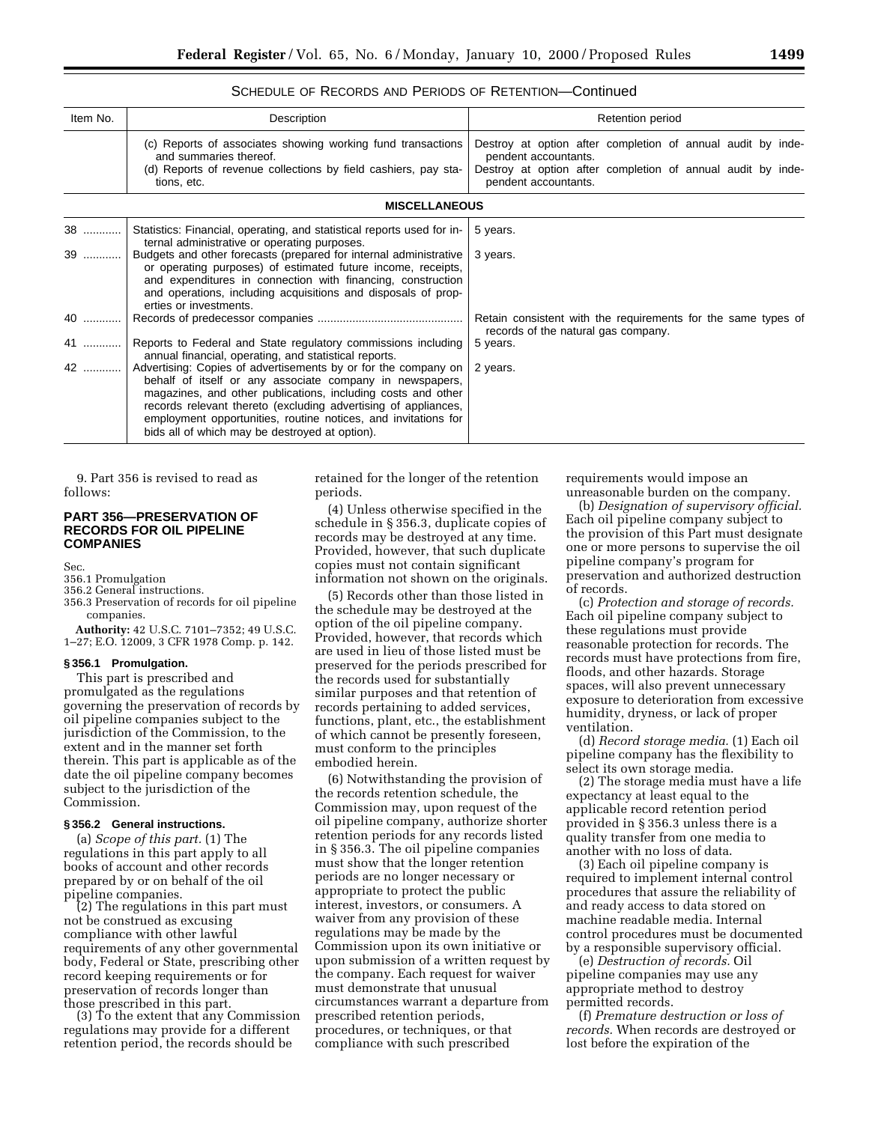# SCHEDULE OF RECORDS AND PERIODS OF RETENTION—Continued

| Item No. | Description                                                                                                                                                                                                                                                                                                                                                                      | Retention period                                                                                     |  |  |
|----------|----------------------------------------------------------------------------------------------------------------------------------------------------------------------------------------------------------------------------------------------------------------------------------------------------------------------------------------------------------------------------------|------------------------------------------------------------------------------------------------------|--|--|
|          | (c) Reports of associates showing working fund transactions<br>and summaries thereof.                                                                                                                                                                                                                                                                                            | Destroy at option after completion of annual audit by inde-<br>pendent accountants.                  |  |  |
|          | (d) Reports of revenue collections by field cashiers, pay sta-<br>tions, etc.                                                                                                                                                                                                                                                                                                    | Destroy at option after completion of annual audit by inde-<br>pendent accountants.                  |  |  |
|          | <b>MISCELLANEOUS</b>                                                                                                                                                                                                                                                                                                                                                             |                                                                                                      |  |  |
| 38       | Statistics: Financial, operating, and statistical reports used for in-<br>ternal administrative or operating purposes.                                                                                                                                                                                                                                                           | 5 years.                                                                                             |  |  |
| 39       | Budgets and other forecasts (prepared for internal administrative<br>or operating purposes) of estimated future income, receipts,<br>and expenditures in connection with financing, construction<br>and operations, including acquisitions and disposals of prop-<br>erties or investments.                                                                                      | 3 years.                                                                                             |  |  |
| 40       |                                                                                                                                                                                                                                                                                                                                                                                  | Retain consistent with the requirements for the same types of<br>records of the natural gas company. |  |  |
| 41       | Reports to Federal and State regulatory commissions including<br>annual financial, operating, and statistical reports.                                                                                                                                                                                                                                                           | 5 years.                                                                                             |  |  |
| 42       | Advertising: Copies of advertisements by or for the company on<br>behalf of itself or any associate company in newspapers,<br>magazines, and other publications, including costs and other<br>records relevant thereto (excluding advertising of appliances,<br>employment opportunities, routine notices, and invitations for<br>bids all of which may be destroyed at option). | 2 years.                                                                                             |  |  |

9. Part 356 is revised to read as follows:

# **PART 356—PRESERVATION OF RECORDS FOR OIL PIPELINE COMPANIES**

Sec.

- 356.1 Promulgation
- 356.2 General instructions.
- 356.3 Preservation of records for oil pipeline companies.
- **Authority:** 42 U.S.C. 7101–7352; 49 U.S.C. 1–27; E.O. 12009, 3 CFR 1978 Comp. p. 142.

#### **§ 356.1 Promulgation.**

This part is prescribed and promulgated as the regulations governing the preservation of records by oil pipeline companies subject to the jurisdiction of the Commission, to the extent and in the manner set forth therein. This part is applicable as of the date the oil pipeline company becomes subject to the jurisdiction of the Commission.

## **§ 356.2 General instructions.**

(a) *Scope of this part.* (1) The regulations in this part apply to all books of account and other records prepared by or on behalf of the oil

(2) The regulations in this part must not be construed as excusing compliance with other lawful requirements of any other governmental body, Federal or State, prescribing other record keeping requirements or for preservation of records longer than<br>those prescribed in this part.

(3) To the extent that any Commission regulations may provide for a different retention period, the records should be

retained for the longer of the retention periods.

(4) Unless otherwise specified in the schedule in § 356.3, duplicate copies of records may be destroyed at any time. Provided, however, that such duplicate copies must not contain significant information not shown on the originals.

(5) Records other than those listed in the schedule may be destroyed at the option of the oil pipeline company. Provided, however, that records which are used in lieu of those listed must be preserved for the periods prescribed for the records used for substantially similar purposes and that retention of records pertaining to added services, functions, plant, etc., the establishment of which cannot be presently foreseen, must conform to the principles embodied herein.

(6) Notwithstanding the provision of the records retention schedule, the Commission may, upon request of the oil pipeline company, authorize shorter retention periods for any records listed in § 356.3. The oil pipeline companies must show that the longer retention periods are no longer necessary or appropriate to protect the public interest, investors, or consumers. A waiver from any provision of these regulations may be made by the Commission upon its own initiative or upon submission of a written request by the company. Each request for waiver must demonstrate that unusual circumstances warrant a departure from prescribed retention periods, procedures, or techniques, or that compliance with such prescribed

requirements would impose an unreasonable burden on the company.

(b) *Designation of supervisory official.* Each oil pipeline company subject to the provision of this Part must designate one or more persons to supervise the oil pipeline company's program for preservation and authorized destruction of records.

(c) *Protection and storage of records.* Each oil pipeline company subject to these regulations must provide reasonable protection for records. The records must have protections from fire, floods, and other hazards. Storage spaces, will also prevent unnecessary exposure to deterioration from excessive humidity, dryness, or lack of proper ventilation.

(d) *Record storage media.* (1) Each oil pipeline company has the flexibility to select its own storage media.

(2) The storage media must have a life expectancy at least equal to the applicable record retention period provided in § 356.3 unless there is a quality transfer from one media to another with no loss of data.

(3) Each oil pipeline company is required to implement internal control procedures that assure the reliability of and ready access to data stored on machine readable media. Internal control procedures must be documented by a responsible supervisory official.

(e) *Destruction of records.* Oil pipeline companies may use any appropriate method to destroy permitted records.

(f) *Premature destruction or loss of records.* When records are destroyed or lost before the expiration of the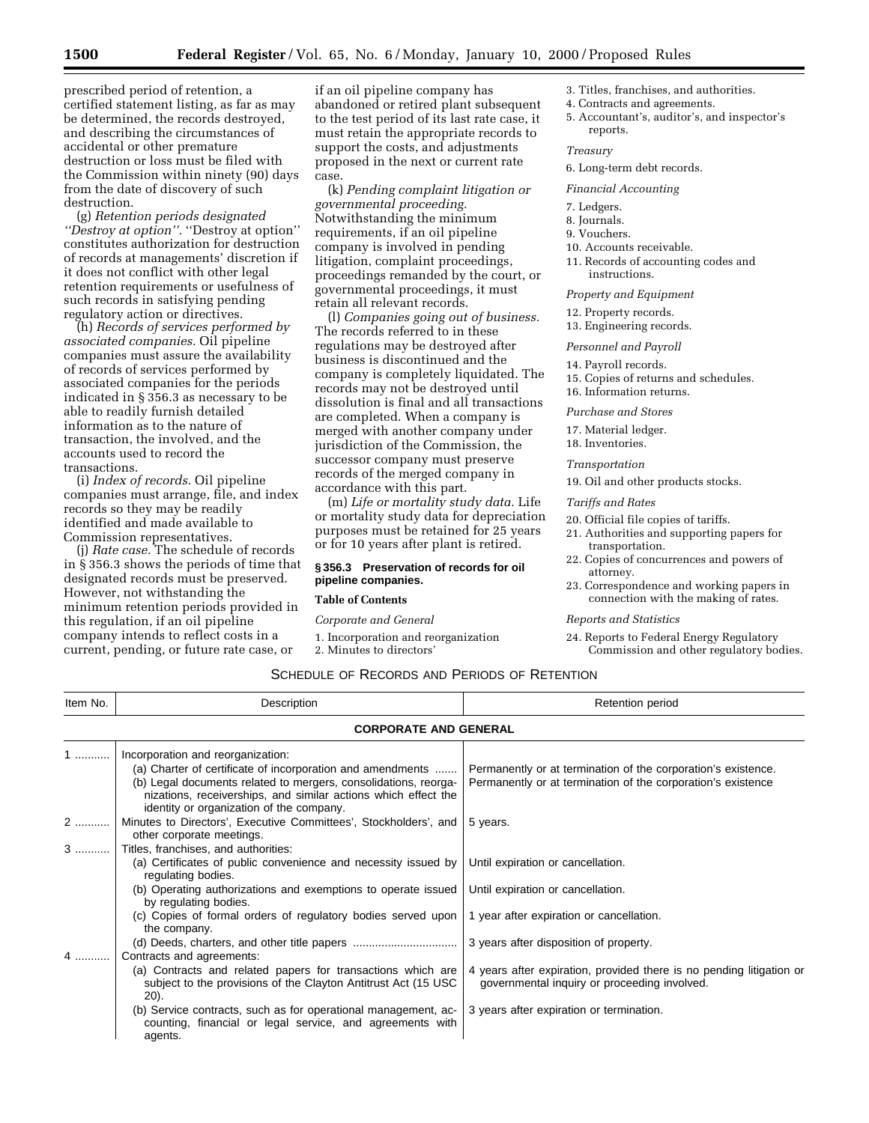prescribed period of retention, a certified statement listing, as far as may be determined, the records destroyed, and describing the circumstances of accidental or other premature destruction or loss must be filed with the Commission within ninety (90) days from the date of discovery of such destruction.

(g) *Retention periods designated ''Destroy at option''.* ''Destroy at option'' constitutes authorization for destruction of records at managements' discretion if it does not conflict with other legal retention requirements or usefulness of such records in satisfying pending regulatory action or directives.

(h) *Records of services performed by associated companies.* Oil pipeline companies must assure the availability of records of services performed by associated companies for the periods indicated in § 356.3 as necessary to be able to readily furnish detailed information as to the nature of transaction, the involved, and the accounts used to record the transactions.

(i) *Index of records.* Oil pipeline companies must arrange, file, and index records so they may be readily identified and made available to Commission representatives.

(j) *Rate case.* The schedule of records in § 356.3 shows the periods of time that designated records must be preserved. However, not withstanding the minimum retention periods provided in this regulation, if an oil pipeline company intends to reflect costs in a current, pending, or future rate case, or

if an oil pipeline company has abandoned or retired plant subsequent to the test period of its last rate case, it must retain the appropriate records to support the costs, and adjustments proposed in the next or current rate case.

(k) *Pending complaint litigation or governmental proceeding.* Notwithstanding the minimum requirements, if an oil pipeline company is involved in pending litigation, complaint proceedings, proceedings remanded by the court, or governmental proceedings, it must retain all relevant records.

(l) *Companies going out of business.* The records referred to in these regulations may be destroyed after business is discontinued and the company is completely liquidated. The records may not be destroyed until dissolution is final and all transactions are completed. When a company is merged with another company under jurisdiction of the Commission, the successor company must preserve records of the merged company in accordance with this part.

(m) *Life or mortality study data.* Life or mortality study data for depreciation purposes must be retained for 25 years or for 10 years after plant is retired.

# **§ 356.3 Preservation of records for oil pipeline companies.**

# **Table of Contents**

#### *Corporate and General*

- 1. Incorporation and reorganization
- 2. Minutes to directors'
- 3. Titles, franchises, and authorities.
- 4. Contracts and agreements.
- 5. Accountant's, auditor's, and inspector's reports.

#### *Treasury*

6. Long-term debt records.

#### *Financial Accounting*

- 7. Ledgers.
- 8. Journals.
- 9. Vouchers.
- 10. Accounts receivable.
- 11. Records of accounting codes and instructions.

# *Property and Equipment*

- 12. Property records.
- 13. Engineering records.

## *Personnel and Payroll*

- 14. Payroll records.
- 15. Copies of returns and schedules.
- 16. Information returns.

*Purchase and Stores*

- 17. Material ledger.
- 18. Inventories.

#### *Transportation*

19. Oil and other products stocks.

*Tariffs and Rates*

- 20. Official file copies of tariffs.
- 21. Authorities and supporting papers for transportation.
- 22. Copies of concurrences and powers of attorney.
- 23. Correspondence and working papers in connection with the making of rates.

#### *Reports and Statistics*

24. Reports to Federal Energy Regulatory Commission and other regulatory bodies.

# SCHEDULE OF RECORDS AND PERIODS OF RETENTION

| Item No. | Description<br><b>Retention period</b>                                                                                                                                                                                                                                           |                                                                                                                               |
|----------|----------------------------------------------------------------------------------------------------------------------------------------------------------------------------------------------------------------------------------------------------------------------------------|-------------------------------------------------------------------------------------------------------------------------------|
|          | <b>CORPORATE AND GENERAL</b>                                                                                                                                                                                                                                                     |                                                                                                                               |
| .        | Incorporation and reorganization:<br>(a) Charter of certificate of incorporation and amendments<br>(b) Legal documents related to mergers, consolidations, reorga-<br>nizations, receiverships, and similar actions which effect the<br>identity or organization of the company. | Permanently or at termination of the corporation's existence.<br>Permanently or at termination of the corporation's existence |
|          | Minutes to Directors', Executive Committees', Stockholders', and<br>other corporate meetings.                                                                                                                                                                                    | 5 years.                                                                                                                      |
| $3$      | Titles, franchises, and authorities:<br>(a) Certificates of public convenience and necessity issued by<br>regulating bodies.                                                                                                                                                     | Until expiration or cancellation.                                                                                             |
|          | (b) Operating authorizations and exemptions to operate issued<br>by regulating bodies.                                                                                                                                                                                           | Until expiration or cancellation.                                                                                             |
|          | (c) Copies of formal orders of regulatory bodies served upon<br>the company.                                                                                                                                                                                                     | 1 year after expiration or cancellation.                                                                                      |
| 4        | Contracts and agreements:                                                                                                                                                                                                                                                        | 3 years after disposition of property.                                                                                        |
|          | (a) Contracts and related papers for transactions which are<br>subject to the provisions of the Clayton Antitrust Act (15 USC)<br>20).                                                                                                                                           | 4 years after expiration, provided there is no pending litigation or<br>governmental inquiry or proceeding involved.          |
|          | (b) Service contracts, such as for operational management, ac-<br>counting, financial or legal service, and agreements with<br>agents.                                                                                                                                           | 3 years after expiration or termination.                                                                                      |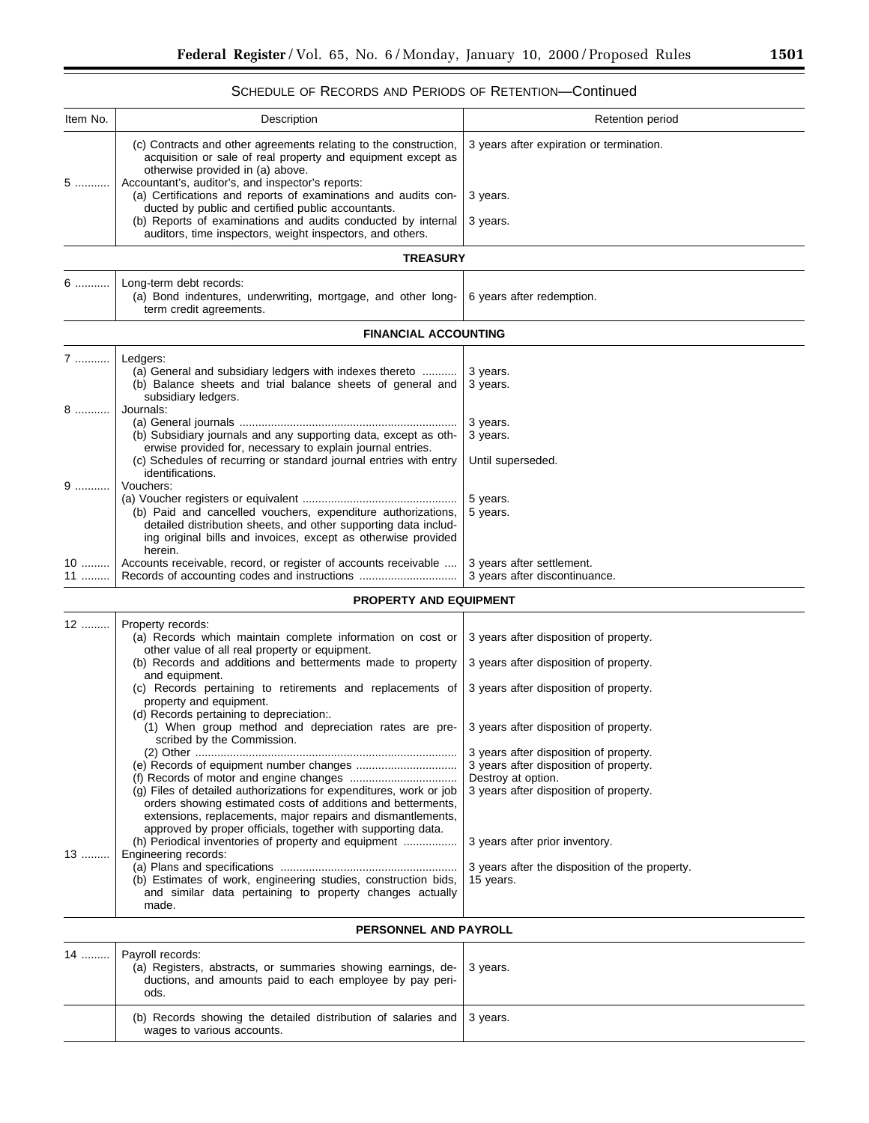÷.

# SCHEDULE OF RECORDS AND PERIODS OF RETENTION—Continued

| Item No. | Description                                                                                                                                                                                                                                                       | Retention period                                                                 |
|----------|-------------------------------------------------------------------------------------------------------------------------------------------------------------------------------------------------------------------------------------------------------------------|----------------------------------------------------------------------------------|
|          | (c) Contracts and other agreements relating to the construction,<br>acquisition or sale of real property and equipment except as<br>otherwise provided in (a) above.<br>Accountant's, auditor's, and inspector's reports:                                         | 3 years after expiration or termination.                                         |
| $5$      | (a) Certifications and reports of examinations and audits con-<br>ducted by public and certified public accountants.                                                                                                                                              | 3 years.                                                                         |
|          | (b) Reports of examinations and audits conducted by internal<br>auditors, time inspectors, weight inspectors, and others.                                                                                                                                         | 3 years.                                                                         |
|          | <b>TREASURY</b>                                                                                                                                                                                                                                                   |                                                                                  |
| 6.       | Long-term debt records:<br>(a) Bond indentures, underwriting, mortgage, and other long-<br>term credit agreements.                                                                                                                                                | 6 years after redemption.                                                        |
|          | <b>FINANCIAL ACCOUNTING</b>                                                                                                                                                                                                                                       |                                                                                  |
| 7        | Ledgers:<br>(a) General and subsidiary ledgers with indexes thereto<br>(b) Balance sheets and trial balance sheets of general and<br>subsidiary ledgers.                                                                                                          | 3 years.<br>3 years.                                                             |
| 8        | Journals:<br>(b) Subsidiary journals and any supporting data, except as oth-<br>erwise provided for, necessary to explain journal entries.<br>(c) Schedules of recurring or standard journal entries with entry<br>identifications.                               | 3 years.<br>3 years.<br>Until superseded.                                        |
| 9        | Vouchers:<br>(b) Paid and cancelled vouchers, expenditure authorizations,<br>detailed distribution sheets, and other supporting data includ-<br>ing original bills and invoices, except as otherwise provided<br>herein.                                          | 5 years.<br>5 years.                                                             |
| 10<br>11 | Accounts receivable, record, or register of accounts receivable                                                                                                                                                                                                   | 3 years after settlement.<br>3 years after discontinuance.                       |
|          | <b>PROPERTY AND EQUIPMENT</b>                                                                                                                                                                                                                                     |                                                                                  |
| 12       | Property records:<br>(a) Records which maintain complete information on cost or<br>other value of all real property or equipment.<br>(b) Records and additions and betterments made to property                                                                   | 3 years after disposition of property.<br>3 years after disposition of property. |
|          | and equipment.<br>(c) Records pertaining to retirements and replacements of<br>property and equipment.                                                                                                                                                            | 3 years after disposition of property.                                           |
|          | (d) Records pertaining to depreciation:.<br>(1) When group method and depreciation rates are pre-<br>scribed by the Commission.                                                                                                                                   | 3 years after disposition of property.                                           |
|          |                                                                                                                                                                                                                                                                   | 3 years after disposition of property.<br>3 years after disposition of property. |
|          | (g) Files of detailed authorizations for expenditures, work or job<br>orders showing estimated costs of additions and betterments,<br>extensions, replacements, major repairs and dismantlements,<br>approved by proper officials, together with supporting data. | Destroy at option.<br>3 years after disposition of property.                     |
| 13       | (h) Periodical inventories of property and equipment<br>Engineering records:                                                                                                                                                                                      | 3 years after prior inventory.                                                   |
|          | (b) Estimates of work, engineering studies, construction bids,<br>and similar data pertaining to property changes actually<br>made.                                                                                                                               | 3 years after the disposition of the property.<br>15 years.                      |

# **PERSONNEL AND PAYROLL**

| 14  Payroll records:<br>(a) Registers, abstracts, or summaries showing earnings, de-   3 years.<br>ductions, and amounts paid to each employee by pay peri-<br>ods. |  |
|---------------------------------------------------------------------------------------------------------------------------------------------------------------------|--|
| (b) Records showing the detailed distribution of salaries and $\frac{1}{3}$ years.<br>wages to various accounts.                                                    |  |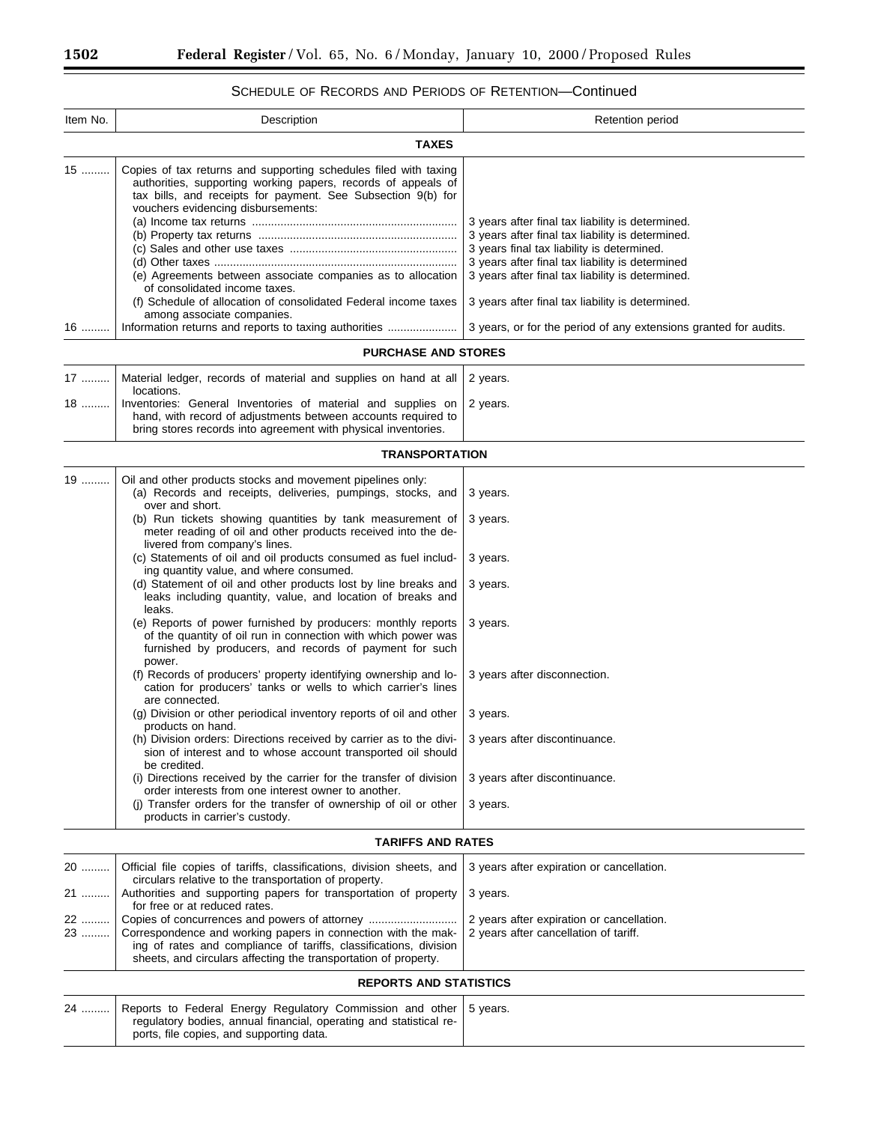# SCHEDULE OF RECORDS AND PERIODS OF RETENTION—Continued

| Item No.             | Description                                                                                                                                                                                                                                                                                                                                                                                                                                                                                                                                                                                                                                                                                                                                                                                                                                                                                                                                                                                                                                                                                                                                                                                                                                                                                                                                                                              | Retention period                                                                                                                                                                                                                                                                                              |  |  |
|----------------------|------------------------------------------------------------------------------------------------------------------------------------------------------------------------------------------------------------------------------------------------------------------------------------------------------------------------------------------------------------------------------------------------------------------------------------------------------------------------------------------------------------------------------------------------------------------------------------------------------------------------------------------------------------------------------------------------------------------------------------------------------------------------------------------------------------------------------------------------------------------------------------------------------------------------------------------------------------------------------------------------------------------------------------------------------------------------------------------------------------------------------------------------------------------------------------------------------------------------------------------------------------------------------------------------------------------------------------------------------------------------------------------|---------------------------------------------------------------------------------------------------------------------------------------------------------------------------------------------------------------------------------------------------------------------------------------------------------------|--|--|
|                      | <b>TAXES</b>                                                                                                                                                                                                                                                                                                                                                                                                                                                                                                                                                                                                                                                                                                                                                                                                                                                                                                                                                                                                                                                                                                                                                                                                                                                                                                                                                                             |                                                                                                                                                                                                                                                                                                               |  |  |
| $15$                 | Copies of tax returns and supporting schedules filed with taxing<br>authorities, supporting working papers, records of appeals of<br>tax bills, and receipts for payment. See Subsection 9(b) for<br>vouchers evidencing disbursements:<br>(e) Agreements between associate companies as to allocation<br>of consolidated income taxes.<br>(f) Schedule of allocation of consolidated Federal income taxes<br>among associate companies.                                                                                                                                                                                                                                                                                                                                                                                                                                                                                                                                                                                                                                                                                                                                                                                                                                                                                                                                                 | 3 years after final tax liability is determined.<br>3 years after final tax liability is determined.<br>3 years final tax liability is determined.<br>3 years after final tax liability is determined<br>3 years after final tax liability is determined.<br>3 years after final tax liability is determined. |  |  |
| $16$                 | Information returns and reports to taxing authorities                                                                                                                                                                                                                                                                                                                                                                                                                                                                                                                                                                                                                                                                                                                                                                                                                                                                                                                                                                                                                                                                                                                                                                                                                                                                                                                                    | 3 years, or for the period of any extensions granted for audits.                                                                                                                                                                                                                                              |  |  |
|                      | <b>PURCHASE AND STORES</b>                                                                                                                                                                                                                                                                                                                                                                                                                                                                                                                                                                                                                                                                                                                                                                                                                                                                                                                                                                                                                                                                                                                                                                                                                                                                                                                                                               |                                                                                                                                                                                                                                                                                                               |  |  |
| 17<br>18             | Material ledger, records of material and supplies on hand at all<br>locations.<br>Inventories: General Inventories of material and supplies on<br>hand, with record of adjustments between accounts required to<br>bring stores records into agreement with physical inventories.                                                                                                                                                                                                                                                                                                                                                                                                                                                                                                                                                                                                                                                                                                                                                                                                                                                                                                                                                                                                                                                                                                        | 2 years.<br>2 years.                                                                                                                                                                                                                                                                                          |  |  |
|                      | <b>TRANSPORTATION</b>                                                                                                                                                                                                                                                                                                                                                                                                                                                                                                                                                                                                                                                                                                                                                                                                                                                                                                                                                                                                                                                                                                                                                                                                                                                                                                                                                                    |                                                                                                                                                                                                                                                                                                               |  |  |
| 19                   | Oil and other products stocks and movement pipelines only:<br>(a) Records and receipts, deliveries, pumpings, stocks, and<br>over and short.<br>(b) Run tickets showing quantities by tank measurement of<br>meter reading of oil and other products received into the de-<br>livered from company's lines.<br>(c) Statements of oil and oil products consumed as fuel includ-<br>ing quantity value, and where consumed.<br>(d) Statement of oil and other products lost by line breaks and<br>leaks including quantity, value, and location of breaks and<br>leaks.<br>(e) Reports of power furnished by producers: monthly reports<br>of the quantity of oil run in connection with which power was<br>furnished by producers, and records of payment for such<br>power.<br>(f) Records of producers' property identifying ownership and lo-<br>cation for producers' tanks or wells to which carrier's lines<br>are connected.<br>(g) Division or other periodical inventory reports of oil and other<br>products on hand.<br>(h) Division orders: Directions received by carrier as to the divi-<br>sion of interest and to whose account transported oil should<br>be credited.<br>(i) Directions received by the carrier for the transfer of division<br>order interests from one interest owner to another.<br>(i) Transfer orders for the transfer of ownership of oil or other | 3 years.<br>3 years.<br>3 years.<br>3 years.<br>3 years.<br>3 years after disconnection.<br>3 years.<br>3 years after discontinuance<br>3 years after discontinuance.<br>3 years.                                                                                                                             |  |  |
|                      | products in carrier's custody.                                                                                                                                                                                                                                                                                                                                                                                                                                                                                                                                                                                                                                                                                                                                                                                                                                                                                                                                                                                                                                                                                                                                                                                                                                                                                                                                                           |                                                                                                                                                                                                                                                                                                               |  |  |
|                      | <b>TARIFFS AND RATES</b>                                                                                                                                                                                                                                                                                                                                                                                                                                                                                                                                                                                                                                                                                                                                                                                                                                                                                                                                                                                                                                                                                                                                                                                                                                                                                                                                                                 |                                                                                                                                                                                                                                                                                                               |  |  |
| 20<br>21<br>22<br>23 | Official file copies of tariffs, classifications, division sheets, and<br>circulars relative to the transportation of property.<br>Authorities and supporting papers for transportation of property<br>for free or at reduced rates.<br>Correspondence and working papers in connection with the mak-<br>ing of rates and compliance of tariffs, classifications, division<br>sheets, and circulars affecting the transportation of property.                                                                                                                                                                                                                                                                                                                                                                                                                                                                                                                                                                                                                                                                                                                                                                                                                                                                                                                                            | 3 years after expiration or cancellation.<br>3 years.<br>2 years after expiration or cancellation.<br>2 years after cancellation of tariff.                                                                                                                                                                   |  |  |
|                      | <b>REPORTS AND STATISTICS</b>                                                                                                                                                                                                                                                                                                                                                                                                                                                                                                                                                                                                                                                                                                                                                                                                                                                                                                                                                                                                                                                                                                                                                                                                                                                                                                                                                            |                                                                                                                                                                                                                                                                                                               |  |  |
| 24                   | Reports to Federal Energy Regulatory Commission and other<br>regulatory bodies, annual financial, operating and statistical re-<br>ports, file copies, and supporting data.                                                                                                                                                                                                                                                                                                                                                                                                                                                                                                                                                                                                                                                                                                                                                                                                                                                                                                                                                                                                                                                                                                                                                                                                              | 5 years.                                                                                                                                                                                                                                                                                                      |  |  |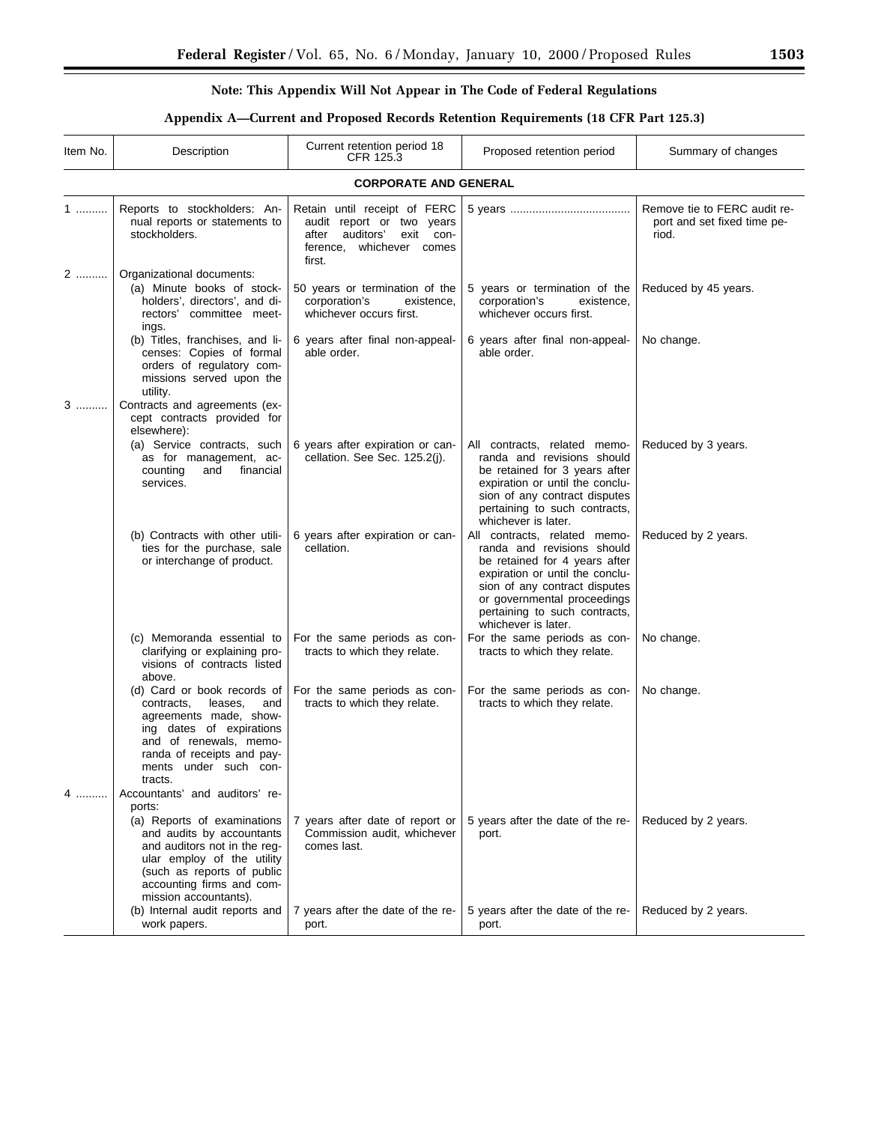▀

# **Note: This Appendix Will Not Appear in The Code of Federal Regulations**

# **Appendix A—Current and Proposed Records Retention Requirements (18 CFR Part 125.3)**

| Item No. | Description                                                                                                                                                                                                   | Current retention period 18<br>CFR 125.3                                                                                              | Proposed retention period                                                                                                                                                                                                                              | Summary of changes                                                   |  |  |
|----------|---------------------------------------------------------------------------------------------------------------------------------------------------------------------------------------------------------------|---------------------------------------------------------------------------------------------------------------------------------------|--------------------------------------------------------------------------------------------------------------------------------------------------------------------------------------------------------------------------------------------------------|----------------------------------------------------------------------|--|--|
|          | <b>CORPORATE AND GENERAL</b>                                                                                                                                                                                  |                                                                                                                                       |                                                                                                                                                                                                                                                        |                                                                      |  |  |
| $1$      | Reports to stockholders: An-<br>nual reports or statements to<br>stockholders.                                                                                                                                | Retain until receipt of FERC<br>audit report or two years<br>after<br>auditors'<br>exit<br>con-<br>ference, whichever comes<br>first. |                                                                                                                                                                                                                                                        | Remove tie to FERC audit re-<br>port and set fixed time pe-<br>riod. |  |  |
| 2        | Organizational documents:<br>(a) Minute books of stock-<br>holders', directors', and di-<br>rectors' committee meet-<br>ings.                                                                                 | 50 years or termination of the<br>corporation's<br>existence,<br>whichever occurs first.                                              | 5 years or termination of the<br>corporation's<br>existence,<br>whichever occurs first.                                                                                                                                                                | Reduced by 45 years.                                                 |  |  |
|          | (b) Titles, franchises, and li-<br>censes: Copies of formal<br>orders of regulatory com-<br>missions served upon the<br>utility.                                                                              | 6 years after final non-appeal-<br>able order.                                                                                        | 6 years after final non-appeal-<br>able order.                                                                                                                                                                                                         | No change.                                                           |  |  |
| 3        | Contracts and agreements (ex-<br>cept contracts provided for<br>elsewhere):                                                                                                                                   |                                                                                                                                       |                                                                                                                                                                                                                                                        |                                                                      |  |  |
|          | (a) Service contracts, such<br>as for management, ac-<br>financial<br>counting<br>and<br>services.                                                                                                            | 6 years after expiration or can-<br>cellation. See Sec. 125.2(i).                                                                     | All contracts, related memo-<br>randa and revisions should<br>be retained for 3 years after<br>expiration or until the conclu-<br>sion of any contract disputes<br>pertaining to such contracts,<br>whichever is later.                                | Reduced by 3 years.                                                  |  |  |
|          | (b) Contracts with other utili-<br>ties for the purchase, sale<br>or interchange of product.                                                                                                                  | 6 years after expiration or can-<br>cellation.                                                                                        | All contracts, related memo-<br>randa and revisions should<br>be retained for 4 years after<br>expiration or until the conclu-<br>sion of any contract disputes<br>or governmental proceedings<br>pertaining to such contracts,<br>whichever is later. | Reduced by 2 years.                                                  |  |  |
|          | (c) Memoranda essential to<br>clarifying or explaining pro-<br>visions of contracts listed<br>above.                                                                                                          | For the same periods as con-<br>tracts to which they relate.                                                                          | For the same periods as con-<br>tracts to which they relate.                                                                                                                                                                                           | No change.                                                           |  |  |
|          | (d) Card or book records of<br>leases.<br>and<br>contracts,<br>agreements made, show-<br>ing dates of expirations<br>and of renewals, memo-<br>randa of receipts and pay-<br>ments under such con-<br>tracts. | For the same periods as con-<br>tracts to which they relate.                                                                          | For the same periods as con-<br>tracts to which they relate.                                                                                                                                                                                           | No change.                                                           |  |  |
| 4        | Accountants' and auditors' re-<br>ports:                                                                                                                                                                      |                                                                                                                                       |                                                                                                                                                                                                                                                        |                                                                      |  |  |
|          | (a) Reports of examinations<br>and audits by accountants<br>and auditors not in the reg-<br>ular employ of the utility<br>(such as reports of public<br>accounting firms and com-<br>mission accountants).    | 7 years after date of report or<br>Commission audit, whichever<br>comes last.                                                         | 5 years after the date of the re-<br>port.                                                                                                                                                                                                             | Reduced by 2 years.                                                  |  |  |
|          | (b) Internal audit reports and<br>work papers.                                                                                                                                                                | 7 years after the date of the re-<br>port.                                                                                            | 5 years after the date of the re-<br>port.                                                                                                                                                                                                             | Reduced by 2 years.                                                  |  |  |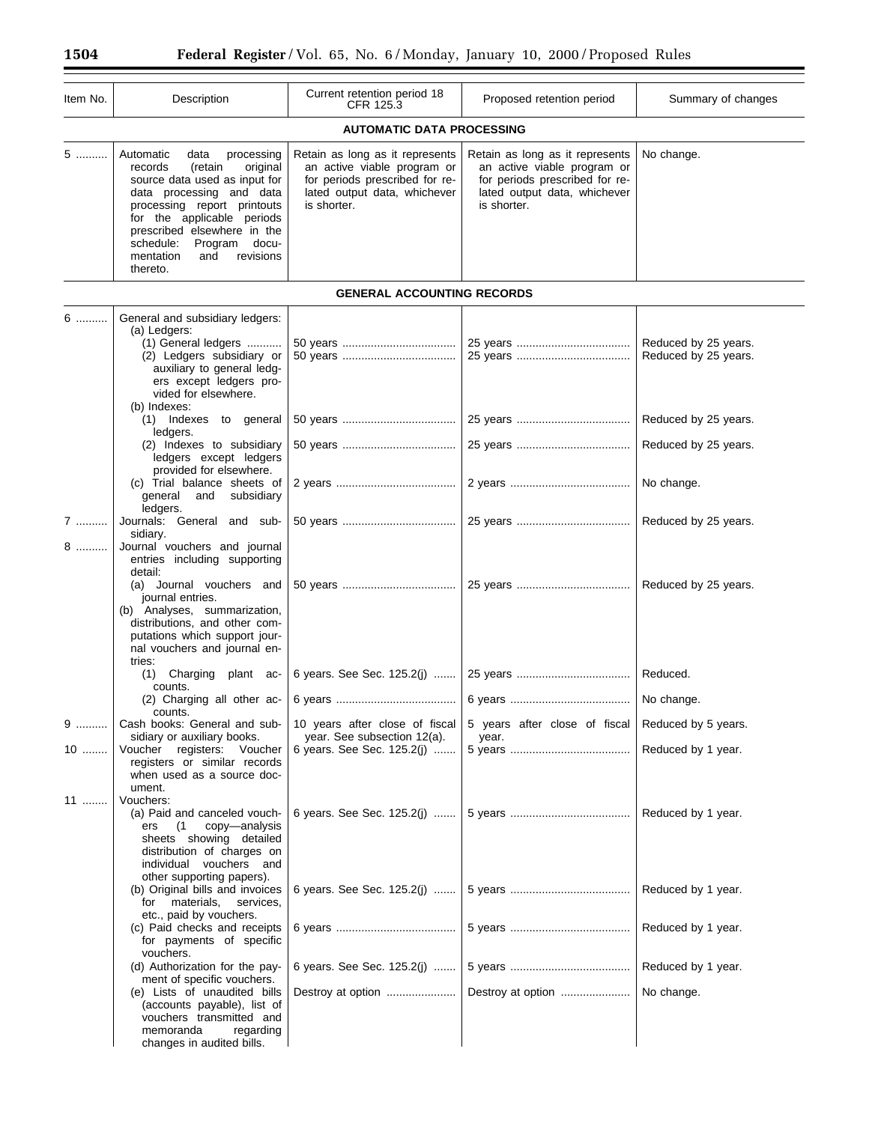| Item No. | Description                                                                                                                                                                                                                                                                                              | Current retention period 18<br>CFR 125.3                                                                                                        | Proposed retention period                                                                                                                       | Summary of changes                           |  |  |
|----------|----------------------------------------------------------------------------------------------------------------------------------------------------------------------------------------------------------------------------------------------------------------------------------------------------------|-------------------------------------------------------------------------------------------------------------------------------------------------|-------------------------------------------------------------------------------------------------------------------------------------------------|----------------------------------------------|--|--|
|          | <b>AUTOMATIC DATA PROCESSING</b>                                                                                                                                                                                                                                                                         |                                                                                                                                                 |                                                                                                                                                 |                                              |  |  |
| 5        | Automatic<br>processing<br>data<br>records<br>(retain<br>original<br>source data used as input for<br>data processing and data<br>processing report printouts<br>for the applicable periods<br>prescribed elsewhere in the<br>schedule:<br>Program<br>docu-<br>mentation<br>revisions<br>and<br>thereto. | Retain as long as it represents<br>an active viable program or<br>for periods prescribed for re-<br>lated output data, whichever<br>is shorter. | Retain as long as it represents<br>an active viable program or<br>for periods prescribed for re-<br>lated output data, whichever<br>is shorter. | No change.                                   |  |  |
|          |                                                                                                                                                                                                                                                                                                          | <b>GENERAL ACCOUNTING RECORDS</b>                                                                                                               |                                                                                                                                                 |                                              |  |  |
| 6        | General and subsidiary ledgers:<br>(a) Ledgers:<br>(1) General ledgers<br>(2) Ledgers subsidiary or<br>auxiliary to general ledg-<br>ers except ledgers pro-<br>vided for elsewhere.                                                                                                                     |                                                                                                                                                 |                                                                                                                                                 | Reduced by 25 years.<br>Reduced by 25 years. |  |  |
|          | (b) Indexes:<br>(1) Indexes to general<br>ledgers.                                                                                                                                                                                                                                                       |                                                                                                                                                 |                                                                                                                                                 | Reduced by 25 years.                         |  |  |
|          | (2) Indexes to subsidiary<br>ledgers except ledgers<br>provided for elsewhere.                                                                                                                                                                                                                           |                                                                                                                                                 |                                                                                                                                                 | Reduced by 25 years.                         |  |  |
|          | (c) Trial balance sheets of<br>general<br>and<br>subsidiary<br>ledgers.                                                                                                                                                                                                                                  |                                                                                                                                                 |                                                                                                                                                 | No change.                                   |  |  |
| 7<br>8   | Journals: General and sub-<br>sidiary.<br>Journal vouchers and journal<br>entries including supporting<br>detail:                                                                                                                                                                                        |                                                                                                                                                 |                                                                                                                                                 | Reduced by 25 years.                         |  |  |
|          | (a) Journal vouchers and<br>journal entries.<br>(b) Analyses, summarization,<br>distributions, and other com-<br>putations which support jour-<br>nal vouchers and journal en-<br>tries:                                                                                                                 |                                                                                                                                                 |                                                                                                                                                 | Reduced by 25 years.                         |  |  |
|          | (1) Charging<br>plant ac-<br>counts.                                                                                                                                                                                                                                                                     | 6 years. See Sec. 125.2(j)                                                                                                                      |                                                                                                                                                 | Reduced.                                     |  |  |
| 9        | (2) Charging all other ac-<br>counts.<br>Cash books: General and sub-                                                                                                                                                                                                                                    | 10 years after close of fiscal                                                                                                                  | 5 years after close of fiscal                                                                                                                   | No change.<br>Reduced by 5 years.            |  |  |
| 10       | sidiary or auxiliary books.<br>Voucher registers: Voucher<br>registers or similar records<br>when used as a source doc-<br>ument.                                                                                                                                                                        | year. See subsection 12(a).<br>6 years. See Sec. 125.2(j)                                                                                       | year.                                                                                                                                           | Reduced by 1 year.                           |  |  |
| $11$     | Vouchers:<br>(a) Paid and canceled vouch-<br>copy-analysis<br>(1)<br>ers<br>sheets showing detailed<br>distribution of charges on<br>individual vouchers and                                                                                                                                             | 6 years. See Sec. $125.2(j)$                                                                                                                    |                                                                                                                                                 | Reduced by 1 year.                           |  |  |
|          | other supporting papers).<br>(b) Original bills and invoices<br>for materials,<br>services,<br>etc., paid by vouchers.                                                                                                                                                                                   | 6 years. See Sec. 125.2(j)                                                                                                                      |                                                                                                                                                 | Reduced by 1 year.                           |  |  |
|          | (c) Paid checks and receipts<br>for payments of specific<br>vouchers.                                                                                                                                                                                                                                    |                                                                                                                                                 |                                                                                                                                                 | Reduced by 1 year.                           |  |  |
|          | (d) Authorization for the pay-<br>ment of specific vouchers.<br>(e) Lists of unaudited bills                                                                                                                                                                                                             | 6 years. See Sec. 125.2(j)                                                                                                                      |                                                                                                                                                 | Reduced by 1 year.                           |  |  |
|          | (accounts payable), list of<br>vouchers transmitted and<br>memoranda<br>regarding<br>changes in audited bills.                                                                                                                                                                                           |                                                                                                                                                 | Destroy at option                                                                                                                               | No change.                                   |  |  |

Ξ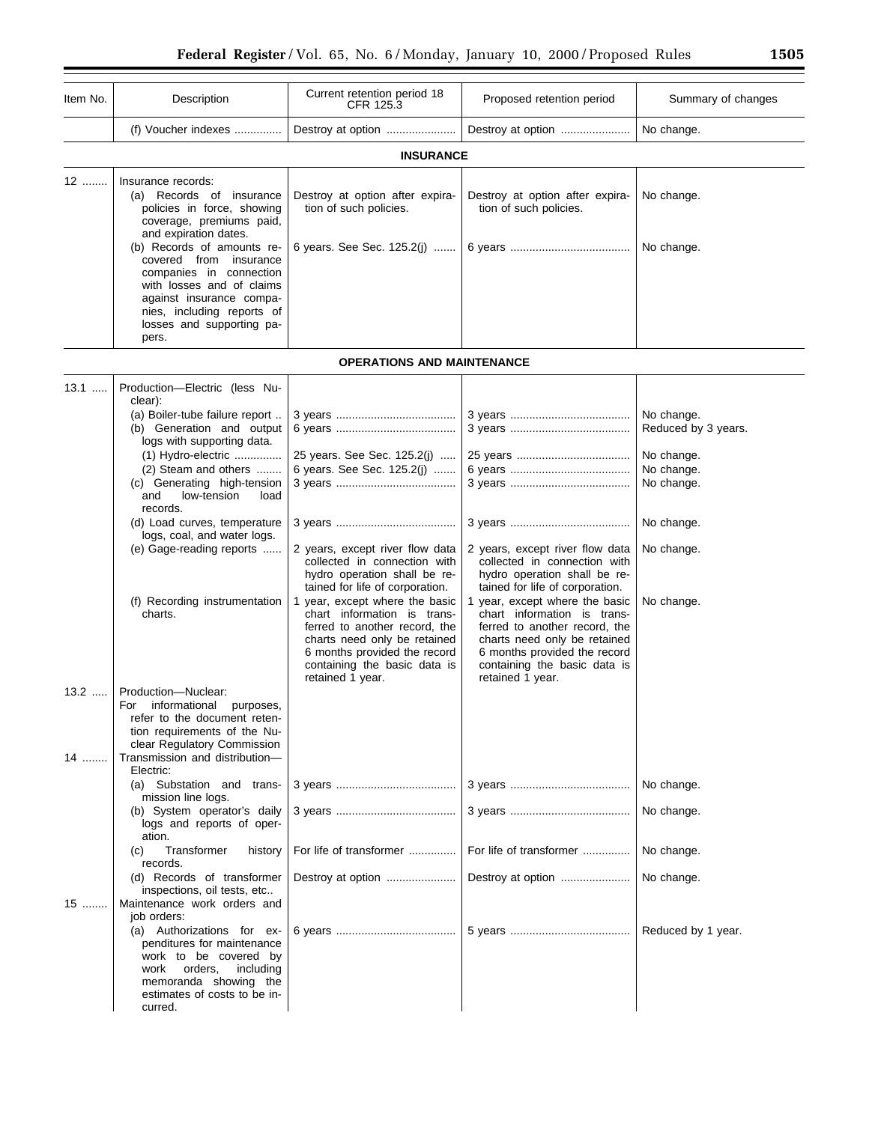| Item No.     | Description                                                                                                                                                                                                                                                                                                                                                                                           | Current retention period 18<br>CFR 125.3                                                                                                                                                                                                                                                                                                                                                                              | Proposed retention period                                                                                                                                                                                                                                                                                                                                | Summary of changes                                                                                                    |
|--------------|-------------------------------------------------------------------------------------------------------------------------------------------------------------------------------------------------------------------------------------------------------------------------------------------------------------------------------------------------------------------------------------------------------|-----------------------------------------------------------------------------------------------------------------------------------------------------------------------------------------------------------------------------------------------------------------------------------------------------------------------------------------------------------------------------------------------------------------------|----------------------------------------------------------------------------------------------------------------------------------------------------------------------------------------------------------------------------------------------------------------------------------------------------------------------------------------------------------|-----------------------------------------------------------------------------------------------------------------------|
|              | (f) Voucher indexes                                                                                                                                                                                                                                                                                                                                                                                   | Destroy at option                                                                                                                                                                                                                                                                                                                                                                                                     | Destroy at option                                                                                                                                                                                                                                                                                                                                        | No change.                                                                                                            |
|              |                                                                                                                                                                                                                                                                                                                                                                                                       | <b>INSURANCE</b>                                                                                                                                                                                                                                                                                                                                                                                                      |                                                                                                                                                                                                                                                                                                                                                          |                                                                                                                       |
| 12           | Insurance records:<br>(a) Records of insurance<br>policies in force, showing<br>coverage, premiums paid,<br>and expiration dates.<br>(b) Records of amounts re-<br>covered from insurance<br>companies in connection<br>with losses and of claims<br>against insurance compa-<br>nies, including reports of<br>losses and supporting pa-<br>pers.                                                     | Destroy at option after expira-<br>tion of such policies.<br>6 years. See Sec. 125.2(j)                                                                                                                                                                                                                                                                                                                               | Destroy at option after expira-<br>tion of such policies.                                                                                                                                                                                                                                                                                                | No change.<br>No change.                                                                                              |
|              |                                                                                                                                                                                                                                                                                                                                                                                                       | <b>OPERATIONS AND MAINTENANCE</b>                                                                                                                                                                                                                                                                                                                                                                                     |                                                                                                                                                                                                                                                                                                                                                          |                                                                                                                       |
| $13.1$       | Production-Electric (less Nu-<br>clear):<br>(a) Boiler-tube failure report<br>(b) Generation and output<br>logs with supporting data.<br>$(1)$ Hydro-electric<br>(2) Steam and others<br>(c) Generating high-tension<br>low-tension<br>and<br>load<br>records.<br>(d) Load curves, temperature<br>logs, coal, and water logs.<br>(e) Gage-reading reports<br>(f) Recording instrumentation<br>charts. | 25 years. See Sec. 125.2(j)<br>6 years. See Sec. 125.2(j)<br>2 years, except river flow data<br>collected in connection with<br>hydro operation shall be re-<br>tained for life of corporation.<br>1 year, except where the basic<br>chart information is trans-<br>ferred to another record, the<br>charts need only be retained<br>6 months provided the record<br>containing the basic data is<br>retained 1 year. | 2 years, except river flow data<br>collected in connection with<br>hydro operation shall be re-<br>tained for life of corporation.<br>1 year, except where the basic<br>chart information is trans-<br>ferred to another record, the<br>charts need only be retained<br>6 months provided the record<br>containing the basic data is<br>retained 1 year. | No change.<br>Reduced by 3 years.<br>No change.<br>No change.<br>No change.<br>No change.<br>No change.<br>No change. |
| $13.2$<br>14 | Production-Nuclear:<br>For informational purposes,<br>refer to the document reten-<br>tion requirements of the Nu-<br>clear Regulatory Commission<br>Transmission and distribution-                                                                                                                                                                                                                   |                                                                                                                                                                                                                                                                                                                                                                                                                       |                                                                                                                                                                                                                                                                                                                                                          |                                                                                                                       |
|              | Electric:<br>(a) Substation and trans-<br>mission line logs.<br>(b) System operator's daily<br>logs and reports of oper-<br>ation.                                                                                                                                                                                                                                                                    |                                                                                                                                                                                                                                                                                                                                                                                                                       |                                                                                                                                                                                                                                                                                                                                                          | No change.<br>No change.                                                                                              |
| 15           | Transformer<br>(C)<br>history<br>records.<br>(d) Records of transformer<br>inspections, oil tests, etc<br>Maintenance work orders and<br>job orders:<br>(a) Authorizations for ex-<br>penditures for maintenance                                                                                                                                                                                      | For life of transformer<br>Destroy at option                                                                                                                                                                                                                                                                                                                                                                          | For life of transformer<br>Destroy at option                                                                                                                                                                                                                                                                                                             | No change.<br>No change.<br>Reduced by 1 year.                                                                        |
|              | work to be covered by<br>orders,<br>including<br>work<br>memoranda showing the<br>estimates of costs to be in-<br>curred.                                                                                                                                                                                                                                                                             |                                                                                                                                                                                                                                                                                                                                                                                                                       |                                                                                                                                                                                                                                                                                                                                                          |                                                                                                                       |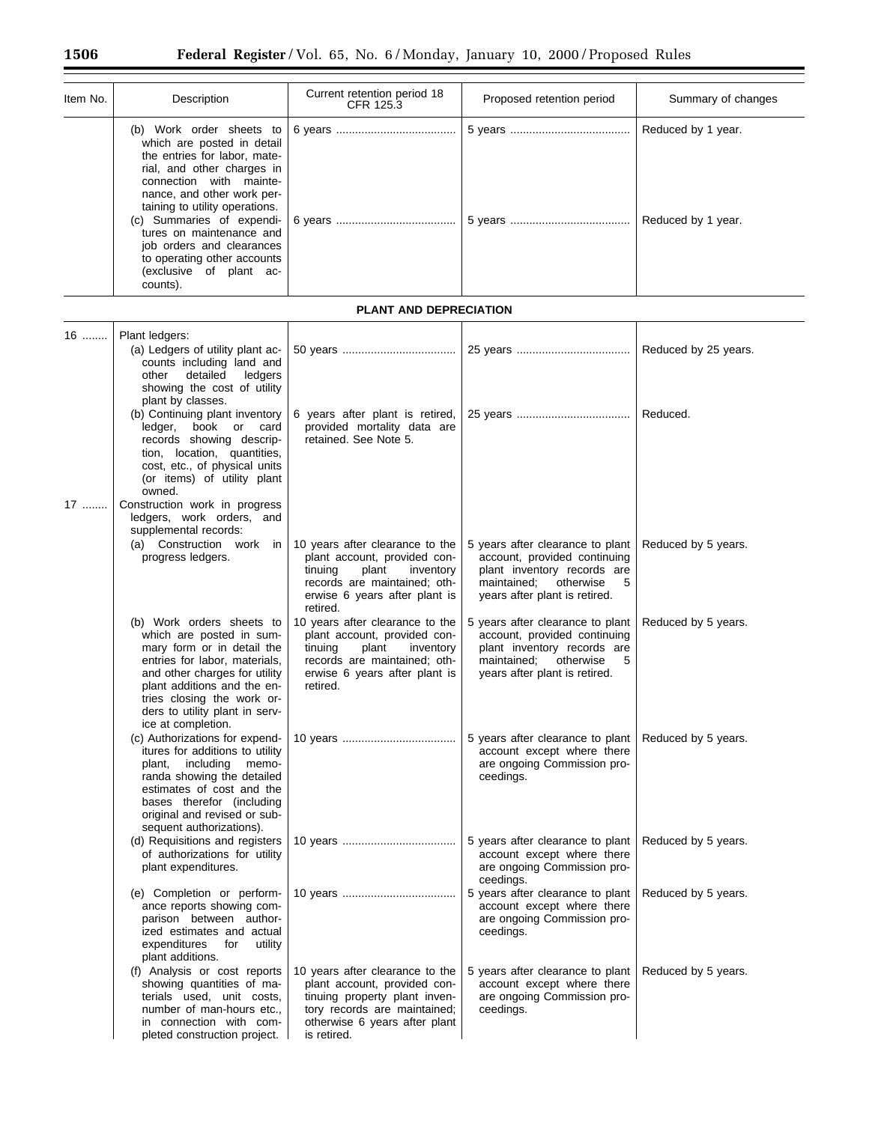$\equiv$ 

| Item No. | Description                                                                                                                                                                                                                                                                                                                                                                 | Current retention period 18<br>CFR 125.3                                                                                                                                         | Proposed retention period                                                                                                                                         | Summary of changes                       |
|----------|-----------------------------------------------------------------------------------------------------------------------------------------------------------------------------------------------------------------------------------------------------------------------------------------------------------------------------------------------------------------------------|----------------------------------------------------------------------------------------------------------------------------------------------------------------------------------|-------------------------------------------------------------------------------------------------------------------------------------------------------------------|------------------------------------------|
|          | (b) Work order sheets to<br>which are posted in detail<br>the entries for labor, mate-<br>rial, and other charges in<br>connection with mainte-<br>nance, and other work per-<br>taining to utility operations.<br>(c) Summaries of expendi-<br>tures on maintenance and<br>job orders and clearances<br>to operating other accounts<br>(exclusive of plant ac-<br>counts). |                                                                                                                                                                                  |                                                                                                                                                                   | Reduced by 1 year.<br>Reduced by 1 year. |
|          |                                                                                                                                                                                                                                                                                                                                                                             | <b>PLANT AND DEPRECIATION</b>                                                                                                                                                    |                                                                                                                                                                   |                                          |
| $16$     | Plant ledgers:<br>(a) Ledgers of utility plant ac-<br>counts including land and<br>detailed<br>other<br>ledgers<br>showing the cost of utility<br>plant by classes.                                                                                                                                                                                                         |                                                                                                                                                                                  |                                                                                                                                                                   | Reduced by 25 years.                     |
|          | (b) Continuing plant inventory<br>book or card<br>ledger,<br>records showing descrip-<br>tion, location, quantities,<br>cost, etc., of physical units<br>(or items) of utility plant<br>owned.                                                                                                                                                                              | 6 years after plant is retired,<br>provided mortality data are<br>retained. See Note 5.                                                                                          |                                                                                                                                                                   | Reduced.                                 |
| 17       | Construction work in progress<br>ledgers, work orders, and<br>supplemental records:<br>(a) Construction work in<br>progress ledgers.                                                                                                                                                                                                                                        | 10 years after clearance to the<br>plant account, provided con-<br>plant<br>tinuing<br>inventory<br>records are maintained; oth-<br>erwise 6 years after plant is<br>retired.    | 5 years after clearance to plant<br>account, provided continuing<br>plant inventory records are<br>maintained;<br>otherwise<br>5<br>years after plant is retired. | Reduced by 5 years.                      |
|          | (b) Work orders sheets to<br>which are posted in sum-<br>mary form or in detail the<br>entries for labor, materials,<br>and other charges for utility<br>plant additions and the en-<br>tries closing the work or-<br>ders to utility plant in serv-<br>ice at completion.                                                                                                  | 10 years after clearance to the<br>plant account, provided con-<br>tinuing<br>plant<br>inventory<br>records are maintained; oth-<br>erwise 6 years after plant is<br>retired.    | 5 years after clearance to plant<br>account, provided continuing<br>plant inventory records are<br>maintained;<br>otherwise<br>5<br>years after plant is retired. | Reduced by 5 years.                      |
|          | (c) Authorizations for expend-<br>itures for additions to utility<br>plant,<br>including memo-<br>randa showing the detailed<br>estimates of cost and the<br>bases therefor (including<br>original and revised or sub-<br>sequent authorizations).                                                                                                                          |                                                                                                                                                                                  | 5 years after clearance to plant<br>account except where there<br>are ongoing Commission pro-<br>ceedings.                                                        | Reduced by 5 years.                      |
|          | (d) Requisitions and registers<br>of authorizations for utility<br>plant expenditures.                                                                                                                                                                                                                                                                                      |                                                                                                                                                                                  | 5 years after clearance to plant<br>account except where there<br>are ongoing Commission pro-<br>ceedings.                                                        | Reduced by 5 years.                      |
|          | (e) Completion or perform-<br>ance reports showing com-<br>parison between author-<br>ized estimates and actual<br>expenditures<br>utility<br>for<br>plant additions.                                                                                                                                                                                                       |                                                                                                                                                                                  | 5 years after clearance to plant<br>account except where there<br>are ongoing Commission pro-<br>ceedings.                                                        | Reduced by 5 years.                      |
|          | (f) Analysis or cost reports<br>showing quantities of ma-<br>terials used, unit costs,<br>number of man-hours etc.,<br>in connection with com-<br>pleted construction project.                                                                                                                                                                                              | 10 years after clearance to the<br>plant account, provided con-<br>tinuing property plant inven-<br>tory records are maintained;<br>otherwise 6 years after plant<br>is retired. | 5 years after clearance to plant<br>account except where there<br>are ongoing Commission pro-<br>ceedings.                                                        | Reduced by 5 years.                      |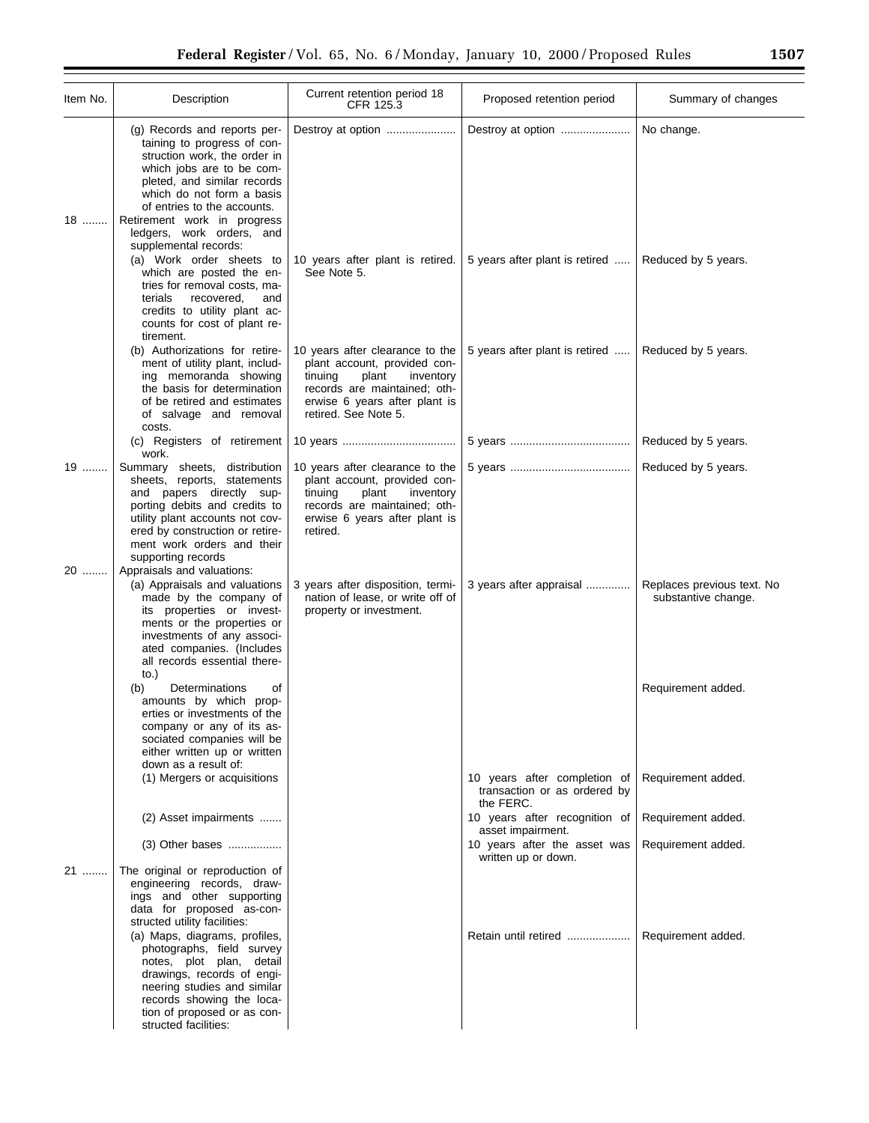| Item No. | Description                                                                                                                                                                                                                                                                                                                                                                                        | Current retention period 18<br>CFR 125.3                                                                                                                                                  | Proposed retention period                           | Summary of changes                                |
|----------|----------------------------------------------------------------------------------------------------------------------------------------------------------------------------------------------------------------------------------------------------------------------------------------------------------------------------------------------------------------------------------------------------|-------------------------------------------------------------------------------------------------------------------------------------------------------------------------------------------|-----------------------------------------------------|---------------------------------------------------|
| 18       | (g) Records and reports per-<br>taining to progress of con-<br>struction work, the order in<br>which jobs are to be com-<br>pleted, and similar records<br>which do not form a basis<br>of entries to the accounts.<br>Retirement work in progress<br>ledgers, work orders, and<br>supplemental records:                                                                                           | Destroy at option                                                                                                                                                                         |                                                     | No change.                                        |
|          | (a) Work order sheets to<br>which are posted the en-<br>tries for removal costs, ma-<br>recovered,<br>terials<br>and<br>credits to utility plant ac-<br>counts for cost of plant re-<br>tirement.                                                                                                                                                                                                  | 10 years after plant is retired.<br>See Note 5.                                                                                                                                           | 5 years after plant is retired                      | Reduced by 5 years.                               |
|          | (b) Authorizations for retire-<br>ment of utility plant, includ-<br>ing memoranda showing<br>the basis for determination<br>of be retired and estimates<br>of salvage and removal<br>costs.                                                                                                                                                                                                        | 10 years after clearance to the<br>plant account, provided con-<br>tinuing<br>plant<br>inventory<br>records are maintained; oth-<br>erwise 6 years after plant is<br>retired. See Note 5. | 5 years after plant is retired                      | Reduced by 5 years.                               |
|          | (c) Registers of retirement<br>work.                                                                                                                                                                                                                                                                                                                                                               |                                                                                                                                                                                           |                                                     | Reduced by 5 years.                               |
| 19       | Summary sheets, distribution<br>sheets, reports, statements<br>and papers directly sup-<br>porting debits and credits to<br>utility plant accounts not cov-<br>ered by construction or retire-<br>ment work orders and their<br>supporting records                                                                                                                                                 | 10 years after clearance to the<br>plant account, provided con-<br>plant<br>tinuing<br>inventory<br>records are maintained; oth-<br>erwise 6 years after plant is<br>retired.             |                                                     | Reduced by 5 years.                               |
| 20       | Appraisals and valuations:<br>(a) Appraisals and valuations<br>made by the company of<br>its properties or invest-<br>ments or the properties or<br>investments of any associ-<br>ated companies. (Includes<br>all records essential there-<br>to.)                                                                                                                                                | 3 years after disposition, termi-<br>nation of lease, or write off of<br>property or investment.                                                                                          | 3 years after appraisal                             | Replaces previous text. No<br>substantive change. |
|          | Determinations<br>(b)<br>οf<br>amounts by which prop-<br>erties or investments of the<br>company or any of its as-<br>sociated companies will be<br>either written up or written<br>down as a result of:<br>(1) Mergers or acquisitions                                                                                                                                                            |                                                                                                                                                                                           | 10 years after completion of                        | Requirement added.<br>Requirement added.          |
|          |                                                                                                                                                                                                                                                                                                                                                                                                    |                                                                                                                                                                                           | transaction or as ordered by<br>the FERC.           |                                                   |
|          | (2) Asset impairments                                                                                                                                                                                                                                                                                                                                                                              |                                                                                                                                                                                           | 10 years after recognition of<br>asset impairment.  | Requirement added.                                |
|          | $(3)$ Other bases                                                                                                                                                                                                                                                                                                                                                                                  |                                                                                                                                                                                           | 10 years after the asset was<br>written up or down. | Requirement added.                                |
| 21       | The original or reproduction of<br>engineering records, draw-<br>ings and other supporting<br>data for proposed as-con-<br>structed utility facilities:<br>(a) Maps, diagrams, profiles,<br>photographs, field survey<br>notes, plot plan, detail<br>drawings, records of engi-<br>neering studies and similar<br>records showing the loca-<br>tion of proposed or as con-<br>structed facilities: |                                                                                                                                                                                           | Retain until retired                                | Requirement added.                                |

÷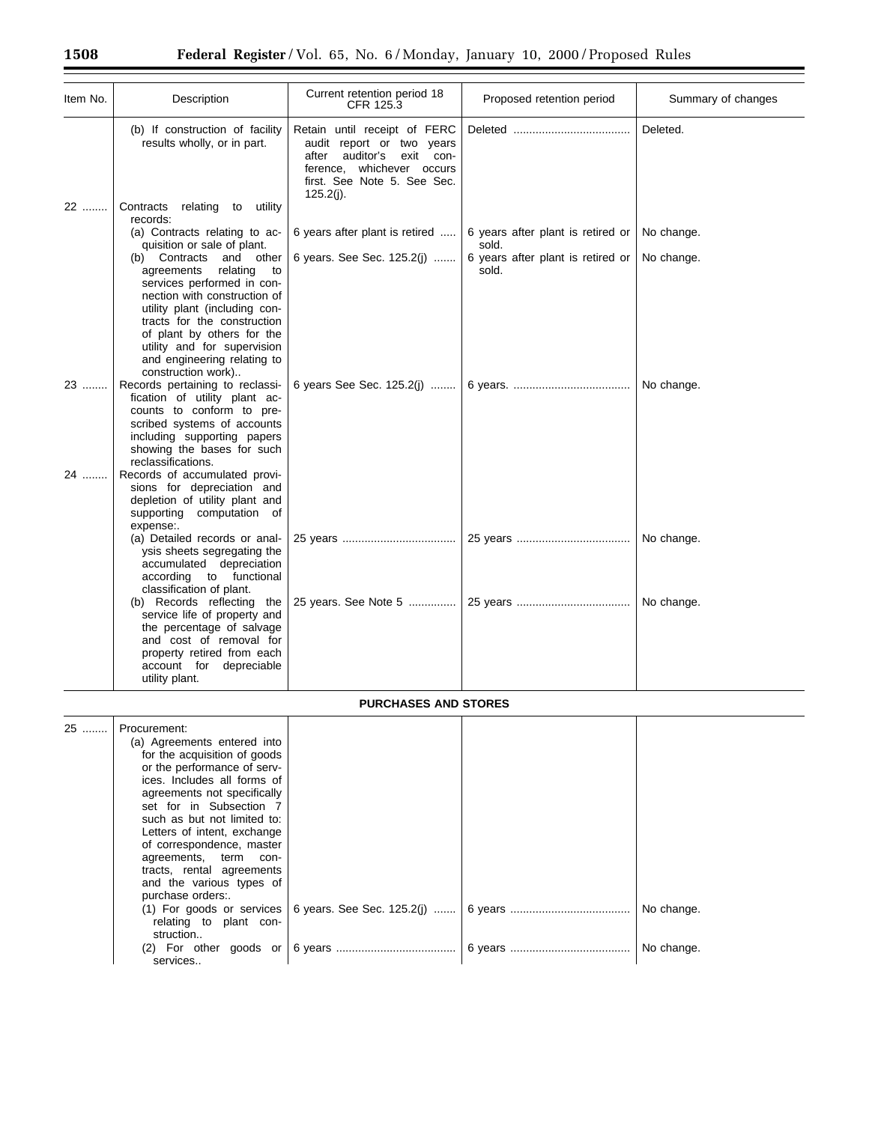| Item No. | Description                                                                                                                                                                                                                                                                                                   | Current retention period 18<br>CFR 125.3                                                                                                                                 | Proposed retention period                  | Summary of changes |
|----------|---------------------------------------------------------------------------------------------------------------------------------------------------------------------------------------------------------------------------------------------------------------------------------------------------------------|--------------------------------------------------------------------------------------------------------------------------------------------------------------------------|--------------------------------------------|--------------------|
|          | (b) If construction of facility<br>results wholly, or in part.                                                                                                                                                                                                                                                | Retain until receipt of FERC<br>audit report or two years<br>after<br>auditor's exit con-<br>whichever occurs<br>ference,<br>first. See Note 5. See Sec.<br>$125.2(j)$ . |                                            | Deleted.           |
| 22       | Contracts<br>relating to<br>utility<br>records:                                                                                                                                                                                                                                                               |                                                                                                                                                                          |                                            |                    |
|          | (a) Contracts relating to ac-<br>quisition or sale of plant.                                                                                                                                                                                                                                                  | 6 years after plant is retired                                                                                                                                           | 6 years after plant is retired or<br>sold. | No change.         |
|          | Contracts<br>and other<br>(b)<br>agreements<br>relating<br>to<br>services performed in con-<br>nection with construction of<br>utility plant (including con-<br>tracts for the construction<br>of plant by others for the<br>utility and for supervision<br>and engineering relating to<br>construction work) | 6 years. See Sec. 125.2(j)                                                                                                                                               | 6 years after plant is retired or<br>sold. | No change.         |
| 23       | Records pertaining to reclassi-<br>fication of utility plant ac-<br>counts to conform to pre-<br>scribed systems of accounts<br>including supporting papers<br>showing the bases for such<br>reclassifications.                                                                                               | 6 years See Sec. 125.2(j)                                                                                                                                                |                                            | No change.         |
| 24       | Records of accumulated provi-<br>sions for depreciation and<br>depletion of utility plant and<br>supporting computation of<br>expense:.                                                                                                                                                                       |                                                                                                                                                                          |                                            |                    |
|          | (a) Detailed records or anal-<br>ysis sheets segregating the<br>accumulated depreciation<br>functional<br>according<br>to<br>classification of plant.                                                                                                                                                         |                                                                                                                                                                          |                                            | No change.         |
|          | (b) Records reflecting the<br>service life of property and<br>the percentage of salvage<br>and cost of removal for<br>property retired from each<br>account for depreciable<br>utility plant.                                                                                                                 | 25 years. See Note 5                                                                                                                                                     |                                            | No change.         |

# **PURCHASES AND STORES**

| 25 | Procurement:<br>(a) Agreements entered into<br>for the acquisition of goods<br>or the performance of serv-<br>ices. Includes all forms of<br>agreements not specifically<br>set for in Subsection 7<br>such as but not limited to:<br>Letters of intent, exchange<br>of correspondence, master<br>agreements, term con-<br>tracts, rental agreements<br>and the various types of<br>purchase orders:.<br>$(1)$ For goods or services<br>relating to plant con-<br>struction |  | No change. |
|----|-----------------------------------------------------------------------------------------------------------------------------------------------------------------------------------------------------------------------------------------------------------------------------------------------------------------------------------------------------------------------------------------------------------------------------------------------------------------------------|--|------------|
|    | $(2)$ For other goods or<br>services                                                                                                                                                                                                                                                                                                                                                                                                                                        |  | No change. |

Ξ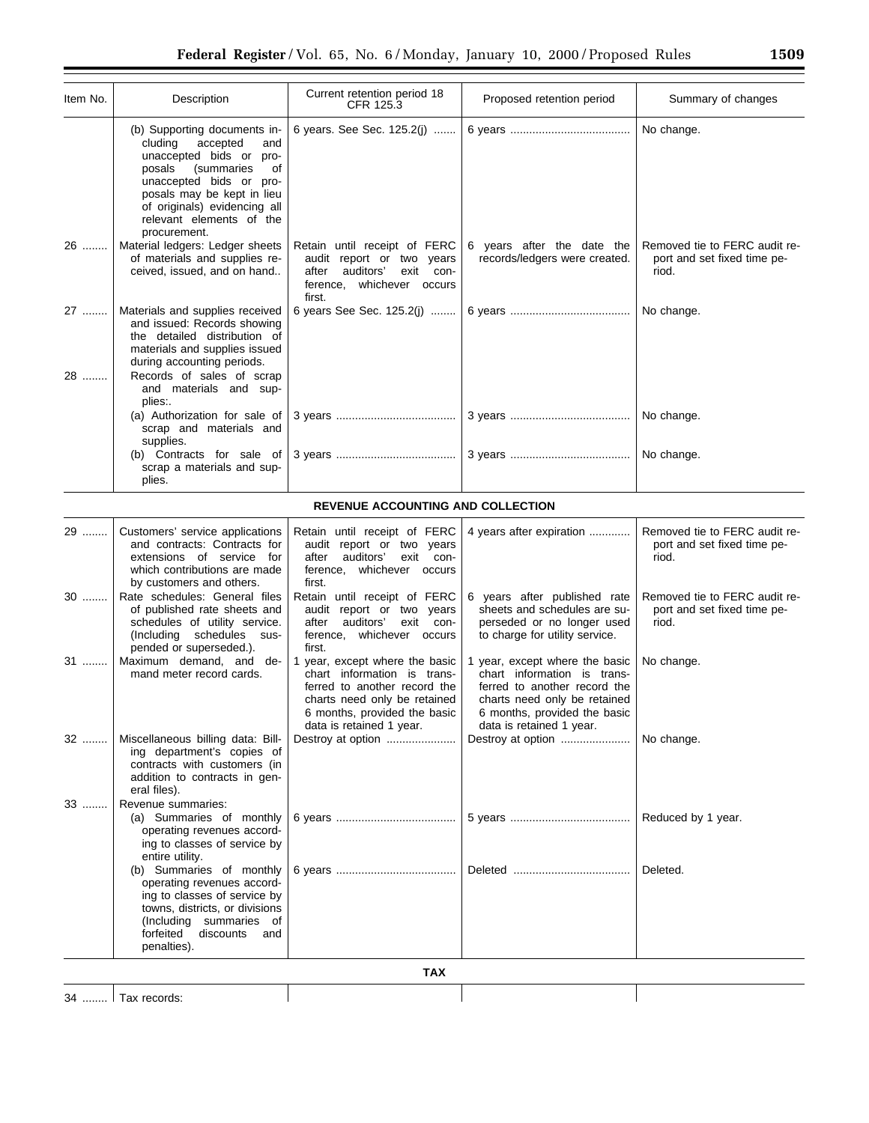| Item No. | Description                                                                                                                                                                                                                                              | Current retention period 18<br>CFR 125.3                                                                                                                                                  | Proposed retention period                                                                                                                                                                 | Summary of changes                                                    |
|----------|----------------------------------------------------------------------------------------------------------------------------------------------------------------------------------------------------------------------------------------------------------|-------------------------------------------------------------------------------------------------------------------------------------------------------------------------------------------|-------------------------------------------------------------------------------------------------------------------------------------------------------------------------------------------|-----------------------------------------------------------------------|
|          | (b) Supporting documents in-<br>accepted<br>cluding<br>and<br>unaccepted bids or pro-<br>posals<br>(summaries<br>οf<br>unaccepted bids or pro-<br>posals may be kept in lieu<br>of originals) evidencing all<br>relevant elements of the<br>procurement. | 6 years. See Sec. 125.2(j)                                                                                                                                                                |                                                                                                                                                                                           | No change.                                                            |
| 26       | Material ledgers: Ledger sheets<br>of materials and supplies re-<br>ceived, issued, and on hand                                                                                                                                                          | Retain until receipt of FERC<br>audit report or two years<br>auditors'<br>exit<br>after<br>con-<br>whichever occurs<br>ference,<br>first.                                                 | 6 years after the date the<br>records/ledgers were created.                                                                                                                               | Removed tie to FERC audit re-<br>port and set fixed time pe-<br>riod. |
| 27       | Materials and supplies received<br>and issued: Records showing<br>the detailed distribution of<br>materials and supplies issued<br>during accounting periods.                                                                                            | 6 years See Sec. 125.2(j)                                                                                                                                                                 |                                                                                                                                                                                           | No change.                                                            |
| 28       | Records of sales of scrap<br>and materials and sup-<br>plies:.                                                                                                                                                                                           |                                                                                                                                                                                           |                                                                                                                                                                                           |                                                                       |
|          | (a) Authorization for sale of<br>scrap and materials and<br>supplies.                                                                                                                                                                                    |                                                                                                                                                                                           |                                                                                                                                                                                           | No change.                                                            |
|          | (b) Contracts for sale of<br>scrap a materials and sup-<br>plies.                                                                                                                                                                                        |                                                                                                                                                                                           |                                                                                                                                                                                           | No change.                                                            |
|          |                                                                                                                                                                                                                                                          | REVENUE ACCOUNTING AND COLLECTION                                                                                                                                                         |                                                                                                                                                                                           |                                                                       |
| 29       | Customers' service applications<br>and contracts: Contracts for<br>extensions of service for<br>which contributions are made<br>by customers and others.                                                                                                 | Retain until receipt of FERC<br>audit report or two years<br>auditors'<br>exit<br>after<br>con-<br>ference, whichever occurs<br>first.                                                    | 4 years after expiration                                                                                                                                                                  | Removed tie to FERC audit re-<br>port and set fixed time pe-<br>riod. |
| $30$     | Rate schedules: General files<br>of published rate sheets and<br>schedules of utility service.<br>(Including schedules<br>sus-<br>pended or superseded.).                                                                                                | Retain until receipt of FERC<br>audit report or two years<br>auditors'<br>exit<br>after<br>con-<br>whichever occurs<br>ference,<br>first.                                                 | 6 years after published rate<br>sheets and schedules are su-<br>perseded or no longer used<br>to charge for utility service.                                                              | Removed tie to FERC audit re-<br>port and set fixed time pe-<br>riod. |
| 31       | Maximum demand, and de-<br>mand meter record cards.                                                                                                                                                                                                      | 1 year, except where the basic<br>chart information is trans-<br>ferred to another record the<br>charts need only be retained<br>6 months, provided the basic<br>data is retained 1 year. | 1 year, except where the basic<br>chart information is trans-<br>ferred to another record the<br>charts need only be retained<br>6 months, provided the basic<br>data is retained 1 year. | No change.                                                            |
| 32       | Miscellaneous billing data: Bill-<br>ing department's copies of<br>contracts with customers (in<br>addition to contracts in gen-<br>eral files).                                                                                                         | Destroy at option                                                                                                                                                                         | Destroy at option                                                                                                                                                                         | No change.                                                            |
| 33       | Revenue summaries:<br>(a) Summaries of monthly<br>operating revenues accord-<br>ing to classes of service by<br>entire utility.                                                                                                                          |                                                                                                                                                                                           |                                                                                                                                                                                           | Reduced by 1 year.                                                    |
|          | (b) Summaries of monthly<br>operating revenues accord-<br>ing to classes of service by<br>towns, districts, or divisions<br>(Including summaries of<br>forfeited<br>discounts<br>and<br>penalties).                                                      |                                                                                                                                                                                           |                                                                                                                                                                                           | Deleted.                                                              |
|          |                                                                                                                                                                                                                                                          | <b>TAX</b>                                                                                                                                                                                |                                                                                                                                                                                           |                                                                       |

34 ........ Tax records:

 $\overline{\phantom{a}}$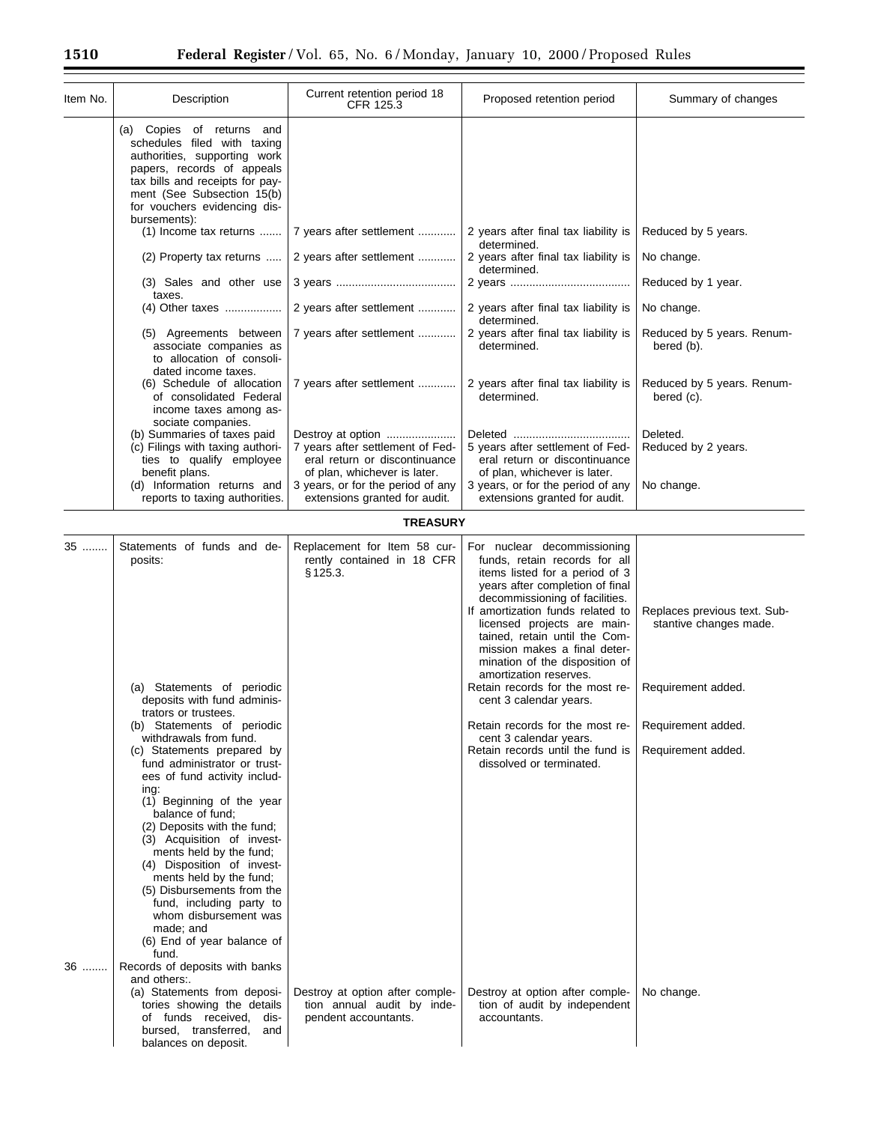$\equiv$ 

| Item No. | Description                                                                                                                                                                                                                                                                                                                                                                                                                                                                                                                                                                                                                        | Current retention period 18<br>CFR 125.3                                                                                                                    | Proposed retention period                                                                                                                                                                                                                                                                                                                                                                                                                                                                                                                                     | Summary of changes                                                                                                       |
|----------|------------------------------------------------------------------------------------------------------------------------------------------------------------------------------------------------------------------------------------------------------------------------------------------------------------------------------------------------------------------------------------------------------------------------------------------------------------------------------------------------------------------------------------------------------------------------------------------------------------------------------------|-------------------------------------------------------------------------------------------------------------------------------------------------------------|---------------------------------------------------------------------------------------------------------------------------------------------------------------------------------------------------------------------------------------------------------------------------------------------------------------------------------------------------------------------------------------------------------------------------------------------------------------------------------------------------------------------------------------------------------------|--------------------------------------------------------------------------------------------------------------------------|
|          | (a) Copies of returns and<br>schedules filed with taxing<br>authorities, supporting work<br>papers, records of appeals<br>tax bills and receipts for pay-<br>ment (See Subsection 15(b)<br>for vouchers evidencing dis-                                                                                                                                                                                                                                                                                                                                                                                                            |                                                                                                                                                             |                                                                                                                                                                                                                                                                                                                                                                                                                                                                                                                                                               |                                                                                                                          |
|          | bursements):<br>(1) Income tax returns                                                                                                                                                                                                                                                                                                                                                                                                                                                                                                                                                                                             | 7 years after settlement                                                                                                                                    | 2 years after final tax liability is<br>determined.                                                                                                                                                                                                                                                                                                                                                                                                                                                                                                           | Reduced by 5 years.                                                                                                      |
|          | (2) Property tax returns                                                                                                                                                                                                                                                                                                                                                                                                                                                                                                                                                                                                           | 2 years after settlement                                                                                                                                    | 2 years after final tax liability is<br>determined.                                                                                                                                                                                                                                                                                                                                                                                                                                                                                                           | No change.                                                                                                               |
|          | (3) Sales and other use<br>taxes.                                                                                                                                                                                                                                                                                                                                                                                                                                                                                                                                                                                                  |                                                                                                                                                             |                                                                                                                                                                                                                                                                                                                                                                                                                                                                                                                                                               | Reduced by 1 year.                                                                                                       |
|          |                                                                                                                                                                                                                                                                                                                                                                                                                                                                                                                                                                                                                                    | 2 years after settlement                                                                                                                                    | 2 years after final tax liability is<br>determined.                                                                                                                                                                                                                                                                                                                                                                                                                                                                                                           | No change.                                                                                                               |
|          | (5) Agreements between<br>associate companies as<br>to allocation of consoli-                                                                                                                                                                                                                                                                                                                                                                                                                                                                                                                                                      | 7 years after settlement                                                                                                                                    | 2 years after final tax liability is<br>determined.                                                                                                                                                                                                                                                                                                                                                                                                                                                                                                           | Reduced by 5 years. Renum-<br>bered (b).                                                                                 |
|          | dated income taxes.<br>(6) Schedule of allocation<br>of consolidated Federal<br>income taxes among as-                                                                                                                                                                                                                                                                                                                                                                                                                                                                                                                             | 7 years after settlement                                                                                                                                    | 2 years after final tax liability is<br>determined.                                                                                                                                                                                                                                                                                                                                                                                                                                                                                                           | Reduced by 5 years. Renum-<br>bered (c).                                                                                 |
|          | sociate companies.<br>(b) Summaries of taxes paid<br>(c) Filings with taxing authori-<br>ties to qualify employee<br>benefit plans.<br>(d) Information returns and                                                                                                                                                                                                                                                                                                                                                                                                                                                                 | Destroy at option<br>7 years after settlement of Fed-<br>eral return or discontinuance<br>of plan, whichever is later.<br>3 years, or for the period of any | 5 years after settlement of Fed-<br>eral return or discontinuance<br>of plan, whichever is later.<br>3 years, or for the period of any                                                                                                                                                                                                                                                                                                                                                                                                                        | Deleted.<br>Reduced by 2 years.<br>No change.                                                                            |
|          | reports to taxing authorities.                                                                                                                                                                                                                                                                                                                                                                                                                                                                                                                                                                                                     | extensions granted for audit.                                                                                                                               | extensions granted for audit.                                                                                                                                                                                                                                                                                                                                                                                                                                                                                                                                 |                                                                                                                          |
|          |                                                                                                                                                                                                                                                                                                                                                                                                                                                                                                                                                                                                                                    | <b>TREASURY</b>                                                                                                                                             |                                                                                                                                                                                                                                                                                                                                                                                                                                                                                                                                                               |                                                                                                                          |
| 35       | Statements of funds and de-<br>posits:<br>(a) Statements of periodic<br>deposits with fund adminis-<br>trators or trustees.<br>(b) Statements of periodic<br>withdrawals from fund.<br>(c) Statements prepared by<br>fund administrator or trust-<br>ees of fund activity includ-<br>ing:<br>(1) Beginning of the year<br>balance of fund;<br>(2) Deposits with the fund;<br>(3) Acquisition of invest-<br>ments held by the fund;<br>(4) Disposition of invest-<br>ments held by the fund;<br>(5) Disbursements from the<br>fund, including party to<br>whom disbursement was<br>made; and<br>(6) End of year balance of<br>fund. | Replacement for Item 58 cur-<br>rently contained in 18 CFR<br>§ 125.3.                                                                                      | For nuclear decommissioning<br>funds, retain records for all<br>items listed for a period of 3<br>years after completion of final<br>decommissioning of facilities.<br>If amortization funds related to<br>licensed projects are main-<br>tained. retain until the Com-<br>mission makes a final deter-<br>mination of the disposition of<br>amortization reserves.<br>Retain records for the most re-<br>cent 3 calendar years.<br>Retain records for the most re-<br>cent 3 calendar years.<br>Retain records until the fund is<br>dissolved or terminated. | Replaces previous text. Sub-<br>stantive changes made.<br>Requirement added.<br>Requirement added.<br>Requirement added. |
| 36       | Records of deposits with banks<br>and others:.<br>(a) Statements from deposi-<br>tories showing the details<br>of funds received,<br>dis-<br>bursed, transferred, and<br>balances on deposit.                                                                                                                                                                                                                                                                                                                                                                                                                                      | Destroy at option after comple-<br>tion annual audit by inde-<br>pendent accountants.                                                                       | Destroy at option after comple-<br>tion of audit by independent<br>accountants.                                                                                                                                                                                                                                                                                                                                                                                                                                                                               | No change.                                                                                                               |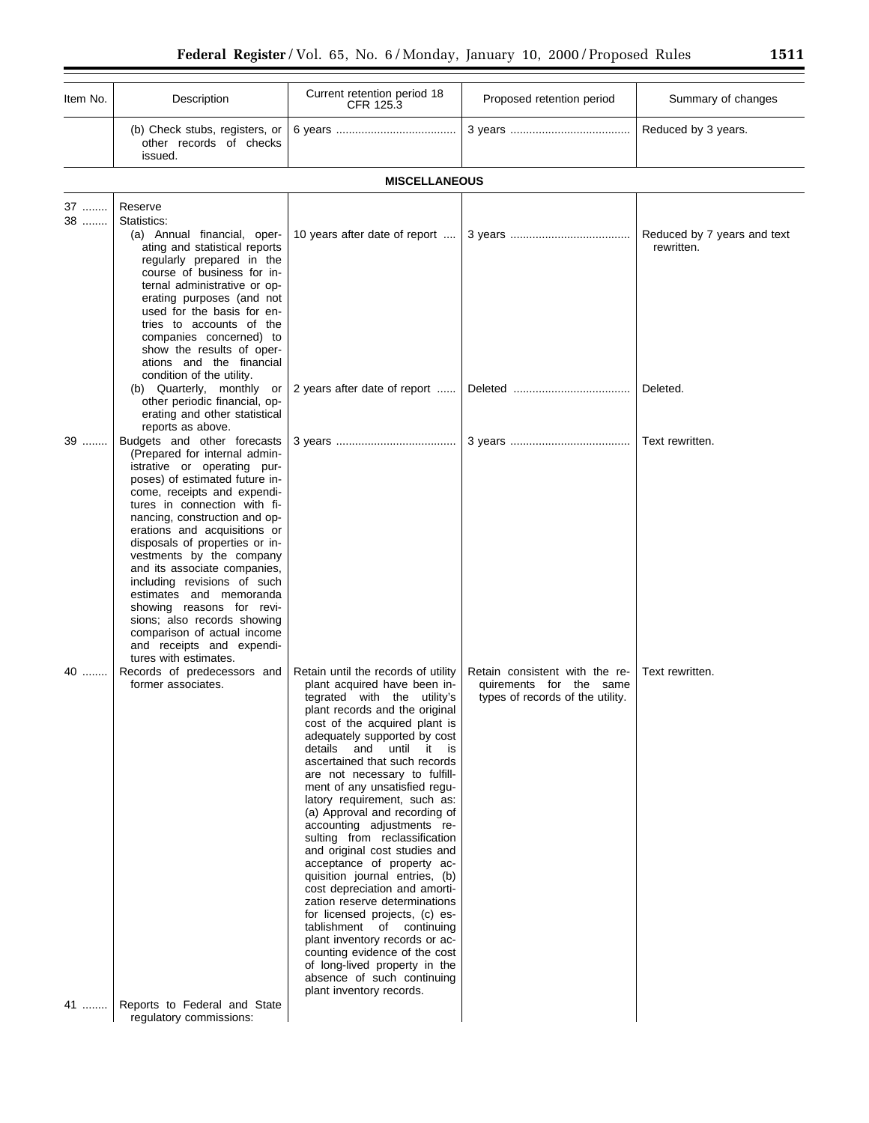| Item No. | Description                                                                                                                                                                                                                                                                                                                                                                                                                                                                                                                                                                                 | Current retention period 18<br>CFR 125.3                                                                                                                                                                                                                                                                                                                                                                                                                                                                                                                                                                                                                                                                                                                                                                                                                            | Proposed retention period                                                                     | Summary of changes                        |
|----------|---------------------------------------------------------------------------------------------------------------------------------------------------------------------------------------------------------------------------------------------------------------------------------------------------------------------------------------------------------------------------------------------------------------------------------------------------------------------------------------------------------------------------------------------------------------------------------------------|---------------------------------------------------------------------------------------------------------------------------------------------------------------------------------------------------------------------------------------------------------------------------------------------------------------------------------------------------------------------------------------------------------------------------------------------------------------------------------------------------------------------------------------------------------------------------------------------------------------------------------------------------------------------------------------------------------------------------------------------------------------------------------------------------------------------------------------------------------------------|-----------------------------------------------------------------------------------------------|-------------------------------------------|
|          | (b) Check stubs, registers, or<br>other records of checks<br>issued.                                                                                                                                                                                                                                                                                                                                                                                                                                                                                                                        |                                                                                                                                                                                                                                                                                                                                                                                                                                                                                                                                                                                                                                                                                                                                                                                                                                                                     |                                                                                               | Reduced by 3 years.                       |
|          |                                                                                                                                                                                                                                                                                                                                                                                                                                                                                                                                                                                             | <b>MISCELLANEOUS</b>                                                                                                                                                                                                                                                                                                                                                                                                                                                                                                                                                                                                                                                                                                                                                                                                                                                |                                                                                               |                                           |
| 37<br>38 | Reserve<br>Statistics:<br>(a) Annual financial, oper-<br>ating and statistical reports<br>regularly prepared in the<br>course of business for in-<br>ternal administrative or op-<br>erating purposes (and not<br>used for the basis for en-<br>tries to accounts of the<br>companies concerned) to<br>show the results of oper-<br>ations and the financial<br>condition of the utility.                                                                                                                                                                                                   | 10 years after date of report                                                                                                                                                                                                                                                                                                                                                                                                                                                                                                                                                                                                                                                                                                                                                                                                                                       |                                                                                               | Reduced by 7 years and text<br>rewritten. |
|          | (b) Quarterly, monthly or<br>other periodic financial, op-<br>erating and other statistical                                                                                                                                                                                                                                                                                                                                                                                                                                                                                                 | 2 years after date of report                                                                                                                                                                                                                                                                                                                                                                                                                                                                                                                                                                                                                                                                                                                                                                                                                                        |                                                                                               | Deleted.                                  |
| 39       | reports as above.<br>Budgets and other forecasts<br>(Prepared for internal admin-<br>istrative or operating pur-<br>poses) of estimated future in-<br>come, receipts and expendi-<br>tures in connection with fi-<br>nancing, construction and op-<br>erations and acquisitions or<br>disposals of properties or in-<br>vestments by the company<br>and its associate companies,<br>including revisions of such<br>estimates and memoranda<br>showing reasons for revi-<br>sions; also records showing<br>comparison of actual income<br>and receipts and expendi-<br>tures with estimates. |                                                                                                                                                                                                                                                                                                                                                                                                                                                                                                                                                                                                                                                                                                                                                                                                                                                                     |                                                                                               | Text rewritten.                           |
| 40       | Records of predecessors and<br>former associates.                                                                                                                                                                                                                                                                                                                                                                                                                                                                                                                                           | Retain until the records of utility<br>plant acquired have been in-<br>tegrated with the utility's<br>plant records and the original<br>cost of the acquired plant is<br>adequately supported by cost<br>details and until it is<br>ascertained that such records<br>are not necessary to fulfill-<br>ment of any unsatisfied regu-<br>latory requirement, such as:<br>(a) Approval and recording of<br>accounting adjustments re-<br>sulting from reclassification<br>and original cost studies and<br>acceptance of property ac-<br>quisition journal entries, (b)<br>cost depreciation and amorti-<br>zation reserve determinations<br>for licensed projects, (c) es-<br>tablishment of continuing<br>plant inventory records or ac-<br>counting evidence of the cost<br>of long-lived property in the<br>absence of such continuing<br>plant inventory records. | Retain consistent with the re-<br>quirements for the same<br>types of records of the utility. | Text rewritten.                           |
| 41       | Reports to Federal and State<br>regulatory commissions:                                                                                                                                                                                                                                                                                                                                                                                                                                                                                                                                     |                                                                                                                                                                                                                                                                                                                                                                                                                                                                                                                                                                                                                                                                                                                                                                                                                                                                     |                                                                                               |                                           |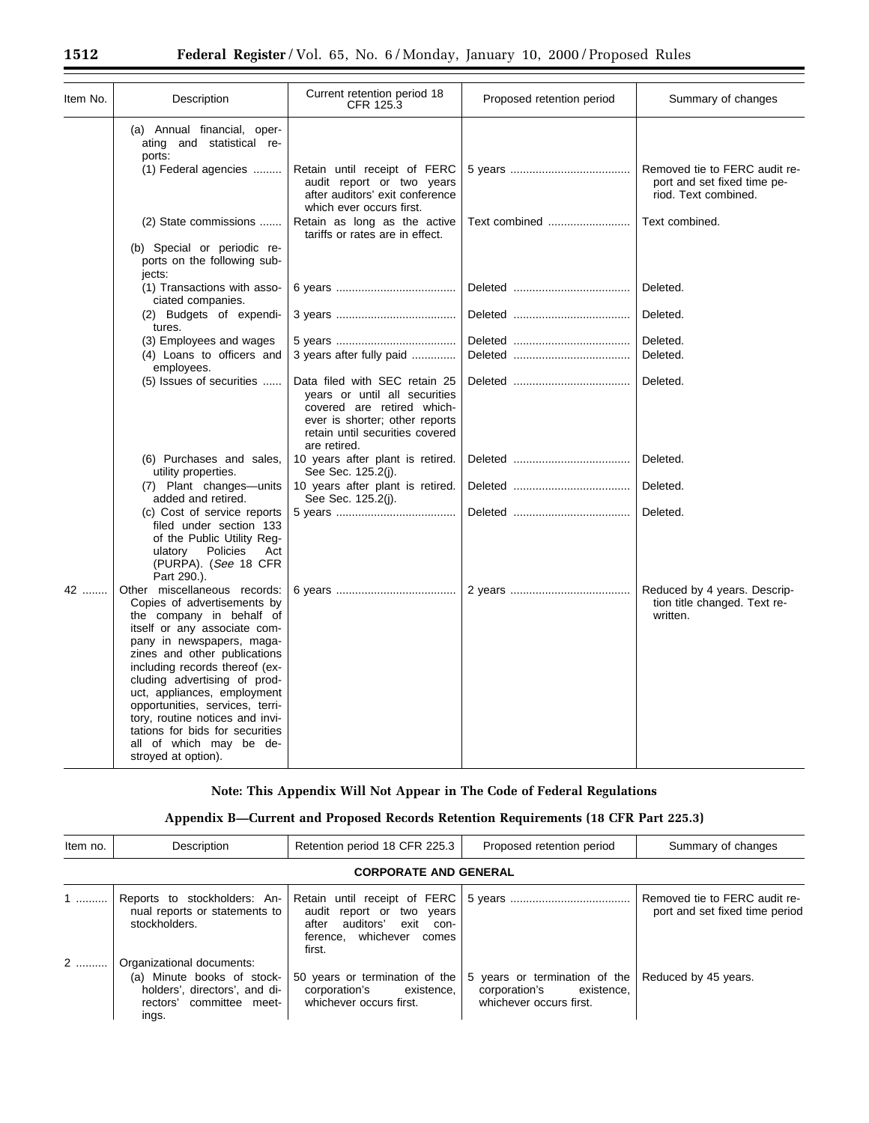| Item No. | Description                                                                                                                                                                                                                                                                                                                                                                                                                                      | Current retention period 18<br>CFR 125.3                                                                                                                                          | Proposed retention period | Summary of changes                                                                   |
|----------|--------------------------------------------------------------------------------------------------------------------------------------------------------------------------------------------------------------------------------------------------------------------------------------------------------------------------------------------------------------------------------------------------------------------------------------------------|-----------------------------------------------------------------------------------------------------------------------------------------------------------------------------------|---------------------------|--------------------------------------------------------------------------------------|
|          | (a) Annual financial, oper-<br>ating and statistical re-<br>ports:<br>(1) Federal agencies                                                                                                                                                                                                                                                                                                                                                       | Retain until receipt of FERC<br>audit report or two years<br>after auditors' exit conference<br>which ever occurs first.                                                          |                           | Removed tie to FERC audit re-<br>port and set fixed time pe-<br>riod. Text combined. |
|          | (2) State commissions                                                                                                                                                                                                                                                                                                                                                                                                                            | Retain as long as the active<br>tariffs or rates are in effect.                                                                                                                   | Text combined             | Text combined.                                                                       |
|          | (b) Special or periodic re-<br>ports on the following sub-<br>jects:                                                                                                                                                                                                                                                                                                                                                                             |                                                                                                                                                                                   |                           |                                                                                      |
|          | (1) Transactions with asso-<br>ciated companies.                                                                                                                                                                                                                                                                                                                                                                                                 |                                                                                                                                                                                   |                           | Deleted.                                                                             |
|          | (2) Budgets of expendi-<br>tures.                                                                                                                                                                                                                                                                                                                                                                                                                |                                                                                                                                                                                   |                           | Deleted.                                                                             |
|          | (3) Employees and wages<br>(4) Loans to officers and<br>employees.                                                                                                                                                                                                                                                                                                                                                                               | 3 years after fully paid                                                                                                                                                          |                           | Deleted.<br>Deleted.                                                                 |
|          | (5) Issues of securities                                                                                                                                                                                                                                                                                                                                                                                                                         | Data filed with SEC retain 25<br>years or until all securities<br>covered are retired which-<br>ever is shorter; other reports<br>retain until securities covered<br>are retired. |                           | Deleted.                                                                             |
|          | (6) Purchases and sales,<br>utility properties.                                                                                                                                                                                                                                                                                                                                                                                                  | 10 years after plant is retired.<br>See Sec. 125.2(j).                                                                                                                            |                           | Deleted.                                                                             |
|          | (7) Plant changes—units<br>added and retired.                                                                                                                                                                                                                                                                                                                                                                                                    | 10 years after plant is retired.<br>See Sec. 125.2(j).                                                                                                                            |                           | Deleted.                                                                             |
|          | (c) Cost of service reports<br>filed under section 133<br>of the Public Utility Reg-<br>Policies<br>ulatory<br>Act<br>(PURPA). (See 18 CFR<br>Part 290.).                                                                                                                                                                                                                                                                                        |                                                                                                                                                                                   |                           | Deleted.                                                                             |
| 42       | Other miscellaneous records:<br>Copies of advertisements by<br>the company in behalf of<br>itself or any associate com-<br>pany in newspapers, maga-<br>zines and other publications<br>including records thereof (ex-<br>cluding advertising of prod-<br>uct, appliances, employment<br>opportunities, services, terri-<br>tory, routine notices and invi-<br>tations for bids for securities<br>all of which may be de-<br>stroyed at option). |                                                                                                                                                                                   |                           | Reduced by 4 years. Descrip-<br>tion title changed. Text re-<br>written.             |

# **Note: This Appendix Will Not Appear in The Code of Federal Regulations**

# **Appendix B—Current and Proposed Records Retention Requirements (18 CFR Part 225.3)**

| Item no. | Description                                                                                                                   | Retention period 18 CFR 225.3                                                                      | Proposed retention period                                                               | Summary of changes                                              |  |  |
|----------|-------------------------------------------------------------------------------------------------------------------------------|----------------------------------------------------------------------------------------------------|-----------------------------------------------------------------------------------------|-----------------------------------------------------------------|--|--|
|          | <b>CORPORATE AND GENERAL</b>                                                                                                  |                                                                                                    |                                                                                         |                                                                 |  |  |
|          | Reports to stockholders: An-<br>nual reports or statements to<br>stockholders.                                                | audit report or two years<br>auditors'<br>after<br>exit con-<br>ference, whichever comes<br>first. |                                                                                         | Removed tie to FERC audit re-<br>port and set fixed time period |  |  |
| 2        | Organizational documents:<br>(a) Minute books of stock-<br>holders', directors', and di-<br>rectors' committee meet-<br>ings. | 50 years or termination of the<br>corporation's existence,<br>whichever occurs first.              | 5 years or termination of the<br>corporation's<br>existence.<br>whichever occurs first. | Reduced by 45 years.                                            |  |  |

۳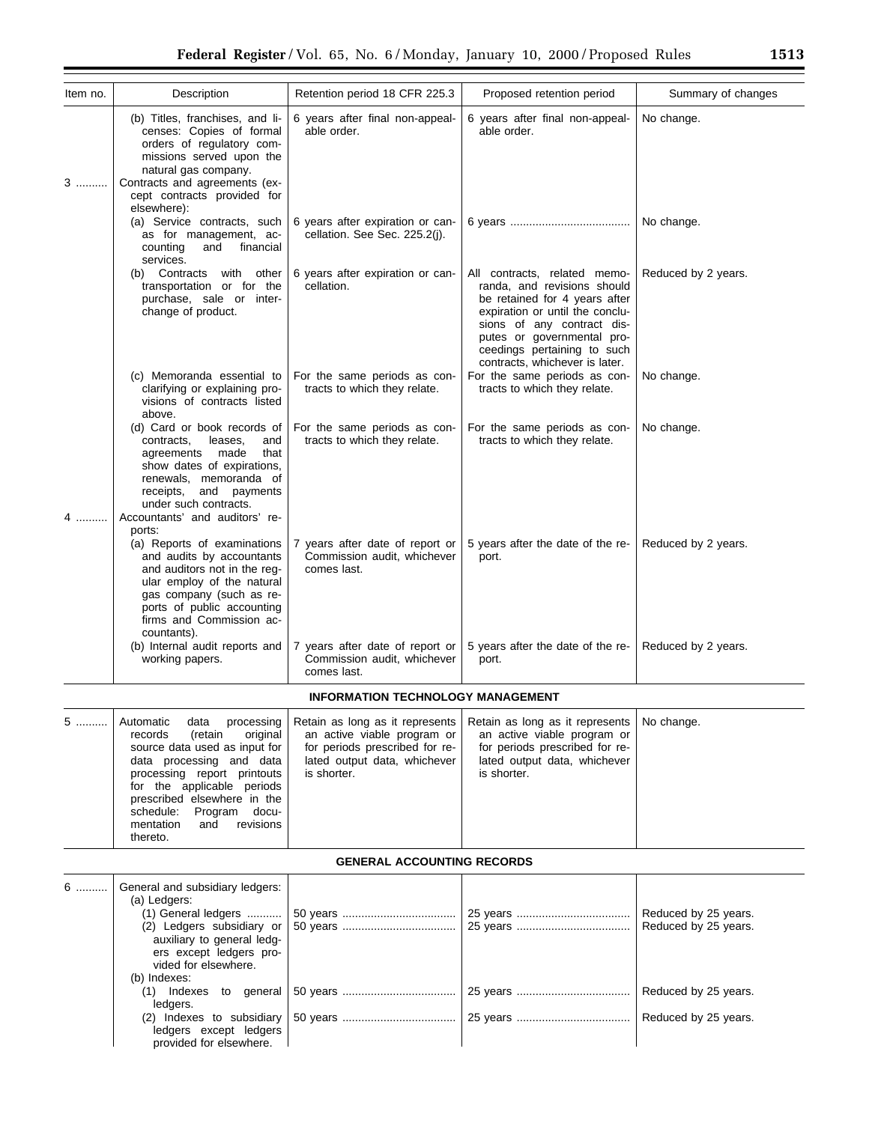| Item no. | Description                                                                                                                                                                                                                                                                                              | Retention period 18 CFR 225.3                                                                                                                   | Proposed retention period                                                                                                                                                                                                                                    | Summary of changes                           |
|----------|----------------------------------------------------------------------------------------------------------------------------------------------------------------------------------------------------------------------------------------------------------------------------------------------------------|-------------------------------------------------------------------------------------------------------------------------------------------------|--------------------------------------------------------------------------------------------------------------------------------------------------------------------------------------------------------------------------------------------------------------|----------------------------------------------|
| 3        | (b) Titles, franchises, and li-<br>censes: Copies of formal<br>orders of regulatory com-<br>missions served upon the<br>natural gas company.<br>Contracts and agreements (ex-<br>cept contracts provided for<br>elsewhere):                                                                              | 6 years after final non-appeal-<br>able order.                                                                                                  | 6 years after final non-appeal-<br>able order.                                                                                                                                                                                                               | No change.                                   |
|          | (a) Service contracts, such<br>as for management, ac-<br>financial<br>counting<br>and<br>services.                                                                                                                                                                                                       | 6 years after expiration or can-<br>cellation. See Sec. 225.2(j).                                                                               |                                                                                                                                                                                                                                                              | No change.                                   |
|          | (b) Contracts with other<br>transportation or for the<br>purchase, sale or inter-<br>change of product.                                                                                                                                                                                                  | 6 years after expiration or can-<br>cellation.                                                                                                  | All contracts, related memo-<br>randa, and revisions should<br>be retained for 4 years after<br>expiration or until the conclu-<br>sions of any contract dis-<br>putes or governmental pro-<br>ceedings pertaining to such<br>contracts, whichever is later. | Reduced by 2 years.                          |
|          | (c) Memoranda essential to<br>clarifying or explaining pro-<br>visions of contracts listed<br>above.                                                                                                                                                                                                     | For the same periods as con-<br>tracts to which they relate.                                                                                    | For the same periods as con-<br>tracts to which they relate.                                                                                                                                                                                                 | No change.                                   |
|          | (d) Card or book records of<br>leases,<br>contracts,<br>and<br>made<br>that<br>agreements<br>show dates of expirations,<br>renewals, memoranda of<br>receipts, and payments<br>under such contracts.<br>Accountants' and auditors' re-<br>ports:                                                         | For the same periods as con-<br>tracts to which they relate.                                                                                    | For the same periods as con-<br>tracts to which they relate.                                                                                                                                                                                                 | No change.                                   |
|          | (a) Reports of examinations<br>and audits by accountants<br>and auditors not in the reg-<br>ular employ of the natural<br>gas company (such as re-<br>ports of public accounting<br>firms and Commission ac-<br>countants).                                                                              | 7 years after date of report or<br>Commission audit, whichever<br>comes last.                                                                   | 5 years after the date of the re-<br>port.                                                                                                                                                                                                                   | Reduced by 2 years.                          |
|          | (b) Internal audit reports and<br>working papers.                                                                                                                                                                                                                                                        | 7 years after date of report or<br>Commission audit, whichever<br>comes last.                                                                   | 5 years after the date of the re-<br>port.                                                                                                                                                                                                                   | Reduced by 2 years.                          |
|          |                                                                                                                                                                                                                                                                                                          | <b>INFORMATION TECHNOLOGY MANAGEMENT</b>                                                                                                        |                                                                                                                                                                                                                                                              |                                              |
| 5        | processing<br>Automatic<br>data<br>original<br>records<br>(retain<br>source data used as input for<br>data processing and data<br>processing report printouts<br>for the applicable periods<br>prescribed elsewhere in the<br>schedule:<br>Program<br>docu-<br>revisions<br>mentation<br>and<br>thereto. | Retain as long as it represents<br>an active viable program or<br>for periods prescribed for re-<br>lated output data, whichever<br>is shorter. | Retain as long as it represents<br>an active viable program or<br>for periods prescribed for re-<br>lated output data, whichever<br>is shorter.                                                                                                              | No change.                                   |
|          |                                                                                                                                                                                                                                                                                                          | <b>GENERAL ACCOUNTING RECORDS</b>                                                                                                               |                                                                                                                                                                                                                                                              |                                              |
| 6        | General and subsidiary ledgers:<br>(a) Ledgers:<br>(1) General ledgers<br>(2) Ledgers subsidiary or<br>auxiliary to general ledg-<br>ers except ledgers pro-<br>vided for elsewhere.                                                                                                                     |                                                                                                                                                 |                                                                                                                                                                                                                                                              | Reduced by 25 years.<br>Reduced by 25 years. |
|          | (b) Indexes:<br>(1) Indexes to general<br>ledgers.                                                                                                                                                                                                                                                       |                                                                                                                                                 |                                                                                                                                                                                                                                                              | Reduced by 25 years.                         |
|          | (2) Indexes to subsidiary<br>ledgers except ledgers<br>provided for elsewhere.                                                                                                                                                                                                                           |                                                                                                                                                 |                                                                                                                                                                                                                                                              | Reduced by 25 years.                         |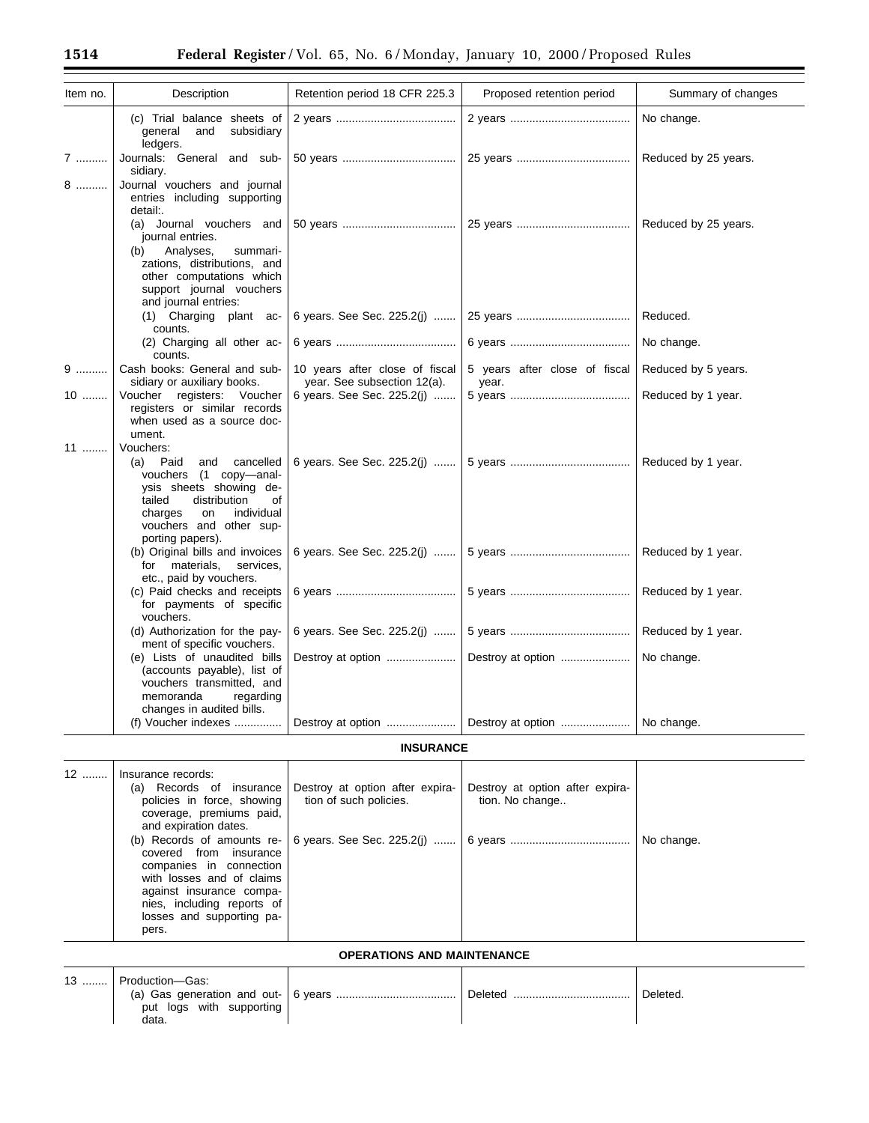| Item no. | Description                                                                                                                                                                                                  | Retention period 18 CFR 225.3                                 | Proposed retention period              | Summary of changes   |
|----------|--------------------------------------------------------------------------------------------------------------------------------------------------------------------------------------------------------------|---------------------------------------------------------------|----------------------------------------|----------------------|
|          | (c) Trial balance sheets of<br>subsidiary<br>general<br>and<br>ledgers.                                                                                                                                      |                                                               |                                        | No change.           |
| 7        | Journals: General and sub-<br>sidiary.                                                                                                                                                                       |                                                               |                                        | Reduced by 25 years. |
| 8        | Journal vouchers and journal<br>entries including supporting<br>detail:.                                                                                                                                     |                                                               |                                        |                      |
|          | (a) Journal vouchers and<br>journal entries.<br>Analyses,<br>summari-<br>(b)<br>zations, distributions, and<br>other computations which<br>support journal vouchers<br>and journal entries:                  |                                                               |                                        | Reduced by 25 years. |
|          | (1) Charging plant ac-<br>counts.                                                                                                                                                                            | 6 years. See Sec. 225.2(i)                                    |                                        | Reduced.             |
|          | (2) Charging all other ac-<br>counts.                                                                                                                                                                        |                                                               |                                        | No change.           |
| 9        | Cash books: General and sub-<br>sidiary or auxiliary books.                                                                                                                                                  | 10 years after close of fiscal<br>year. See subsection 12(a). | 5 years after close of fiscal<br>year. | Reduced by 5 years.  |
| $10$     | Voucher registers: Voucher<br>registers or similar records<br>when used as a source doc-<br>ument.                                                                                                           | 6 years. See Sec. 225.2(j)                                    |                                        | Reduced by 1 year.   |
| 11       | Vouchers:<br>(a) Paid<br>and<br>cancelled<br>vouchers (1 copy-anal-<br>ysis sheets showing de-<br>tailed<br>distribution<br>οf<br>individual<br>charges<br>on<br>vouchers and other sup-<br>porting papers). |                                                               |                                        | Reduced by 1 year.   |
|          | (b) Original bills and invoices<br>for materials,<br>services,<br>etc., paid by vouchers.                                                                                                                    |                                                               |                                        | Reduced by 1 year.   |
|          | (c) Paid checks and receipts<br>for payments of specific<br>vouchers.                                                                                                                                        |                                                               |                                        | Reduced by 1 year.   |
|          | (d) Authorization for the pay-<br>ment of specific vouchers.                                                                                                                                                 | 6 years. See Sec. 225.2(j)                                    |                                        | Reduced by 1 year.   |
|          | (e) Lists of unaudited bills<br>(accounts payable), list of<br>vouchers transmitted, and<br>memoranda<br>regarding<br>changes in audited bills.                                                              | Destroy at option                                             | Destroy at option                      | No change.           |
|          | (f) Voucher indexes                                                                                                                                                                                          |                                                               |                                        | No change.           |

# **INSURANCE**

| 12 | Insurance records:<br>(a) Records of insurance<br>policies in force, showing<br>coverage, premiums paid,<br>and expiration dates.                                              | Destroy at option after expira-<br>tion of such policies.     | Destroy at option after expira-<br>tion. No change |            |
|----|--------------------------------------------------------------------------------------------------------------------------------------------------------------------------------|---------------------------------------------------------------|----------------------------------------------------|------------|
|    | covered from insurance<br>companies in connection<br>with losses and of claims<br>against insurance compa-<br>nies, including reports of<br>losses and supporting pa-<br>pers. | (b) Records of amounts re- $\vert$ 6 years. See Sec. 225.2(i) |                                                    | No change. |

| $13$ | Production—Gas:<br>put logs with supporting<br>data |  | Deleted. |
|------|-----------------------------------------------------|--|----------|

**OPERATIONS AND MAINTENANCE**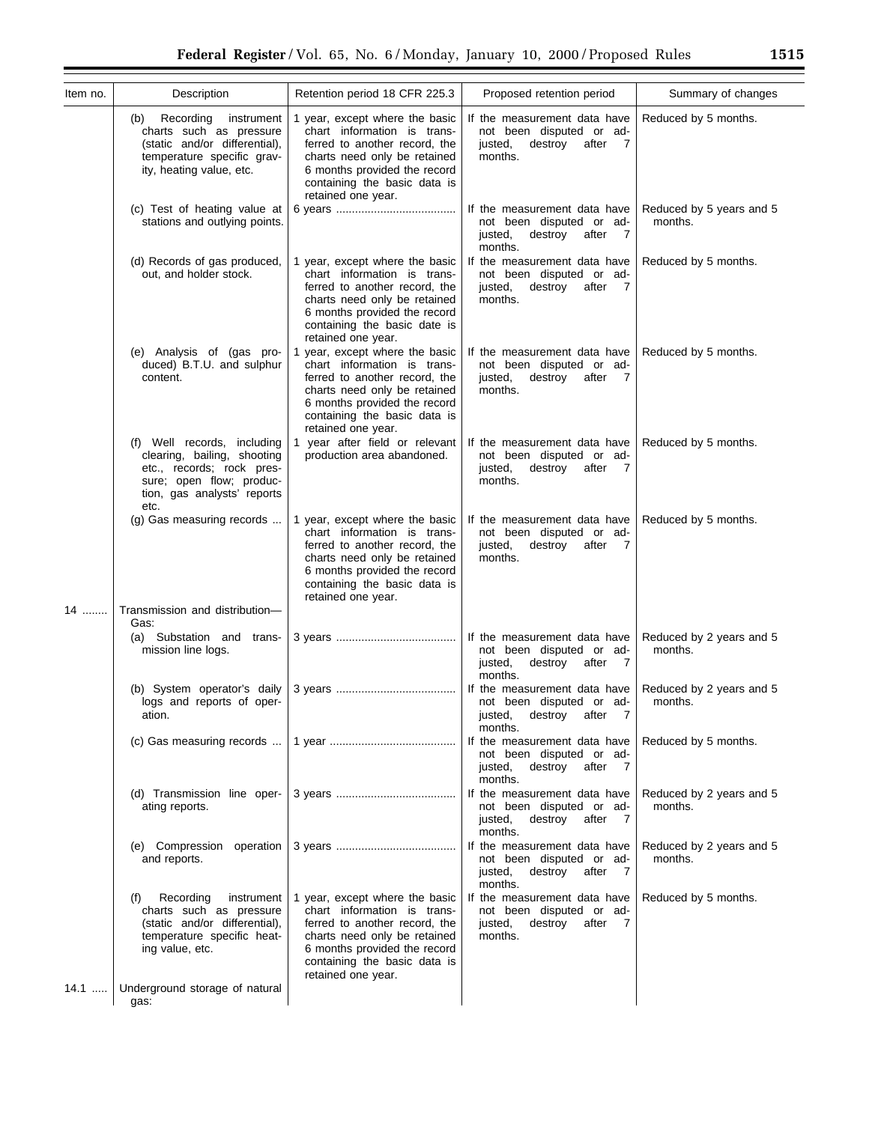| Item no. | Description                                                                                                                                                | Retention period 18 CFR 225.3                                                                                                                                                                                        | Proposed retention period                                                                                            | Summary of changes                  |
|----------|------------------------------------------------------------------------------------------------------------------------------------------------------------|----------------------------------------------------------------------------------------------------------------------------------------------------------------------------------------------------------------------|----------------------------------------------------------------------------------------------------------------------|-------------------------------------|
|          | Recording<br>instrument<br>(b)<br>charts such as pressure<br>(static and/or differential),<br>temperature specific grav-<br>ity, heating value, etc.       | 1 year, except where the basic<br>chart information is trans-<br>ferred to another record, the<br>charts need only be retained<br>6 months provided the record<br>containing the basic data is<br>retained one year. | If the measurement data have<br>not been disputed or ad-<br>justed,<br>destroy<br>after<br>$\overline{7}$<br>months. | Reduced by 5 months.                |
|          | (c) Test of heating value at<br>stations and outlying points.                                                                                              |                                                                                                                                                                                                                      | If the measurement data have<br>not been disputed or ad-<br>justed,<br>destroy after<br>$\overline{7}$<br>months.    | Reduced by 5 years and 5<br>months. |
|          | (d) Records of gas produced,<br>out, and holder stock.                                                                                                     | 1 year, except where the basic<br>chart information is trans-<br>ferred to another record, the<br>charts need only be retained<br>6 months provided the record<br>containing the basic date is<br>retained one year. | If the measurement data have<br>not been disputed or ad-<br>justed,<br>destroy after 7<br>months.                    | Reduced by 5 months.                |
|          | (e) Analysis of (gas pro-<br>duced) B.T.U. and sulphur<br>content.                                                                                         | 1 year, except where the basic<br>chart information is trans-<br>ferred to another record, the<br>charts need only be retained<br>6 months provided the record<br>containing the basic data is<br>retained one year. | If the measurement data have<br>not been disputed or ad-<br>justed,<br>destroy after 7<br>months.                    | Reduced by 5 months.                |
|          | (f) Well records, including<br>clearing, bailing, shooting<br>etc., records; rock pres-<br>sure; open flow; produc-<br>tion, gas analysts' reports<br>etc. | 1 year after field or relevant<br>production area abandoned.                                                                                                                                                         | If the measurement data have<br>not been disputed or ad-<br>justed,<br>destroy after<br>$\overline{7}$<br>months.    | Reduced by 5 months.                |
|          | (g) Gas measuring records                                                                                                                                  | 1 year, except where the basic<br>chart information is trans-<br>ferred to another record, the<br>charts need only be retained<br>6 months provided the record<br>containing the basic data is<br>retained one year. | If the measurement data have<br>not been disputed or ad-<br>justed,<br>destroy after 7<br>months.                    | Reduced by 5 months.                |
| 14       | Transmission and distribution-<br>Gas:                                                                                                                     |                                                                                                                                                                                                                      |                                                                                                                      |                                     |
|          | (a) Substation and trans-<br>mission line logs.                                                                                                            |                                                                                                                                                                                                                      | If the measurement data have<br>not been disputed or ad-<br>justed,<br>destroy after<br>$\overline{7}$<br>months.    | Reduced by 2 years and 5<br>months. |
|          | (b) System operator's daily<br>logs and reports of oper-<br>ation.                                                                                         |                                                                                                                                                                                                                      | If the measurement data have<br>not been disputed or ad-<br>destroy after 7<br>justed,<br>months.                    | Reduced by 2 years and 5<br>months. |
|          | (c) Gas measuring records                                                                                                                                  |                                                                                                                                                                                                                      | If the measurement data have<br>not been disputed or ad-<br>destroy after 7<br>justed,<br>months.                    | Reduced by 5 months.                |
|          | (d) Transmission line oper-<br>ating reports.                                                                                                              |                                                                                                                                                                                                                      | If the measurement data have<br>not been disputed or ad-<br>destroy after 7<br>justed,<br>months.                    | Reduced by 2 years and 5<br>months. |
|          | (e) Compression operation<br>and reports.                                                                                                                  |                                                                                                                                                                                                                      | If the measurement data have<br>not been disputed or ad-<br>justed,<br>destroy after 7<br>months.                    | Reduced by 2 years and 5<br>months. |
|          | Recording<br>instrument<br>(f)<br>charts such as pressure<br>(static and/or differential),<br>temperature specific heat-<br>ing value, etc.                | year, except where the basic<br>chart information is trans-<br>ferred to another record, the<br>charts need only be retained<br>6 months provided the record<br>containing the basic data is<br>retained one year.   | If the measurement data have<br>not been disputed or ad-<br>justed,<br>destroy after 7<br>months.                    | Reduced by 5 months.                |
| $14.1$   | Underground storage of natural<br>gas:                                                                                                                     |                                                                                                                                                                                                                      |                                                                                                                      |                                     |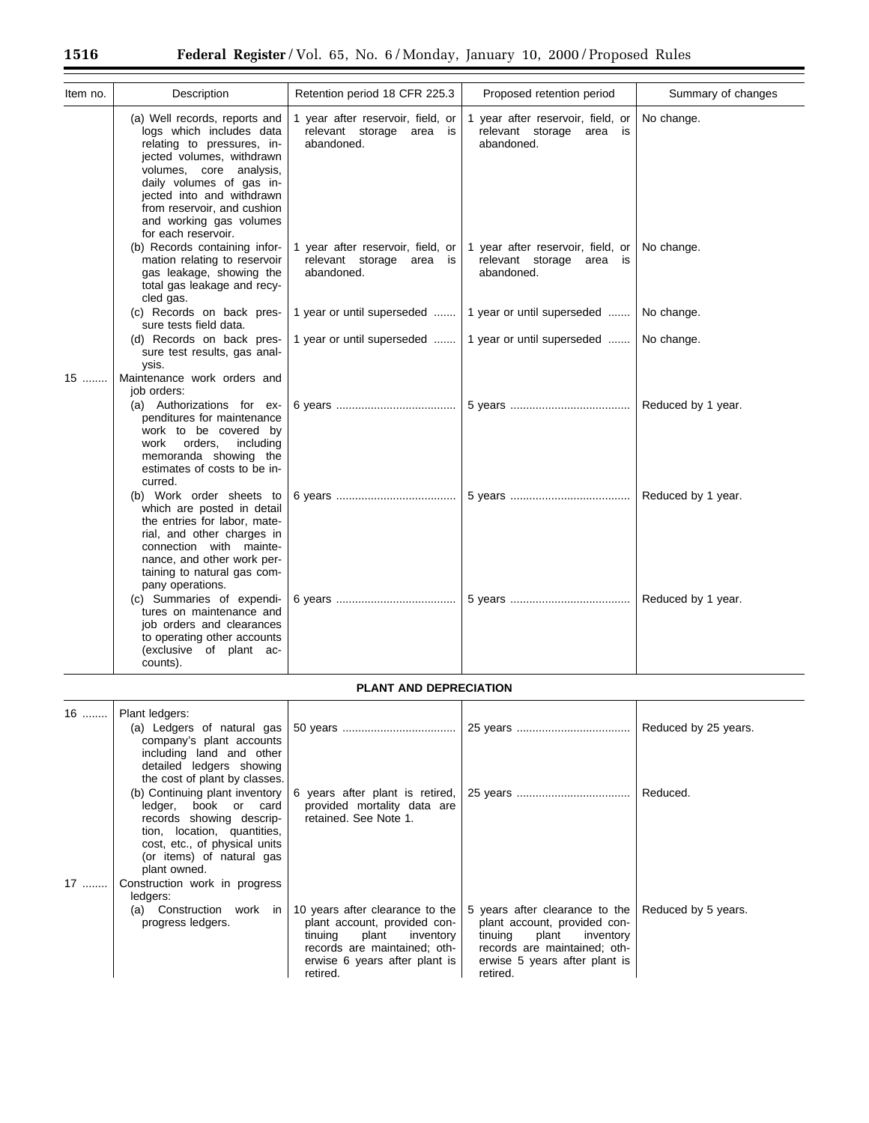| Item no. | Description                                                                                                                                                                                                                                                                               | Retention period 18 CFR 225.3                                               | Proposed retention period                                                      | Summary of changes |
|----------|-------------------------------------------------------------------------------------------------------------------------------------------------------------------------------------------------------------------------------------------------------------------------------------------|-----------------------------------------------------------------------------|--------------------------------------------------------------------------------|--------------------|
|          | (a) Well records, reports and<br>logs which includes data<br>relating to pressures, in-<br>jected volumes, withdrawn<br>volumes, core analysis,<br>daily volumes of gas in-<br>jected into and withdrawn<br>from reservoir, and cushion<br>and working gas volumes<br>for each reservoir. | 1 year after reservoir, field, or<br>relevant storage area is<br>abandoned. | 1 year after reservoir, field, or<br>relevant storage area<br>is<br>abandoned. | No change.         |
|          | (b) Records containing infor-<br>mation relating to reservoir<br>gas leakage, showing the<br>total gas leakage and recy-<br>cled gas.                                                                                                                                                     | 1 year after reservoir, field, or<br>relevant storage area is<br>abandoned. | 1 year after reservoir, field, or<br>relevant storage area is<br>abandoned.    | No change.         |
|          | (c) Records on back pres-<br>sure tests field data.                                                                                                                                                                                                                                       | 1 year or until superseded                                                  | 1 year or until superseded                                                     | No change.         |
|          | (d) Records on back pres-<br>sure test results, gas anal-<br>ysis.                                                                                                                                                                                                                        | 1 year or until superseded                                                  | 1 year or until superseded                                                     | No change.         |
| 15       | Maintenance work orders and<br>job orders:                                                                                                                                                                                                                                                |                                                                             |                                                                                |                    |
|          | (a) Authorizations for ex-<br>penditures for maintenance<br>work to be covered by<br>orders,<br>including<br>work<br>memoranda showing the<br>estimates of costs to be in-<br>curred.                                                                                                     |                                                                             |                                                                                | Reduced by 1 year. |
|          | (b) Work order sheets to<br>which are posted in detail<br>the entries for labor, mate-<br>rial, and other charges in<br>connection with mainte-<br>nance, and other work per-<br>taining to natural gas com-<br>pany operations.                                                          |                                                                             |                                                                                | Reduced by 1 year. |
|          | (c) Summaries of expendi-<br>tures on maintenance and<br>job orders and clearances<br>to operating other accounts<br>(exclusive of plant ac-<br>counts).                                                                                                                                  |                                                                             |                                                                                | Reduced by 1 year. |

# **PLANT AND DEPRECIATION**

| 16 | Plant ledgers:<br>company's plant accounts<br>including land and other<br>detailed ledgers showing<br>the cost of plant by classes.                                                                                                          |                                                                                                                                                                            |                                                                                                                                                                              | Reduced by 25 years. |
|----|----------------------------------------------------------------------------------------------------------------------------------------------------------------------------------------------------------------------------------------------|----------------------------------------------------------------------------------------------------------------------------------------------------------------------------|------------------------------------------------------------------------------------------------------------------------------------------------------------------------------|----------------------|
| 17 | (b) Continuing plant inventory<br>ledger, book or card<br>records showing descrip-<br>tion, location, quantities,<br>cost, etc., of physical units<br>(or items) of natural gas<br>plant owned.<br>Construction work in progress<br>ledgers: | 6 years after plant is retired,<br>provided mortality data are<br>retained. See Note 1.                                                                                    |                                                                                                                                                                              | Reduced.             |
|    | (a) Construction work in<br>progress ledgers.                                                                                                                                                                                                | 10 years after clearance to the<br>plant account, provided con-<br>plant inventory<br>tinuing<br>records are maintained; oth-<br>erwise 6 years after plant is<br>retired. | 5 years after clearance to the<br>plant account, provided con-<br>plant<br>tinuing<br>inventory<br>records are maintained; oth-<br>erwise 5 years after plant is<br>retired. | Reduced by 5 years.  |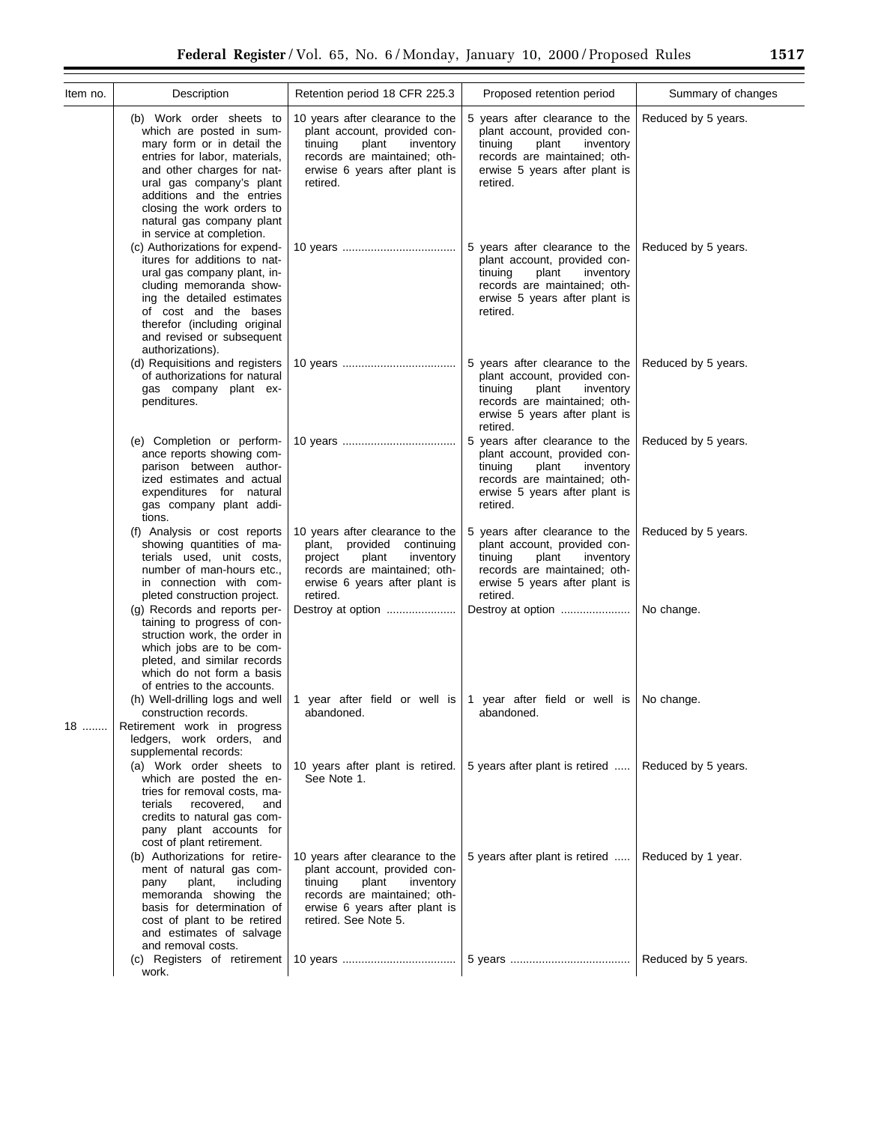| Federal Register/Vol. 65, No. 6/Monday, January 10, 2000/Proposed Rules<br>1517 |                                                                                                                                                                                                                                                                                                    |                                                                                                                                                                                           |                                                                                                                                                                              |                     |
|---------------------------------------------------------------------------------|----------------------------------------------------------------------------------------------------------------------------------------------------------------------------------------------------------------------------------------------------------------------------------------------------|-------------------------------------------------------------------------------------------------------------------------------------------------------------------------------------------|------------------------------------------------------------------------------------------------------------------------------------------------------------------------------|---------------------|
| Item no.                                                                        | Description                                                                                                                                                                                                                                                                                        | Retention period 18 CFR 225.3                                                                                                                                                             | Proposed retention period                                                                                                                                                    | Summary of changes  |
|                                                                                 | (b) Work order sheets to<br>which are posted in sum-<br>mary form or in detail the<br>entries for labor, materials,<br>and other charges for nat-<br>ural gas company's plant<br>additions and the entries<br>closing the work orders to<br>natural gas company plant<br>in service at completion. | 10 years after clearance to the<br>plant account, provided con-<br>plant<br>tinuing<br>inventory<br>records are maintained; oth-<br>erwise 6 years after plant is<br>retired.             | 5 years after clearance to the<br>plant account, provided con-<br>plant<br>tinuing<br>inventory<br>records are maintained; oth-<br>erwise 5 years after plant is<br>retired. | Reduced by 5 years. |
|                                                                                 | (c) Authorizations for expend-<br>itures for additions to nat-<br>ural gas company plant, in-<br>cluding memoranda show-<br>ing the detailed estimates<br>of cost and the bases<br>therefor (including original<br>and revised or subsequent<br>authorizations).                                   |                                                                                                                                                                                           | 5 years after clearance to the<br>plant account, provided con-<br>plant<br>inventory<br>tinuing<br>records are maintained; oth-<br>erwise 5 years after plant is<br>retired. | Reduced by 5 years. |
|                                                                                 | (d) Requisitions and registers<br>of authorizations for natural<br>gas company plant ex-<br>penditures.                                                                                                                                                                                            |                                                                                                                                                                                           | 5 years after clearance to the<br>plant account, provided con-<br>plant<br>tinuing<br>inventory<br>records are maintained; oth-<br>erwise 5 years after plant is<br>retired. | Reduced by 5 years. |
|                                                                                 | (e) Completion or perform-<br>ance reports showing com-<br>parison between author-<br>ized estimates and actual<br>expenditures for natural<br>gas company plant addi-<br>tions.                                                                                                                   |                                                                                                                                                                                           | 5 years after clearance to the<br>plant account, provided con-<br>tinuing<br>plant<br>inventory<br>records are maintained; oth-<br>erwise 5 years after plant is<br>retired. | Reduced by 5 years. |
|                                                                                 | (f) Analysis or cost reports<br>showing quantities of ma-<br>terials used, unit costs,<br>number of man-hours etc.,<br>in connection with com-<br>pleted construction project.                                                                                                                     | 10 years after clearance to the<br>provided<br>plant,<br>continuing<br>plant<br>inventory<br>project<br>records are maintained; oth-<br>erwise 6 years after plant is<br>retired.         | 5 years after clearance to the<br>plant account, provided con-<br>tinuing<br>plant<br>inventory<br>records are maintained; oth-<br>erwise 5 years after plant is<br>retired. | Reduced by 5 years. |
|                                                                                 | (g) Records and reports per-<br>taining to progress of con-<br>struction work, the order in<br>which jobs are to be com-<br>pleted, and similar records<br>which do not form a basis<br>of entries to the accounts.                                                                                | Destroy at option                                                                                                                                                                         | Destroy at option                                                                                                                                                            | No change.          |
| 18                                                                              | (h) Well-drilling logs and well<br>construction records.<br>Retirement work in progress<br>ledgers, work orders, and<br>supplemental records:                                                                                                                                                      | 1 year after field or well is<br>abandoned.                                                                                                                                               | 1 year after field or well is<br>abandoned.                                                                                                                                  | No change.          |
|                                                                                 | (a) Work order sheets to<br>which are posted the en-<br>tries for removal costs, ma-<br>terials<br>recovered,<br>and<br>credits to natural gas com-<br>pany plant accounts for<br>cost of plant retirement.                                                                                        | 10 years after plant is retired.<br>See Note 1.                                                                                                                                           | 5 years after plant is retired                                                                                                                                               | Reduced by 5 years. |
|                                                                                 | (b) Authorizations for retire-<br>ment of natural gas com-<br>plant,<br>including<br>pany<br>memoranda showing the<br>basis for determination of<br>cost of plant to be retired<br>and estimates of salvage<br>and removal costs.                                                                  | 10 years after clearance to the<br>plant account, provided con-<br>tinuing<br>plant<br>inventory<br>records are maintained; oth-<br>erwise 6 years after plant is<br>retired. See Note 5. | 5 years after plant is retired                                                                                                                                               | Reduced by 1 year.  |
|                                                                                 | (c) Registers of retirement<br>work.                                                                                                                                                                                                                                                               |                                                                                                                                                                                           |                                                                                                                                                                              | Reduced by 5 years. |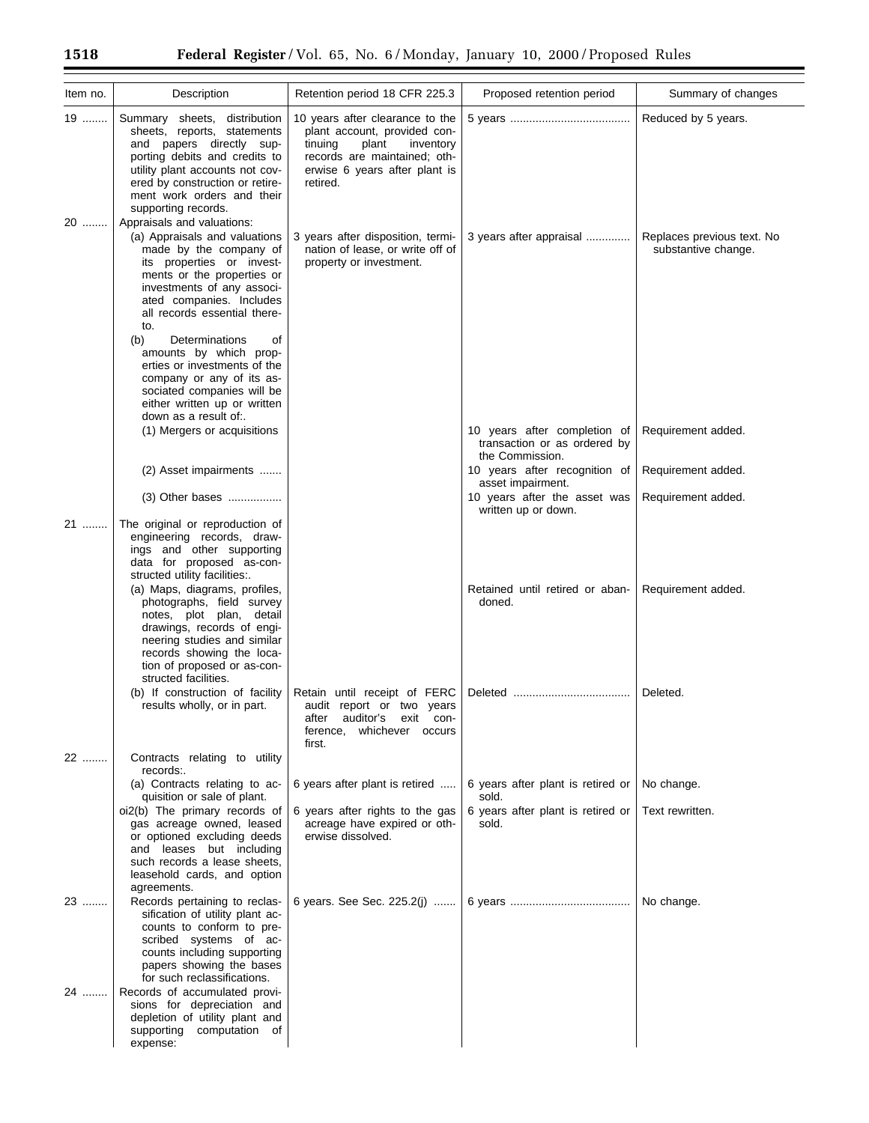| Item no. | Description                                                                                                                                                                                                                                                         | Retention period 18 CFR 225.3                                                                                                                                                 | Proposed retention period                                                                                 | Summary of changes                                |
|----------|---------------------------------------------------------------------------------------------------------------------------------------------------------------------------------------------------------------------------------------------------------------------|-------------------------------------------------------------------------------------------------------------------------------------------------------------------------------|-----------------------------------------------------------------------------------------------------------|---------------------------------------------------|
| 19       | Summary sheets, distribution<br>sheets, reports, statements<br>and papers directly sup-<br>porting debits and credits to<br>utility plant accounts not cov-<br>ered by construction or retire-<br>ment work orders and their<br>supporting records.                 | 10 years after clearance to the<br>plant account, provided con-<br>tinuing<br>plant<br>inventory<br>records are maintained; oth-<br>erwise 6 years after plant is<br>retired. |                                                                                                           | Reduced by 5 years.                               |
| 20       | Appraisals and valuations:<br>(a) Appraisals and valuations<br>made by the company of<br>its properties or invest-<br>ments or the properties or<br>investments of any associ-<br>ated companies. Includes<br>all records essential there-<br>to.                   | 3 years after disposition, termi-<br>nation of lease, or write off of<br>property or investment.                                                                              | 3 years after appraisal                                                                                   | Replaces previous text. No<br>substantive change. |
|          | (b)<br>Determinations<br>οf<br>amounts by which prop-<br>erties or investments of the<br>company or any of its as-<br>sociated companies will be<br>either written up or written<br>down as a result of                                                             |                                                                                                                                                                               |                                                                                                           |                                                   |
|          | (1) Mergers or acquisitions                                                                                                                                                                                                                                         |                                                                                                                                                                               | 10 years after completion of<br>transaction or as ordered by<br>the Commission.                           | Requirement added.                                |
|          | (2) Asset impairments<br>$(3)$ Other bases                                                                                                                                                                                                                          |                                                                                                                                                                               | 10 years after recognition of<br>asset impairment.<br>10 years after the asset was<br>written up or down. | Requirement added.<br>Requirement added.          |
| 21       | The original or reproduction of<br>engineering records, draw-<br>ings and other supporting<br>data for proposed as-con-<br>structed utility facilities:.                                                                                                            |                                                                                                                                                                               |                                                                                                           |                                                   |
|          | (a) Maps, diagrams, profiles,<br>photographs, field survey<br>notes, plot plan, detail<br>drawings, records of engi-<br>neering studies and similar<br>records showing the loca-<br>tion of proposed or as-con-<br>structed facilities.                             |                                                                                                                                                                               | Retained until retired or aban-<br>doned.                                                                 | Requirement added.                                |
|          | (b) If construction of facility<br>results wholly, or in part.                                                                                                                                                                                                      | Retain until receipt of FERC<br>audit report or two years<br>auditor's<br>exit con-<br>atter<br>whichever occurs<br>ference,<br>first.                                        |                                                                                                           | Deleted.                                          |
| 22       | Contracts relating to utility<br>records:.                                                                                                                                                                                                                          |                                                                                                                                                                               |                                                                                                           |                                                   |
|          | (a) Contracts relating to ac-<br>quisition or sale of plant.<br>oi2(b) The primary records of<br>gas acreage owned, leased<br>or optioned excluding deeds<br>and leases but including<br>such records a lease sheets,<br>leasehold cards, and option<br>agreements. | 6 years after plant is retired<br>6 years after rights to the gas<br>acreage have expired or oth-<br>erwise dissolved.                                                        | 6 years after plant is retired or<br>sold.<br>6 years after plant is retired or<br>sold.                  | No change.<br>Text rewritten.                     |
| 23       | Records pertaining to reclas-<br>sification of utility plant ac-<br>counts to conform to pre-<br>scribed systems of ac-<br>counts including supporting<br>papers showing the bases<br>for such reclassifications.                                                   | 6 years. See Sec. 225.2(j)                                                                                                                                                    |                                                                                                           | No change.                                        |
| 24       | Records of accumulated provi-<br>sions for depreciation and<br>depletion of utility plant and<br>supporting computation of<br>expense:                                                                                                                              |                                                                                                                                                                               |                                                                                                           |                                                   |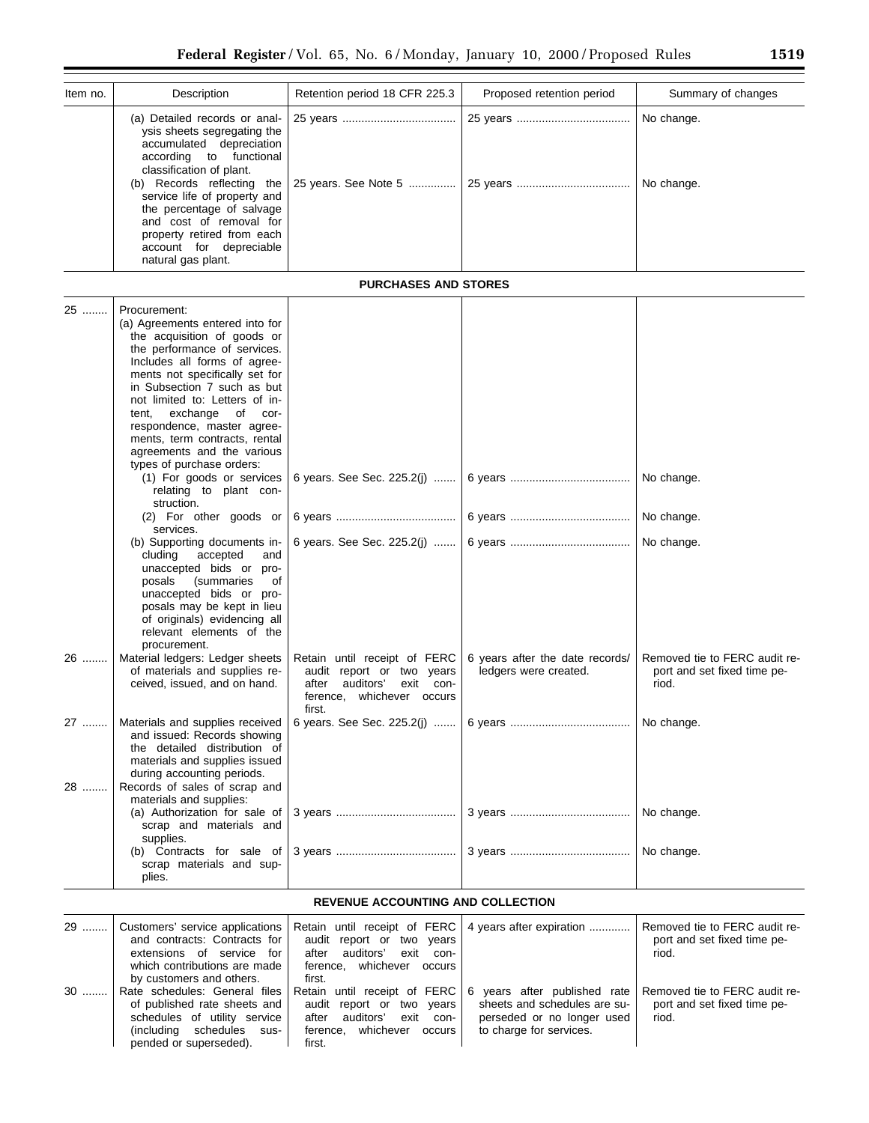| Item no.     | Description                                                                                                                                                                                                                                                                                                                                                                                                                                                                                                                                          | Retention period 18 CFR 225.3                                                                          | Proposed retention period       | Summary of changes                     |
|--------------|------------------------------------------------------------------------------------------------------------------------------------------------------------------------------------------------------------------------------------------------------------------------------------------------------------------------------------------------------------------------------------------------------------------------------------------------------------------------------------------------------------------------------------------------------|--------------------------------------------------------------------------------------------------------|---------------------------------|----------------------------------------|
|              | (a) Detailed records or anal-<br>ysis sheets segregating the<br>accumulated depreciation<br>according<br>to functional<br>classification of plant.<br>(b) Records reflecting the<br>service life of property and<br>the percentage of salvage<br>and cost of removal for<br>property retired from each<br>account for depreciable<br>natural gas plant.                                                                                                                                                                                              |                                                                                                        |                                 | No change.<br>No change.               |
|              |                                                                                                                                                                                                                                                                                                                                                                                                                                                                                                                                                      | <b>PURCHASES AND STORES</b>                                                                            |                                 |                                        |
| 25           | Procurement:<br>(a) Agreements entered into for<br>the acquisition of goods or<br>the performance of services.<br>Includes all forms of agree-<br>ments not specifically set for<br>in Subsection 7 such as but<br>not limited to: Letters of in-<br>exchange of cor-<br>tent,<br>respondence, master agree-<br>ments, term contracts, rental<br>agreements and the various<br>types of purchase orders:<br>(1) For goods or services<br>relating to plant con-<br>struction.<br>(2) For other goods or<br>services.<br>(b) Supporting documents in- | 6 years. See Sec. 225.2(j)<br>6 years. See Sec. 225.2(j)                                               |                                 | No change.<br>No change.<br>No change. |
| 26 ………       | accepted<br>cluding<br>and<br>unaccepted bids or pro-<br>(summaries<br>posals<br>οf<br>unaccepted bids or pro-<br>posals may be kept in lieu<br>of originals) evidencing all<br>relevant elements of the<br>procurement.<br>Material ledgers: Ledger sheets                                                                                                                                                                                                                                                                                          | Retain until receipt of FERC                                                                           | 6 years after the date records/ | Removed tie to FERC audit re-          |
|              | of materials and supplies re-<br>ceived, issued, and on hand.                                                                                                                                                                                                                                                                                                                                                                                                                                                                                        | audit report or two years<br>auditors'<br>after<br>exit<br>con-<br>ference, whichever occurs<br>first. | ledgers were created.           | port and set fixed time pe-<br>riod.   |
| 27 ………<br>28 | Materials and supplies received<br>and issued: Records showing<br>the detailed distribution of<br>materials and supplies issued<br>during accounting periods.<br>Records of sales of scrap and<br>materials and supplies:                                                                                                                                                                                                                                                                                                                            | 6 years. See Sec. 225.2(i)                                                                             |                                 | No change.                             |
|              | (a) Authorization for sale of<br>scrap and materials and<br>supplies.                                                                                                                                                                                                                                                                                                                                                                                                                                                                                |                                                                                                        |                                 | No change.                             |
|              | (b) Contracts for sale of<br>scrap materials and sup-<br>plies.                                                                                                                                                                                                                                                                                                                                                                                                                                                                                      |                                                                                                        |                                 | No change.                             |

# **REVENUE ACCOUNTING AND COLLECTION**

| 29   | and contracts: Contracts for<br>extensions of service for<br>which contributions are made<br>by customers and others.                                | Customers' service applications   Retain until receipt of FERC   4 years after expiration<br>audit report or two years<br>after auditors'<br>exit<br>con-<br>ference. whichever<br>occurs<br>first. |                                                                                                                          | Removed tie to FERC audit re-<br>port and set fixed time pe-<br>riod. |
|------|------------------------------------------------------------------------------------------------------------------------------------------------------|-----------------------------------------------------------------------------------------------------------------------------------------------------------------------------------------------------|--------------------------------------------------------------------------------------------------------------------------|-----------------------------------------------------------------------|
| $30$ | Rate schedules: General files<br>of published rate sheets and<br>schedules of utility service<br>(including schedules sus-<br>pended or superseded). | Retain until receipt of FERC<br>audit report or two years<br>after auditors'<br>exit<br>con-<br>whichever<br>ference.<br>occurs<br>first.                                                           | years after published rate<br>6<br>sheets and schedules are su-<br>perseded or no longer used<br>to charge for services. | Removed tie to FERC audit re-<br>port and set fixed time pe-<br>riod. |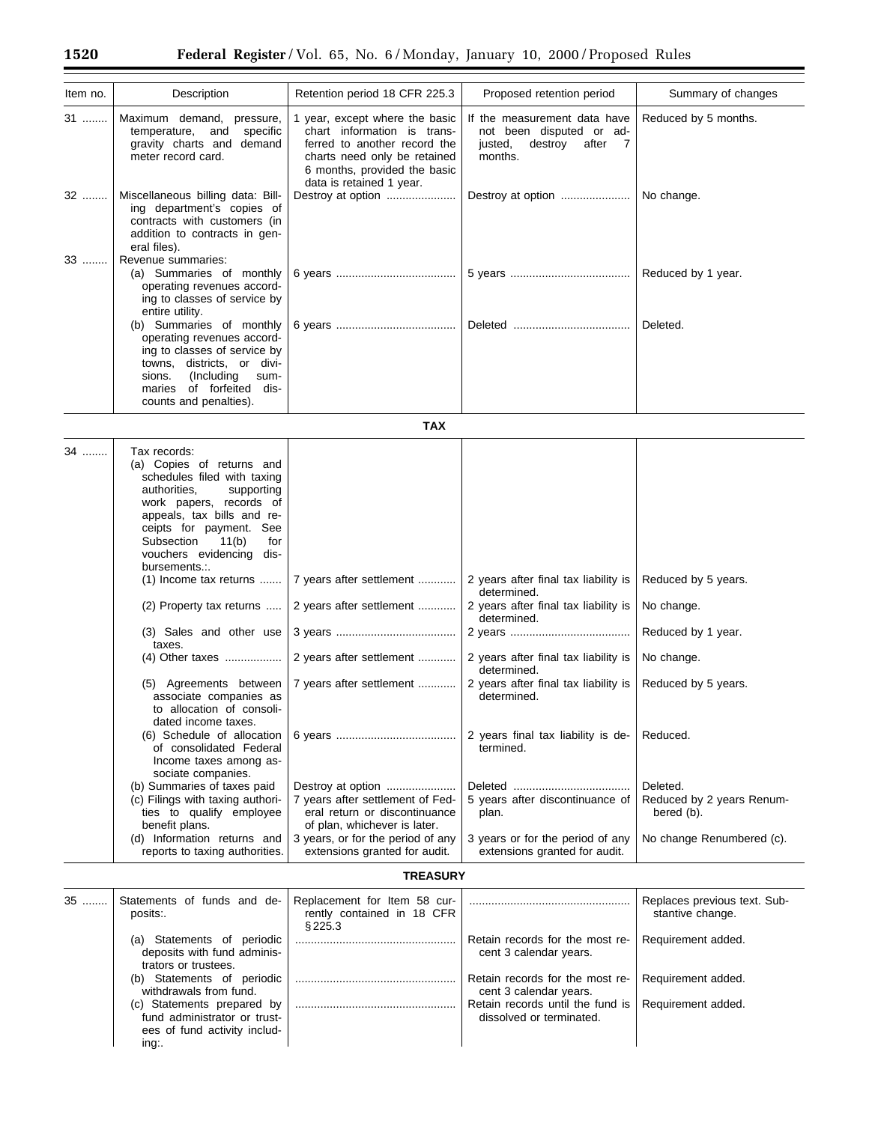| Item no. | Description                                                                                                                                                                                                                                                                                     | Retention period 18 CFR 225.3                                                                                                                                                             | Proposed retention period                                                                                 | Summary of changes                                  |
|----------|-------------------------------------------------------------------------------------------------------------------------------------------------------------------------------------------------------------------------------------------------------------------------------------------------|-------------------------------------------------------------------------------------------------------------------------------------------------------------------------------------------|-----------------------------------------------------------------------------------------------------------|-----------------------------------------------------|
| 31       | Maximum demand, pressure,<br>specific<br>temperature, and<br>gravity charts and demand<br>meter record card.                                                                                                                                                                                    | 1 year, except where the basic<br>chart information is trans-<br>ferred to another record the<br>charts need only be retained<br>6 months, provided the basic<br>data is retained 1 year. | If the measurement data have<br>not been disputed or ad-<br>justed,<br>destroy<br>after<br>- 7<br>months. | Reduced by 5 months.                                |
| 32       | Miscellaneous billing data: Bill-<br>ing department's copies of<br>contracts with customers (in<br>addition to contracts in gen-<br>eral files).                                                                                                                                                | Destroy at option                                                                                                                                                                         | Destroy at option                                                                                         | No change.                                          |
| 33       | Revenue summaries:<br>(a) Summaries of monthly<br>operating revenues accord-<br>ing to classes of service by<br>entire utility.                                                                                                                                                                 |                                                                                                                                                                                           |                                                                                                           | Reduced by 1 year.                                  |
|          | (b) Summaries of monthly<br>operating revenues accord-<br>ing to classes of service by<br>towns, districts, or divi-<br>sions.<br>(Including)<br>sum-<br>maries of forfeited<br>dis-<br>counts and penalties).                                                                                  |                                                                                                                                                                                           |                                                                                                           | Deleted.                                            |
|          |                                                                                                                                                                                                                                                                                                 | <b>TAX</b>                                                                                                                                                                                |                                                                                                           |                                                     |
| 34       | Tax records:<br>(a) Copies of returns and<br>schedules filed with taxing<br>authorities,<br>supporting<br>work papers, records of<br>appeals, tax bills and re-<br>ceipts for payment. See<br>for<br>Subsection<br>11(b)<br>vouchers evidencing dis-<br>bursements.:.<br>(1) Income tax returns | 7 years after settlement                                                                                                                                                                  | 2 years after final tax liability is                                                                      | Reduced by 5 years.                                 |
|          | (2) Property tax returns                                                                                                                                                                                                                                                                        | 2 years after settlement                                                                                                                                                                  | determined.<br>2 years after final tax liability is                                                       | No change.                                          |
|          | (3) Sales and other use<br>taxes.                                                                                                                                                                                                                                                               |                                                                                                                                                                                           | determined.                                                                                               | Reduced by 1 year.                                  |
|          | (4) Other taxes                                                                                                                                                                                                                                                                                 | 2 years after settlement                                                                                                                                                                  | 2 years after final tax liability is<br>determined.                                                       | No change.                                          |
|          | (5) Agreements between<br>associate companies as<br>to allocation of consoli-<br>dated income taxes.                                                                                                                                                                                            | 7 years after settlement                                                                                                                                                                  | 2 years after final tax liability is<br>determined.                                                       | Reduced by 5 years.                                 |
|          | (6) Schedule of allocation<br>of consolidated Federal<br>Income taxes among as-<br>sociate companies.                                                                                                                                                                                           |                                                                                                                                                                                           | 2 years final tax liability is de-<br>termined.                                                           | Reduced.                                            |
|          | (b) Summaries of taxes paid<br>(c) Filings with taxing authori-<br>ties to qualify employee<br>benefit plans.                                                                                                                                                                                   | Destroy at option<br>7 years after settlement of Fed-<br>eral return or discontinuance<br>of plan, whichever is later.                                                                    | 5 years after discontinuance of<br>plan.                                                                  | Deleted.<br>Reduced by 2 years Renum-<br>bered (b). |
|          | (d) Information returns and<br>reports to taxing authorities.                                                                                                                                                                                                                                   | 3 years, or for the period of any<br>extensions granted for audit.                                                                                                                        | 3 years or for the period of any<br>extensions granted for audit.                                         | No change Renumbered (c).                           |
|          |                                                                                                                                                                                                                                                                                                 | <b>TREASURY</b>                                                                                                                                                                           |                                                                                                           |                                                     |
| 35 ………   | Statements of funds and de-<br>posits:.                                                                                                                                                                                                                                                         | Replacement for Item 58 cur-<br>rently contained in 18 CFR<br>§225.3                                                                                                                      |                                                                                                           | Replaces previous text. Sub-<br>stantive change.    |

|                               | <b>8220.0</b> |                                                       |                    |
|-------------------------------|---------------|-------------------------------------------------------|--------------------|
| Statements of periodic<br>(a) |               | Retain records for the most re-                       | Requirement added. |
| deposits with fund adminis-   |               | cent 3 calendar years.                                |                    |
| trators or trustees.          |               |                                                       |                    |
| Statements of periodic<br>(b) |               | Retain records for the most re-                       | Requirement added. |
| withdrawals from fund.        |               | cent 3 calendar years.                                |                    |
| (c) Statements prepared by    |               | Retain records until the fund is   Requirement added. |                    |
| fund administrator or trust-  |               | dissolved or terminated.                              |                    |
| ees of fund activity includ-  |               |                                                       |                    |
| ing.                          |               |                                                       |                    |
|                               |               |                                                       |                    |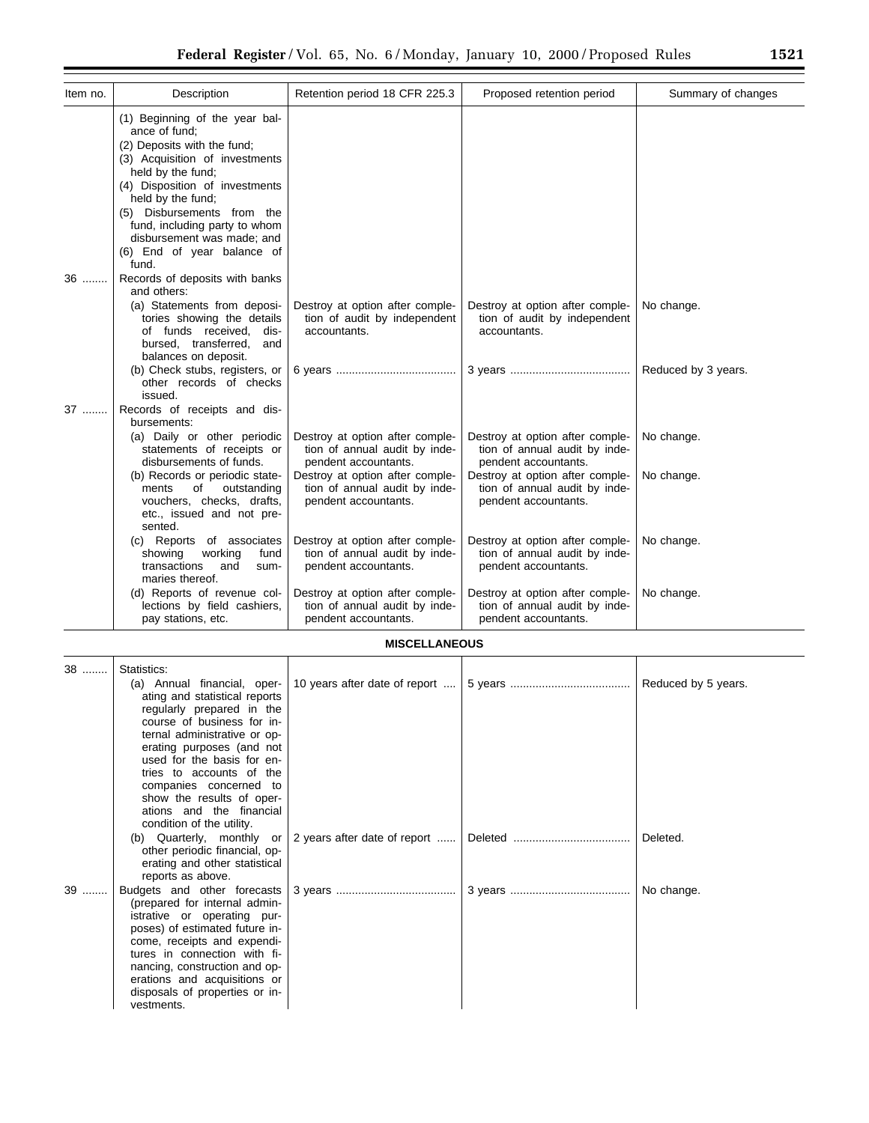| Item no. | Description                                                                                                                                                                                                                                                                                                                      | Retention period 18 CFR 225.3                                                            | Proposed retention period                                                                | Summary of changes  |
|----------|----------------------------------------------------------------------------------------------------------------------------------------------------------------------------------------------------------------------------------------------------------------------------------------------------------------------------------|------------------------------------------------------------------------------------------|------------------------------------------------------------------------------------------|---------------------|
|          | (1) Beginning of the year bal-<br>ance of fund:<br>(2) Deposits with the fund;<br>(3) Acquisition of investments<br>held by the fund;<br>(4) Disposition of investments<br>held by the fund;<br>(5) Disbursements from the<br>fund, including party to whom<br>disbursement was made; and<br>(6) End of year balance of<br>fund. |                                                                                          |                                                                                          |                     |
| 36       | Records of deposits with banks<br>and others:                                                                                                                                                                                                                                                                                    |                                                                                          |                                                                                          |                     |
|          | (a) Statements from deposi-<br>tories showing the details<br>of funds received,<br>dis-<br>bursed, transferred,<br>and<br>balances on deposit.                                                                                                                                                                                   | Destroy at option after comple-<br>tion of audit by independent<br>accountants.          | Destroy at option after comple-<br>tion of audit by independent<br>accountants.          | No change.          |
|          | (b) Check stubs, registers, or<br>other records of checks<br>issued.                                                                                                                                                                                                                                                             |                                                                                          |                                                                                          | Reduced by 3 years. |
| 37       | Records of receipts and dis-<br>bursements:                                                                                                                                                                                                                                                                                      |                                                                                          |                                                                                          |                     |
|          | (a) Daily or other periodic<br>statements of receipts or<br>disbursements of funds.                                                                                                                                                                                                                                              | Destroy at option after comple-<br>tion of annual audit by inde-<br>pendent accountants. | Destroy at option after comple-<br>tion of annual audit by inde-<br>pendent accountants. | No change.          |
|          | (b) Records or periodic state-<br>outstanding<br>ments<br>οf<br>vouchers, checks, drafts,<br>etc., issued and not pre-<br>sented.                                                                                                                                                                                                | Destroy at option after comple-<br>tion of annual audit by inde-<br>pendent accountants. | Destroy at option after comple-<br>tion of annual audit by inde-<br>pendent accountants. | No change.          |
|          | (c) Reports of associates<br>working<br>showing<br>fund<br>transactions<br>and<br>sum-<br>maries thereof.                                                                                                                                                                                                                        | Destroy at option after comple-<br>tion of annual audit by inde-<br>pendent accountants. | Destroy at option after comple-<br>tion of annual audit by inde-<br>pendent accountants. | No change.          |
|          | (d) Reports of revenue col-<br>lections by field cashiers,<br>pay stations, etc.                                                                                                                                                                                                                                                 | Destroy at option after comple-<br>tion of annual audit by inde-<br>pendent accountants. | Destroy at option after comple-<br>tion of annual audit by inde-<br>pendent accountants. | No change.          |

# **MISCELLANEOUS**

| 38 | Statistics:<br>ating and statistical reports<br>regularly prepared in the<br>course of business for in-<br>ternal administrative or op-<br>erating purposes (and not<br>used for the basis for en-<br>tries to accounts of the<br>companies concerned to<br>show the results of oper-<br>ations and the financial<br>condition of the utility. | (a) Annual financial, oper- 10 years after date of report      | Reduced by 5 years. |
|----|------------------------------------------------------------------------------------------------------------------------------------------------------------------------------------------------------------------------------------------------------------------------------------------------------------------------------------------------|----------------------------------------------------------------|---------------------|
|    | other periodic financial, op-<br>erating and other statistical<br>reports as above.                                                                                                                                                                                                                                                            | (b) Quarterly, monthly or $\vert$ 2 years after date of report | Deleted.            |
| 39 | (prepared for internal admin-<br>istrative or operating pur-<br>poses) of estimated future in-<br>come, receipts and expendi-<br>tures in connection with fi-<br>nancing, construction and op-<br>erations and acquisitions or<br>disposals of properties or in-<br>vestments.                                                                 |                                                                | No change.          |

Ξ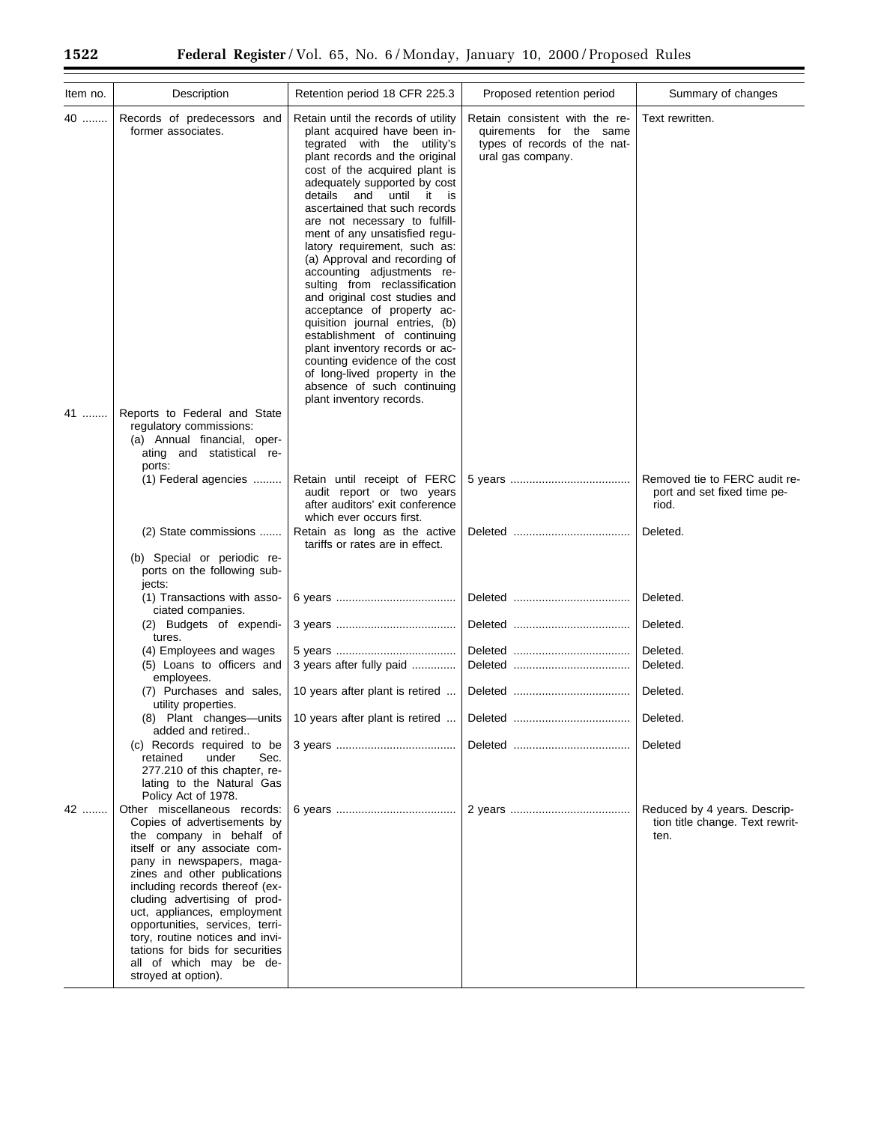| Item no. | Description                                                                                                                                                                                                                                                                                                                                                                                                                                      | Retention period 18 CFR 225.3                                                                                                                                                                                                                                                                                                                                                                                                                                                                                                                                                                                                                                                                                                                                     | Proposed retention period                                                                                      | Summary of changes                                                      |
|----------|--------------------------------------------------------------------------------------------------------------------------------------------------------------------------------------------------------------------------------------------------------------------------------------------------------------------------------------------------------------------------------------------------------------------------------------------------|-------------------------------------------------------------------------------------------------------------------------------------------------------------------------------------------------------------------------------------------------------------------------------------------------------------------------------------------------------------------------------------------------------------------------------------------------------------------------------------------------------------------------------------------------------------------------------------------------------------------------------------------------------------------------------------------------------------------------------------------------------------------|----------------------------------------------------------------------------------------------------------------|-------------------------------------------------------------------------|
| 40       | Records of predecessors and<br>former associates.                                                                                                                                                                                                                                                                                                                                                                                                | Retain until the records of utility<br>plant acquired have been in-<br>tegrated with the utility's<br>plant records and the original<br>cost of the acquired plant is<br>adequately supported by cost<br>details and until it is<br>ascertained that such records<br>are not necessary to fulfill-<br>ment of any unsatisfied regu-<br>latory requirement, such as:<br>(a) Approval and recording of<br>accounting adjustments re-<br>sulting from reclassification<br>and original cost studies and<br>acceptance of property ac-<br>quisition journal entries, (b)<br>establishment of continuing<br>plant inventory records or ac-<br>counting evidence of the cost<br>of long-lived property in the<br>absence of such continuing<br>plant inventory records. | Retain consistent with the re-<br>quirements for the same<br>types of records of the nat-<br>ural gas company. | Text rewritten.                                                         |
| 41       | Reports to Federal and State<br>regulatory commissions:<br>(a) Annual financial, oper-<br>ating and statistical re-<br>ports:                                                                                                                                                                                                                                                                                                                    |                                                                                                                                                                                                                                                                                                                                                                                                                                                                                                                                                                                                                                                                                                                                                                   |                                                                                                                |                                                                         |
|          | (1) Federal agencies                                                                                                                                                                                                                                                                                                                                                                                                                             | Retain until receipt of FERC<br>audit report or two years<br>after auditors' exit conference<br>which ever occurs first.                                                                                                                                                                                                                                                                                                                                                                                                                                                                                                                                                                                                                                          |                                                                                                                | Removed tie to FERC audit re-<br>port and set fixed time pe-<br>riod.   |
|          | (2) State commissions                                                                                                                                                                                                                                                                                                                                                                                                                            | Retain as long as the active<br>tariffs or rates are in effect.                                                                                                                                                                                                                                                                                                                                                                                                                                                                                                                                                                                                                                                                                                   |                                                                                                                | Deleted.                                                                |
|          | (b) Special or periodic re-<br>ports on the following sub-<br>jects:                                                                                                                                                                                                                                                                                                                                                                             |                                                                                                                                                                                                                                                                                                                                                                                                                                                                                                                                                                                                                                                                                                                                                                   |                                                                                                                |                                                                         |
|          | (1) Transactions with asso-<br>ciated companies.<br>(2) Budgets of expendi-                                                                                                                                                                                                                                                                                                                                                                      |                                                                                                                                                                                                                                                                                                                                                                                                                                                                                                                                                                                                                                                                                                                                                                   |                                                                                                                | Deleted.<br>Deleted.                                                    |
|          | tures.                                                                                                                                                                                                                                                                                                                                                                                                                                           |                                                                                                                                                                                                                                                                                                                                                                                                                                                                                                                                                                                                                                                                                                                                                                   |                                                                                                                |                                                                         |
|          | (4) Employees and wages<br>(5) Loans to officers and<br>employees.                                                                                                                                                                                                                                                                                                                                                                               | 3 years after fully paid                                                                                                                                                                                                                                                                                                                                                                                                                                                                                                                                                                                                                                                                                                                                          |                                                                                                                | Deleted.<br>Deleted.                                                    |
|          | (7) Purchases and sales,<br>utility properties.                                                                                                                                                                                                                                                                                                                                                                                                  | 10 years after plant is retired                                                                                                                                                                                                                                                                                                                                                                                                                                                                                                                                                                                                                                                                                                                                   |                                                                                                                | Deleted.                                                                |
|          | (8) Plant changes-units<br>added and retired                                                                                                                                                                                                                                                                                                                                                                                                     | 10 years after plant is retired                                                                                                                                                                                                                                                                                                                                                                                                                                                                                                                                                                                                                                                                                                                                   |                                                                                                                | Deleted.                                                                |
|          | (c) Records required to be<br>under<br>Sec.<br>retained<br>277.210 of this chapter, re-<br>lating to the Natural Gas<br>Policy Act of 1978.                                                                                                                                                                                                                                                                                                      |                                                                                                                                                                                                                                                                                                                                                                                                                                                                                                                                                                                                                                                                                                                                                                   |                                                                                                                | Deleted                                                                 |
| 42       | Other miscellaneous records:<br>Copies of advertisements by<br>the company in behalf of<br>itself or any associate com-<br>pany in newspapers, maga-<br>zines and other publications<br>including records thereof (ex-<br>cluding advertising of prod-<br>uct, appliances, employment<br>opportunities, services, terri-<br>tory, routine notices and invi-<br>tations for bids for securities<br>all of which may be de-<br>stroyed at option). |                                                                                                                                                                                                                                                                                                                                                                                                                                                                                                                                                                                                                                                                                                                                                                   |                                                                                                                | Reduced by 4 years. Descrip-<br>tion title change. Text rewrit-<br>ten. |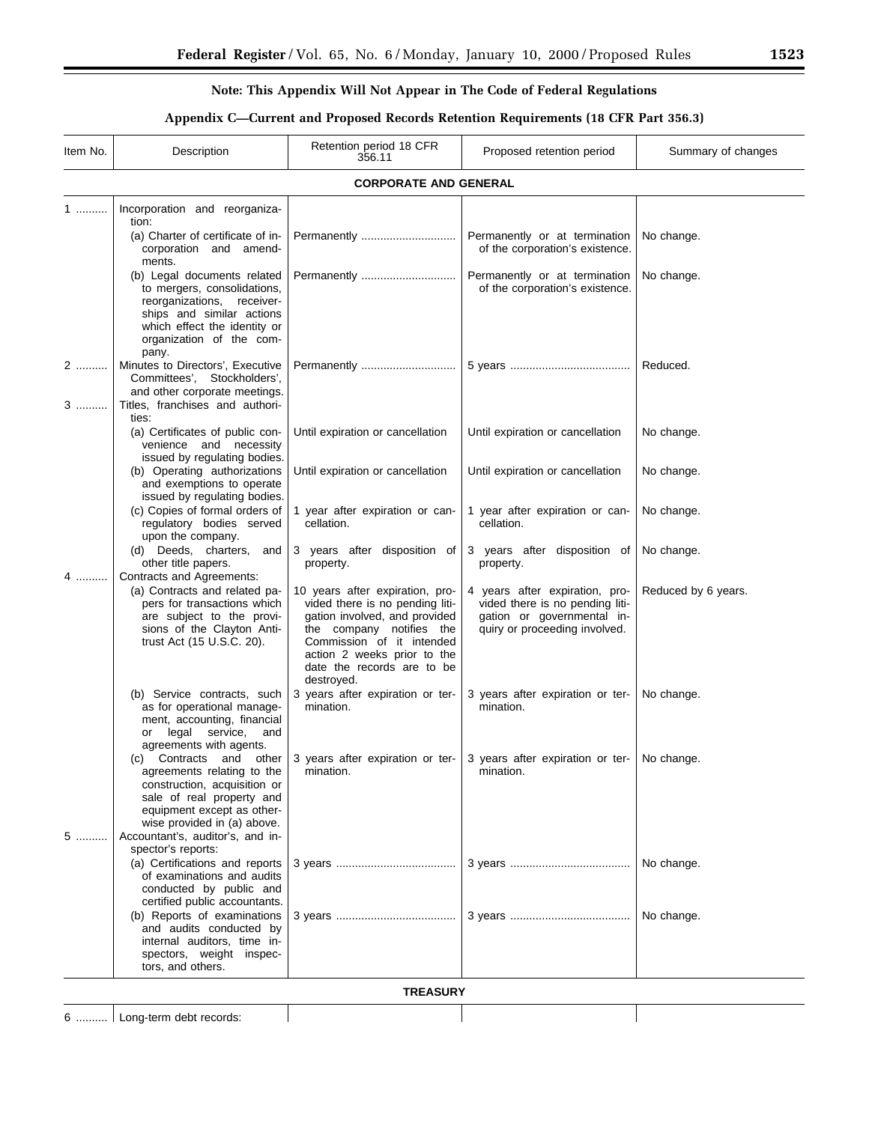Ξ

# **Note: This Appendix Will Not Appear in The Code of Federal Regulations**

# **Appendix C—Current and Proposed Records Retention Requirements (18 CFR Part 356.3)**

| Item No. | Description                                                                                                                                                                                                                    | Retention period 18 CFR<br>356.11                                                                                                                                                                                                       | Proposed retention period                                                                                                        | Summary of changes  |  |  |
|----------|--------------------------------------------------------------------------------------------------------------------------------------------------------------------------------------------------------------------------------|-----------------------------------------------------------------------------------------------------------------------------------------------------------------------------------------------------------------------------------------|----------------------------------------------------------------------------------------------------------------------------------|---------------------|--|--|
|          |                                                                                                                                                                                                                                | <b>CORPORATE AND GENERAL</b>                                                                                                                                                                                                            |                                                                                                                                  |                     |  |  |
| 1.       | Incorporation and reorganiza-<br>tion:<br>(a) Charter of certificate of in-                                                                                                                                                    |                                                                                                                                                                                                                                         | Permanently or at termination                                                                                                    | No change.          |  |  |
|          | corporation and amend-<br>ments.<br>(b) Legal documents related<br>to mergers, consolidations,<br>reorganizations, receiver-<br>ships and similar actions<br>which effect the identity or<br>organization of the com-<br>pany. | Permanently                                                                                                                                                                                                                             | of the corporation's existence.<br>Permanently or at termination<br>of the corporation's existence.                              | No change.          |  |  |
| 2<br>3   | Minutes to Directors', Executive<br>Committees', Stockholders',<br>and other corporate meetings.<br>Titles, franchises and authori-                                                                                            |                                                                                                                                                                                                                                         |                                                                                                                                  | Reduced.            |  |  |
|          | ties:<br>(a) Certificates of public con-<br>venience and necessity<br>issued by regulating bodies.                                                                                                                             | Until expiration or cancellation                                                                                                                                                                                                        | Until expiration or cancellation                                                                                                 | No change.          |  |  |
|          | (b) Operating authorizations<br>and exemptions to operate<br>issued by regulating bodies.                                                                                                                                      | Until expiration or cancellation                                                                                                                                                                                                        | Until expiration or cancellation                                                                                                 | No change.          |  |  |
|          | (c) Copies of formal orders of<br>regulatory bodies served<br>upon the company.                                                                                                                                                | 1 year after expiration or can-<br>cellation.                                                                                                                                                                                           | 1 year after expiration or can-<br>cellation.                                                                                    | No change.          |  |  |
| 4        | (d) Deeds, charters, and<br>other title papers.<br>Contracts and Agreements:                                                                                                                                                   | 3 years after disposition of<br>property.                                                                                                                                                                                               | 3 years after disposition of<br>property.                                                                                        | No change.          |  |  |
|          | (a) Contracts and related pa-<br>pers for transactions which<br>are subject to the provi-<br>sions of the Clayton Anti-<br>trust Act (15 U.S.C. 20).                                                                           | 10 years after expiration, pro-<br>vided there is no pending liti-<br>gation involved, and provided<br>the company notifies the<br>Commission of it intended<br>action 2 weeks prior to the<br>date the records are to be<br>destroyed. | 4 years after expiration, pro-<br>vided there is no pending liti-<br>gation or governmental in-<br>quiry or proceeding involved. | Reduced by 6 years. |  |  |
|          | (b) Service contracts, such<br>as for operational manage-<br>ment, accounting, financial<br>legal<br>service,<br>and<br>or<br>agreements with agents.                                                                          | 3 years after expiration or ter-<br>mination.                                                                                                                                                                                           | 3 years after expiration or ter-<br>mination.                                                                                    | No change.          |  |  |
| 5        | (c)<br>agreements relating to the<br>construction, acquisition or<br>sale of real property and<br>equipment except as other-<br>wise provided in (a) above.<br>Accountant's, auditor's, and in-<br>spector's reports:          | Contracts and other 3 years after expiration or ter- 3 years after expiration or ter- No change.<br>mination.                                                                                                                           | mination.                                                                                                                        |                     |  |  |
|          | (a) Certifications and reports<br>of examinations and audits<br>conducted by public and<br>certified public accountants.                                                                                                       |                                                                                                                                                                                                                                         |                                                                                                                                  | No change.          |  |  |
|          | (b) Reports of examinations<br>and audits conducted by<br>internal auditors, time in-<br>spectors, weight inspec-<br>tors, and others.                                                                                         |                                                                                                                                                                                                                                         |                                                                                                                                  | No change.          |  |  |
|          | <b>TREASURY</b>                                                                                                                                                                                                                |                                                                                                                                                                                                                                         |                                                                                                                                  |                     |  |  |

6 .......... Long-term debt records:

 $\overline{\phantom{a}}$ 

 $\overline{\phantom{a}}$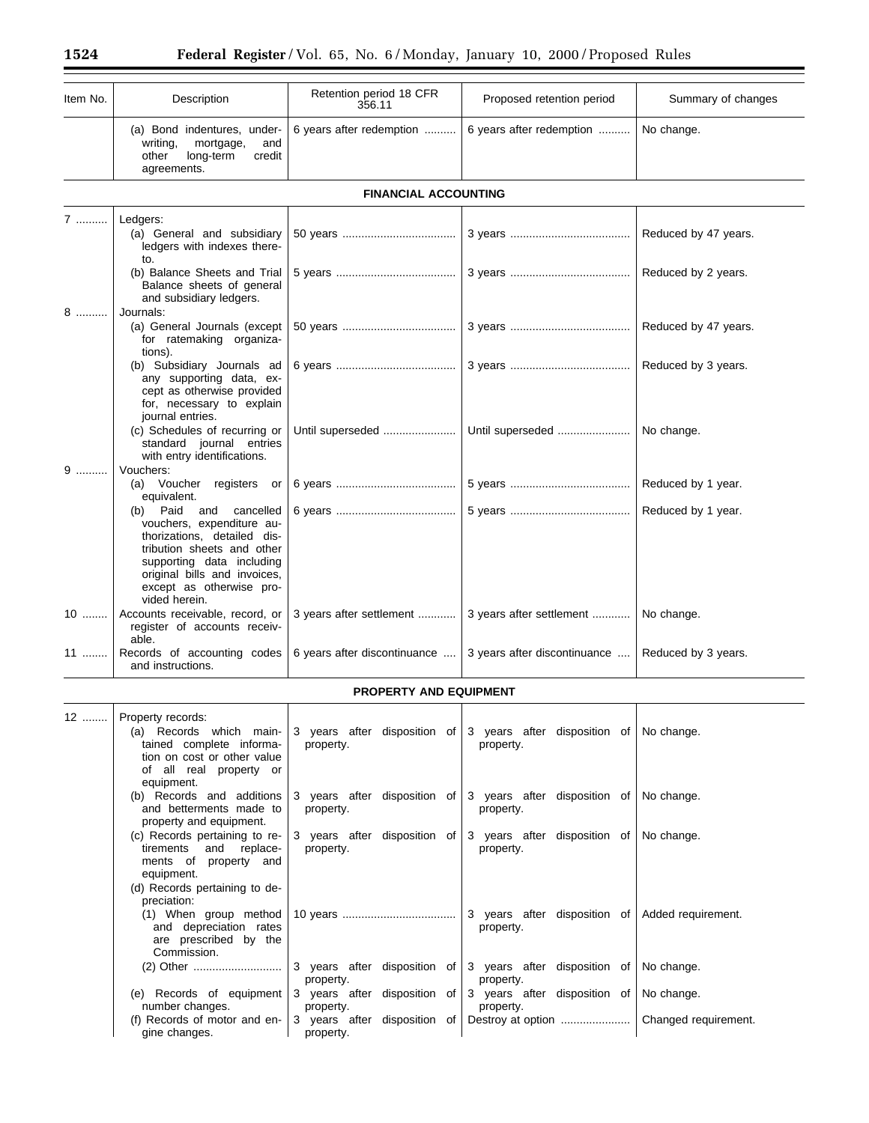| Item No. | Description                                                                                                                                                                                                                      | Retention period 18 CFR<br>356.11 | Proposed retention period                    | Summary of changes   |
|----------|----------------------------------------------------------------------------------------------------------------------------------------------------------------------------------------------------------------------------------|-----------------------------------|----------------------------------------------|----------------------|
|          | (a) Bond indentures, under-<br>mortgage,<br>writing,<br>and<br>other<br>long-term<br>credit<br>agreements.                                                                                                                       | 6 years after redemption          | 6 years after redemption                     | No change.           |
|          |                                                                                                                                                                                                                                  | <b>FINANCIAL ACCOUNTING</b>       |                                              |                      |
| 7        | Ledgers:<br>(a) General and subsidiary<br>ledgers with indexes there-<br>to.                                                                                                                                                     |                                   |                                              | Reduced by 47 years. |
|          | (b) Balance Sheets and Trial<br>Balance sheets of general<br>and subsidiary ledgers.                                                                                                                                             |                                   |                                              | Reduced by 2 years.  |
| 8        | Journals:<br>(a) General Journals (except<br>for ratemaking organiza-<br>tions).                                                                                                                                                 |                                   |                                              | Reduced by 47 years. |
|          | (b) Subsidiary Journals ad<br>any supporting data, ex-<br>cept as otherwise provided<br>for, necessary to explain<br>journal entries.                                                                                            |                                   |                                              | Reduced by 3 years.  |
|          | (c) Schedules of recurring or<br>standard journal entries<br>with entry identifications.                                                                                                                                         | Until superseded                  | Until superseded                             | No change.           |
| $9$      | Vouchers:<br>(a) Voucher registers or<br>equivalent.                                                                                                                                                                             |                                   |                                              | Reduced by 1 year.   |
|          | (b) Paid<br>and<br>cancelled<br>vouchers, expenditure au-<br>thorizations, detailed dis-<br>tribution sheets and other<br>supporting data including<br>original bills and invoices,<br>except as otherwise pro-<br>vided herein. |                                   |                                              | Reduced by 1 year.   |
| $10$     | Accounts receivable, record, or<br>register of accounts receiv-<br>able.                                                                                                                                                         | 3 years after settlement          | 3 years after settlement                     | No change.           |
| 11       | Records of accounting codes<br>and instructions.                                                                                                                                                                                 | 6 years after discontinuance      | 3 years after discontinuance                 | Reduced by 3 years.  |
|          |                                                                                                                                                                                                                                  | <b>PROPERTY AND EQUIPMENT</b>     |                                              |                      |
| 12       | Property records:                                                                                                                                                                                                                |                                   |                                              |                      |
|          | $(n)$ December upinh moin                                                                                                                                                                                                        | 2 usara aftar digraphica af       | $\sim$<br>attas dianagitian at<br>$\sqrt{2}$ | No chope             |

| ٢٤ | Property records:                                                                                             |           |                                                                                                                                     |  |
|----|---------------------------------------------------------------------------------------------------------------|-----------|-------------------------------------------------------------------------------------------------------------------------------------|--|
|    | tained complete informa-<br>tion on cost or other value<br>of all real property or<br>equipment.              | property. | (a) Records which main- $\vert$ 3 years after disposition of $\vert$ 3 years after disposition of No change.<br>property.           |  |
|    | and betterments made to<br>property and equipment.                                                            | property. | (b) Records and additions $\frac{3}{3}$ years after disposition of $\frac{3}{3}$ years after disposition of No change.<br>property. |  |
|    | tirements and replace-<br>ments of property and<br>equipment.<br>(d) Records pertaining to de-<br>preciation: | property. | (c) Records pertaining to re- 3 years after disposition of 3 years after disposition of No change.<br>property.                     |  |
|    | and depreciation rates<br>are prescribed by the<br>Commission.                                                |           | 3 years after disposition of Added requirement.<br>property.                                                                        |  |
|    |                                                                                                               | property. | property.                                                                                                                           |  |
|    | number changes.                                                                                               | property. | (e) Records of equipment 3 years after disposition of 3 years after disposition of No change.<br>property.                          |  |
|    | gine changes.                                                                                                 | property. |                                                                                                                                     |  |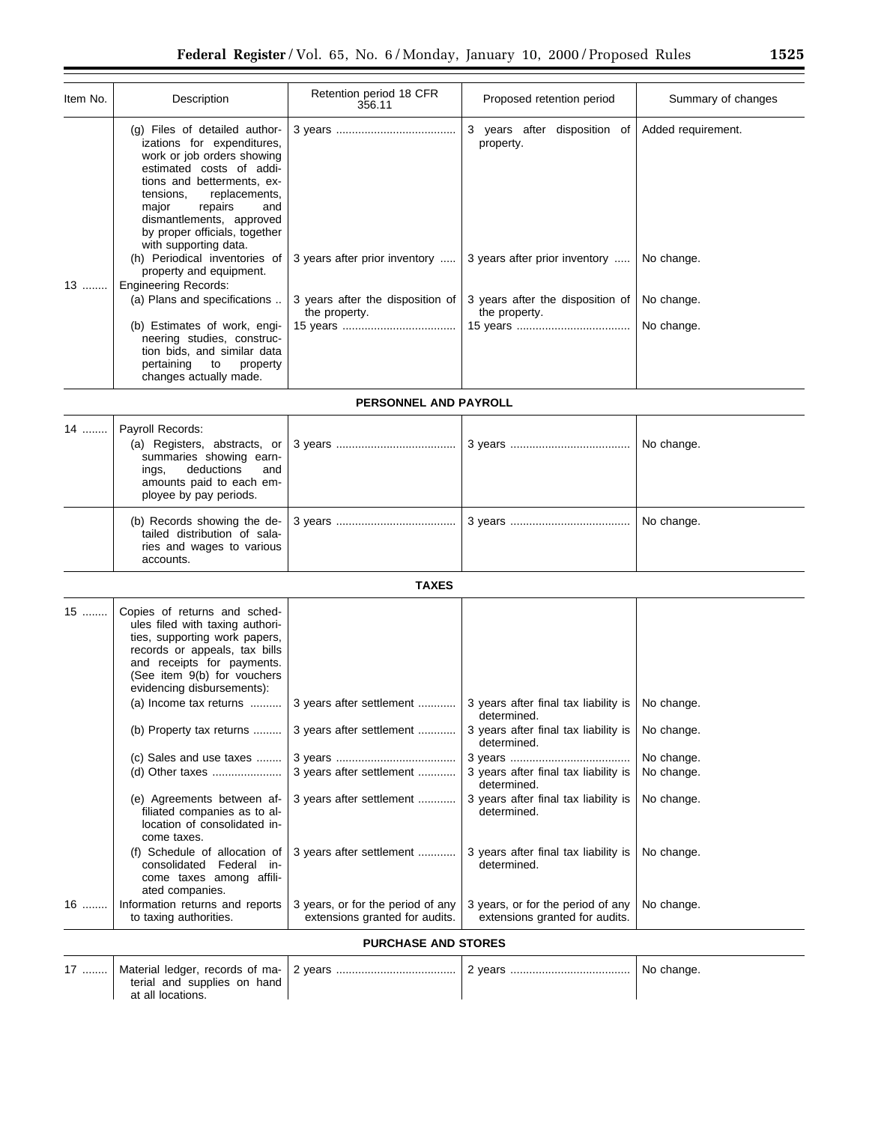| Item No. | Description                                                                                                                                                                                                                                                                                                                                                                                    | Retention period 18 CFR<br>356.11                                                                                        | Proposed retention period                                                                                                          | Summary of changes                             |
|----------|------------------------------------------------------------------------------------------------------------------------------------------------------------------------------------------------------------------------------------------------------------------------------------------------------------------------------------------------------------------------------------------------|--------------------------------------------------------------------------------------------------------------------------|------------------------------------------------------------------------------------------------------------------------------------|------------------------------------------------|
| 13       | $(g)$ Files of detailed author-<br>izations for expenditures,<br>work or job orders showing<br>estimated costs of addi-<br>tions and betterments, ex-<br>replacements,<br>tensions,<br>repairs<br>major<br>and<br>dismantlements, approved<br>by proper officials, together<br>with supporting data.<br>property and equipment.<br><b>Engineering Records:</b><br>(a) Plans and specifications | (h) Periodical inventories of $\vert$ 3 years after prior inventory<br>3 years after the disposition of<br>the property. | 3<br>years after disposition of<br>property.<br>3 years after prior inventory<br>3 years after the disposition of<br>the property. | Added requirement.<br>No change.<br>No change. |
|          | (b) Estimates of work, engi-<br>neering studies, construc-<br>tion bids, and similar data<br>pertaining<br>to<br>property<br>changes actually made.                                                                                                                                                                                                                                            |                                                                                                                          |                                                                                                                                    | No change.                                     |
|          |                                                                                                                                                                                                                                                                                                                                                                                                | <b>PERSONNEL AND PAYROLL</b>                                                                                             |                                                                                                                                    |                                                |
| 14       | Payroll Records:<br>summaries showing earn-                                                                                                                                                                                                                                                                                                                                                    |                                                                                                                          |                                                                                                                                    | No change.                                     |

| summaries showing earn-<br>ings, deductions and<br>amounts paid to each em-<br>ployee by pay periods. |  |            |
|-------------------------------------------------------------------------------------------------------|--|------------|
| tailed distribution of sala-<br>ries and wages to various<br>accounts.                                |  | No change. |

# **TAXES**

| $15$                       | Copies of returns and sched-<br>ules filed with taxing authori-<br>ties, supporting work papers,                         |                                                                     |                                                                     |            |  |
|----------------------------|--------------------------------------------------------------------------------------------------------------------------|---------------------------------------------------------------------|---------------------------------------------------------------------|------------|--|
|                            | records or appeals, tax bills<br>and receipts for payments.<br>(See item 9(b) for vouchers<br>evidencing disbursements): |                                                                     |                                                                     |            |  |
|                            | (a) Income tax returns                                                                                                   | 3 years after settlement                                            | 3 years after final tax liability is<br>determined.                 | No change. |  |
|                            | (b) Property tax returns                                                                                                 | 3 years after settlement                                            | 3 years after final tax liability is<br>determined.                 | No change. |  |
|                            | (c) Sales and use taxes                                                                                                  |                                                                     |                                                                     | No change. |  |
|                            |                                                                                                                          | 3 years after settlement                                            | 3 years after final tax liability is<br>determined.                 | No change. |  |
|                            | (e) Agreements between af-<br>filiated companies as to al-<br>location of consolidated in-<br>come taxes.                | 3 years after settlement                                            | 3 years after final tax liability is<br>determined.                 | No change. |  |
|                            | (f) Schedule of allocation of<br>consolidated Federal in-<br>come taxes among affili-<br>ated companies.                 | 3 years after settlement                                            | 3 years after final tax liability is<br>determined.                 | No change. |  |
| $16$                       | Information returns and reports<br>to taxing authorities.                                                                | 3 years, or for the period of any<br>extensions granted for audits. | 3 years, or for the period of any<br>extensions granted for audits. | No change. |  |
| <b>PURCHASE AND STORES</b> |                                                                                                                          |                                                                     |                                                                     |            |  |

| $17$ | Material ledger, records of ma- 2 years | 2 vears | No change. |
|------|-----------------------------------------|---------|------------|
|      | terial and supplies on hand             |         |            |
|      | at all locations.                       |         |            |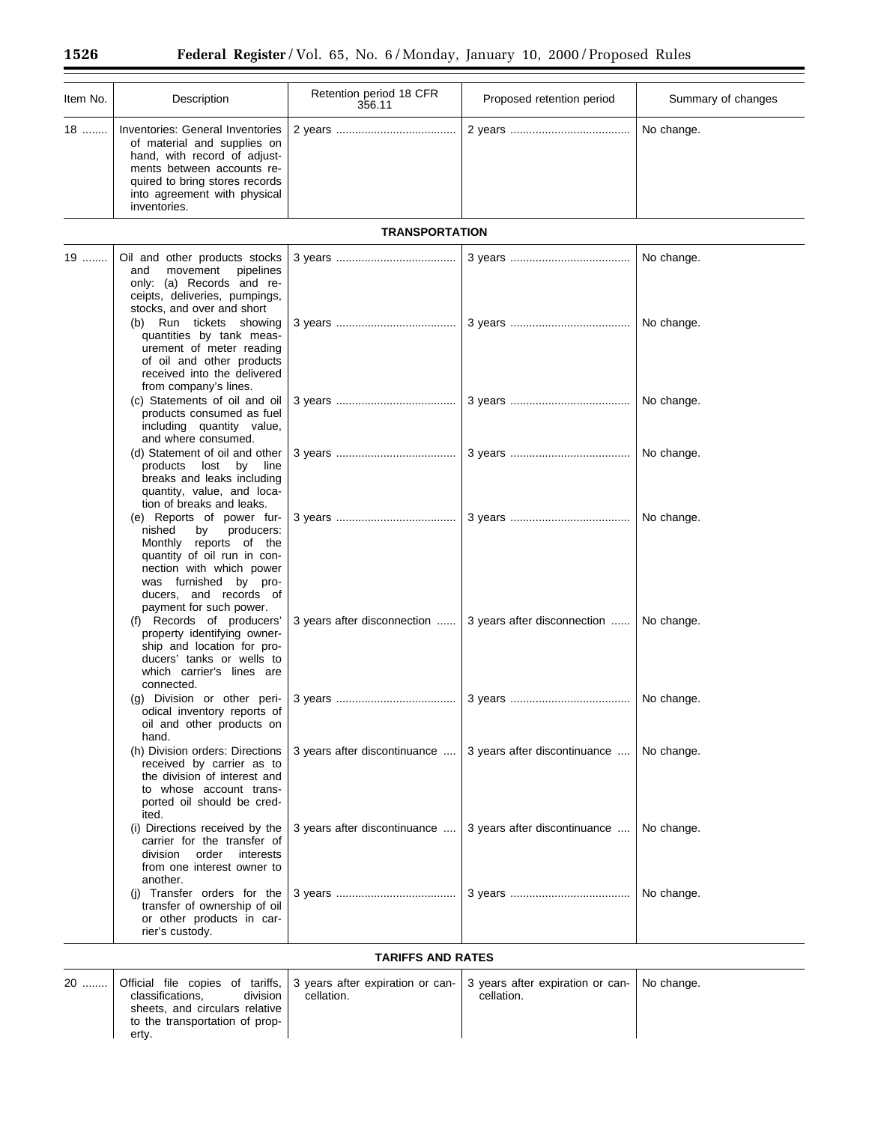| Item No. | Description                                                                                                                                                                                                                | Retention period 18 CFR<br>356.11 | Proposed retention period                                | Summary of changes |  |
|----------|----------------------------------------------------------------------------------------------------------------------------------------------------------------------------------------------------------------------------|-----------------------------------|----------------------------------------------------------|--------------------|--|
| 18       | Inventories: General Inventories<br>of material and supplies on<br>hand, with record of adjust-<br>ments between accounts re-<br>quired to bring stores records<br>into agreement with physical<br>inventories.            |                                   |                                                          | No change.         |  |
|          |                                                                                                                                                                                                                            | <b>TRANSPORTATION</b>             |                                                          |                    |  |
| 19       | Oil and other products stocks<br>movement<br>pipelines<br>and<br>only: (a) Records and re-<br>ceipts, deliveries, pumpings,<br>stocks, and over and short                                                                  |                                   |                                                          | No change.         |  |
|          | (b) Run tickets showing<br>quantities by tank meas-<br>urement of meter reading<br>of oil and other products<br>received into the delivered<br>from company's lines.                                                       |                                   |                                                          | No change.         |  |
|          | (c) Statements of oil and oil<br>products consumed as fuel<br>including quantity value,<br>and where consumed.                                                                                                             |                                   |                                                          | No change.         |  |
|          | (d) Statement of oil and other<br>products<br>lost<br>by<br>line<br>breaks and leaks including<br>quantity, value, and loca-<br>tion of breaks and leaks.                                                                  |                                   |                                                          | No change.         |  |
|          | (e) Reports of power fur-<br>nished<br>producers:<br>by<br>Monthly reports of the<br>quantity of oil run in con-<br>nection with which power<br>was furnished by pro-<br>ducers, and records of<br>payment for such power. |                                   |                                                          | No change.         |  |
|          | (f) Records of producers'<br>property identifying owner-<br>ship and location for pro-<br>ducers' tanks or wells to<br>which carrier's lines are<br>connected.                                                             |                                   | 3 years after disconnection  3 years after disconnection | No change.         |  |
|          | (g) Division or other peri-<br>odical inventory reports of<br>oil and other products on<br>hand.                                                                                                                           |                                   |                                                          | No change.         |  |
|          | (h) Division orders: Directions<br>received by carrier as to<br>the division of interest and<br>to whose account trans-<br>ported oil should be cred-<br>ited.                                                             | 3 years after discontinuance      | 3 years after discontinuance                             | No change.         |  |
|          | (i) Directions received by the<br>carrier for the transfer of<br>division<br>order<br>interests<br>from one interest owner to<br>another.                                                                                  | 3 years after discontinuance      | 3 years after discontinuance                             | No change.         |  |
|          | (i) Transfer orders for the<br>transfer of ownership of oil<br>or other products in car-<br>rier's custody.                                                                                                                |                                   |                                                          | No change.         |  |
|          | <b>TARIFFS AND RATES</b>                                                                                                                                                                                                   |                                   |                                                          |                    |  |

# **TARIFFS AND RATES**

| 20 |                                |            | Official file copies of tariffs, 3 years after expiration or can- 3 years after expiration or can- $\vert$ No change. |  |
|----|--------------------------------|------------|-----------------------------------------------------------------------------------------------------------------------|--|
|    | division<br>classifications.   | cellation. | cellation.                                                                                                            |  |
|    | sheets, and circulars relative |            |                                                                                                                       |  |
|    | to the transportation of prop- |            |                                                                                                                       |  |
|    | erty.                          |            |                                                                                                                       |  |